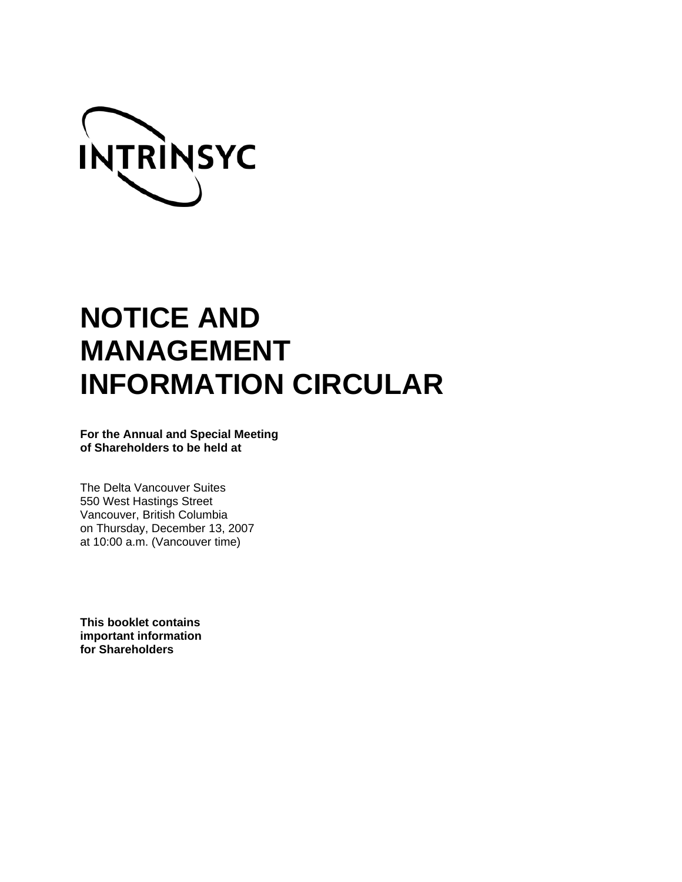

# **NOTICE AND MANAGEMENT INFORMATION CIRCULAR**

**For the Annual and Special Meeting of Shareholders to be held at** 

The Delta Vancouver Suites 550 West Hastings Street Vancouver, British Columbia on Thursday, December 13, 2007 at 10:00 a.m. (Vancouver time)

**This booklet contains important information for Shareholders**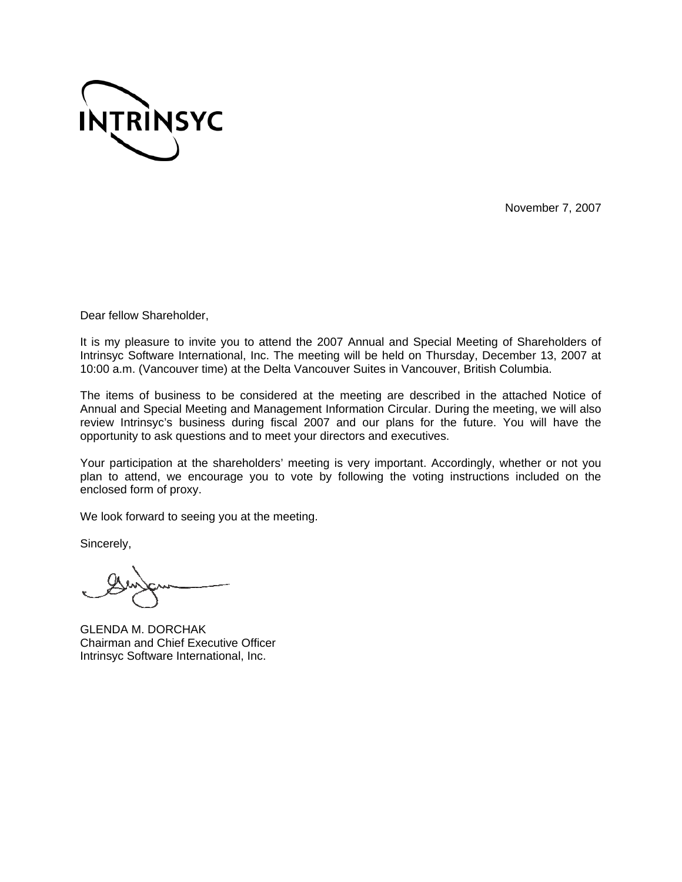

November 7, 2007

Dear fellow Shareholder,

It is my pleasure to invite you to attend the 2007 Annual and Special Meeting of Shareholders of Intrinsyc Software International, Inc. The meeting will be held on Thursday, December 13, 2007 at 10:00 a.m. (Vancouver time) at the Delta Vancouver Suites in Vancouver, British Columbia.

The items of business to be considered at the meeting are described in the attached Notice of Annual and Special Meeting and Management Information Circular. During the meeting, we will also review Intrinsyc's business during fiscal 2007 and our plans for the future. You will have the opportunity to ask questions and to meet your directors and executives.

Your participation at the shareholders' meeting is very important. Accordingly, whether or not you plan to attend, we encourage you to vote by following the voting instructions included on the enclosed form of proxy.

We look forward to seeing you at the meeting.

Sincerely,

GLENDA M. DORCHAK Chairman and Chief Executive Officer Intrinsyc Software International, Inc.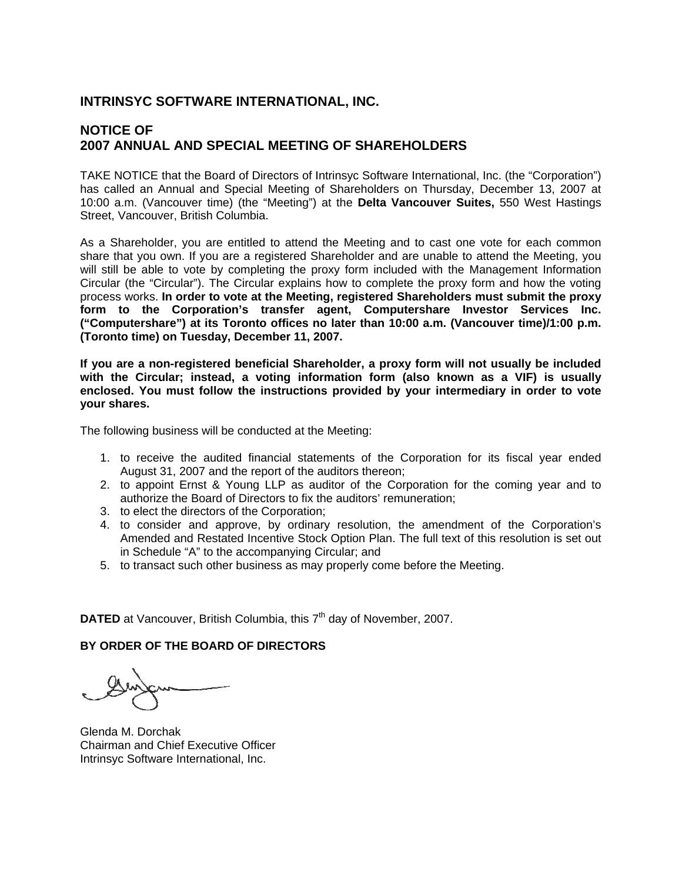# **INTRINSYC SOFTWARE INTERNATIONAL, INC.**

# **NOTICE OF 2007 ANNUAL AND SPECIAL MEETING OF SHAREHOLDERS**

TAKE NOTICE that the Board of Directors of Intrinsyc Software International, Inc. (the "Corporation") has called an Annual and Special Meeting of Shareholders on Thursday, December 13, 2007 at 10:00 a.m. (Vancouver time) (the "Meeting") at the **Delta Vancouver Suites,** 550 West Hastings Street, Vancouver, British Columbia.

As a Shareholder, you are entitled to attend the Meeting and to cast one vote for each common share that you own. If you are a registered Shareholder and are unable to attend the Meeting, you will still be able to vote by completing the proxy form included with the Management Information Circular (the "Circular"). The Circular explains how to complete the proxy form and how the voting process works. **In order to vote at the Meeting, registered Shareholders must submit the proxy form to the Corporation's transfer agent, Computershare Investor Services Inc. ("Computershare") at its Toronto offices no later than 10:00 a.m. (Vancouver time)/1:00 p.m. (Toronto time) on Tuesday, December 11, 2007.** 

**If you are a non-registered beneficial Shareholder, a proxy form will not usually be included with the Circular; instead, a voting information form (also known as a VIF) is usually enclosed. You must follow the instructions provided by your intermediary in order to vote your shares.** 

The following business will be conducted at the Meeting:

- 1. to receive the audited financial statements of the Corporation for its fiscal year ended August 31, 2007 and the report of the auditors thereon;
- 2. to appoint Ernst & Young LLP as auditor of the Corporation for the coming year and to authorize the Board of Directors to fix the auditors' remuneration;
- 3. to elect the directors of the Corporation;
- 4. to consider and approve, by ordinary resolution, the amendment of the Corporation's Amended and Restated Incentive Stock Option Plan. The full text of this resolution is set out in Schedule "A" to the accompanying Circular; and
- 5. to transact such other business as may properly come before the Meeting.

**DATED** at Vancouver, British Columbia, this 7<sup>th</sup> day of November, 2007.

# **BY ORDER OF THE BOARD OF DIRECTORS**

Glenda M. Dorchak Chairman and Chief Executive Officer Intrinsyc Software International, Inc.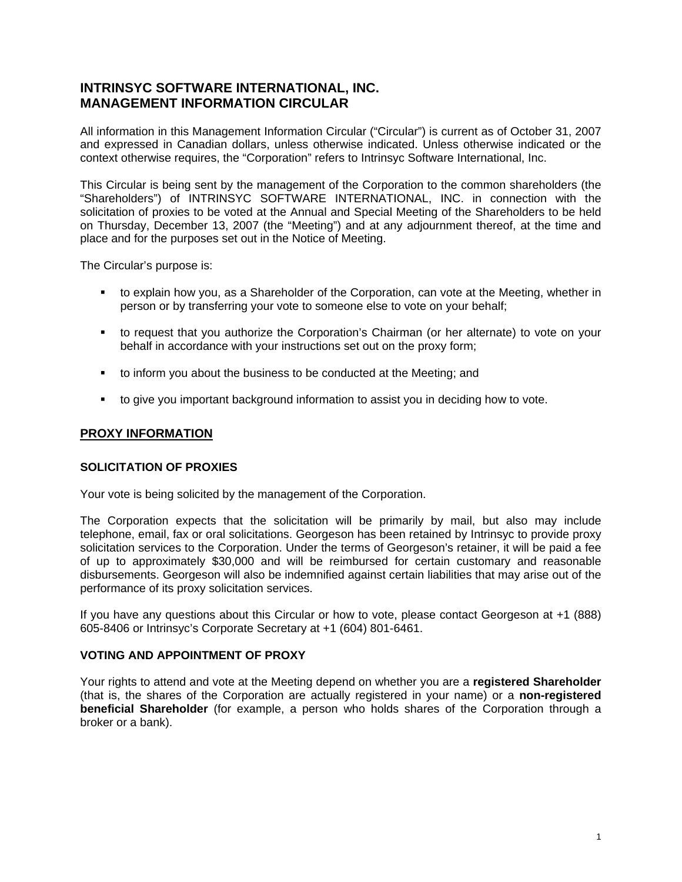# **INTRINSYC SOFTWARE INTERNATIONAL, INC. MANAGEMENT INFORMATION CIRCULAR**

All information in this Management Information Circular ("Circular") is current as of October 31, 2007 and expressed in Canadian dollars, unless otherwise indicated. Unless otherwise indicated or the context otherwise requires, the "Corporation" refers to Intrinsyc Software International, Inc.

This Circular is being sent by the management of the Corporation to the common shareholders (the "Shareholders") of INTRINSYC SOFTWARE INTERNATIONAL, INC. in connection with the solicitation of proxies to be voted at the Annual and Special Meeting of the Shareholders to be held on Thursday, December 13, 2007 (the "Meeting") and at any adjournment thereof, at the time and place and for the purposes set out in the Notice of Meeting.

The Circular's purpose is:

- to explain how you, as a Shareholder of the Corporation, can vote at the Meeting, whether in person or by transferring your vote to someone else to vote on your behalf;
- to request that you authorize the Corporation's Chairman (or her alternate) to vote on your behalf in accordance with your instructions set out on the proxy form;
- to inform you about the business to be conducted at the Meeting; and
- to give you important background information to assist you in deciding how to vote.

# **PROXY INFORMATION**

#### **SOLICITATION OF PROXIES**

Your vote is being solicited by the management of the Corporation.

The Corporation expects that the solicitation will be primarily by mail, but also may include telephone, email, fax or oral solicitations. Georgeson has been retained by Intrinsyc to provide proxy solicitation services to the Corporation. Under the terms of Georgeson's retainer, it will be paid a fee of up to approximately \$30,000 and will be reimbursed for certain customary and reasonable disbursements. Georgeson will also be indemnified against certain liabilities that may arise out of the performance of its proxy solicitation services.

If you have any questions about this Circular or how to vote, please contact Georgeson at +1 (888) 605-8406 or Intrinsyc's Corporate Secretary at +1 (604) 801-6461.

# **VOTING AND APPOINTMENT OF PROXY**

Your rights to attend and vote at the Meeting depend on whether you are a **registered Shareholder** (that is, the shares of the Corporation are actually registered in your name) or a **non-registered beneficial Shareholder** (for example, a person who holds shares of the Corporation through a broker or a bank).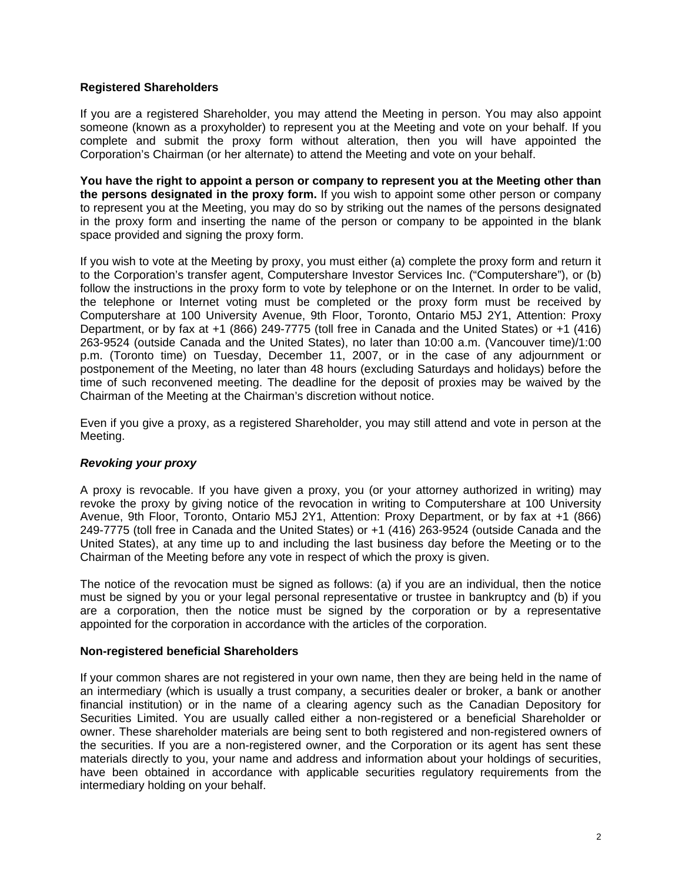#### **Registered Shareholders**

If you are a registered Shareholder, you may attend the Meeting in person. You may also appoint someone (known as a proxyholder) to represent you at the Meeting and vote on your behalf. If you complete and submit the proxy form without alteration, then you will have appointed the Corporation's Chairman (or her alternate) to attend the Meeting and vote on your behalf.

**You have the right to appoint a person or company to represent you at the Meeting other than the persons designated in the proxy form.** If you wish to appoint some other person or company to represent you at the Meeting, you may do so by striking out the names of the persons designated in the proxy form and inserting the name of the person or company to be appointed in the blank space provided and signing the proxy form.

If you wish to vote at the Meeting by proxy, you must either (a) complete the proxy form and return it to the Corporation's transfer agent, Computershare Investor Services Inc. ("Computershare"), or (b) follow the instructions in the proxy form to vote by telephone or on the Internet. In order to be valid, the telephone or Internet voting must be completed or the proxy form must be received by Computershare at 100 University Avenue, 9th Floor, Toronto, Ontario M5J 2Y1, Attention: Proxy Department, or by fax at +1 (866) 249-7775 (toll free in Canada and the United States) or +1 (416) 263-9524 (outside Canada and the United States), no later than 10:00 a.m. (Vancouver time)/1:00 p.m. (Toronto time) on Tuesday, December 11, 2007, or in the case of any adjournment or postponement of the Meeting, no later than 48 hours (excluding Saturdays and holidays) before the time of such reconvened meeting. The deadline for the deposit of proxies may be waived by the Chairman of the Meeting at the Chairman's discretion without notice.

Even if you give a proxy, as a registered Shareholder, you may still attend and vote in person at the Meeting.

# *Revoking your proxy*

A proxy is revocable. If you have given a proxy, you (or your attorney authorized in writing) may revoke the proxy by giving notice of the revocation in writing to Computershare at 100 University Avenue, 9th Floor, Toronto, Ontario M5J 2Y1, Attention: Proxy Department, or by fax at +1 (866) 249-7775 (toll free in Canada and the United States) or +1 (416) 263-9524 (outside Canada and the United States), at any time up to and including the last business day before the Meeting or to the Chairman of the Meeting before any vote in respect of which the proxy is given.

The notice of the revocation must be signed as follows: (a) if you are an individual, then the notice must be signed by you or your legal personal representative or trustee in bankruptcy and (b) if you are a corporation, then the notice must be signed by the corporation or by a representative appointed for the corporation in accordance with the articles of the corporation.

#### **Non-registered beneficial Shareholders**

If your common shares are not registered in your own name, then they are being held in the name of an intermediary (which is usually a trust company, a securities dealer or broker, a bank or another financial institution) or in the name of a clearing agency such as the Canadian Depository for Securities Limited. You are usually called either a non-registered or a beneficial Shareholder or owner. These shareholder materials are being sent to both registered and non-registered owners of the securities. If you are a non-registered owner, and the Corporation or its agent has sent these materials directly to you, your name and address and information about your holdings of securities, have been obtained in accordance with applicable securities regulatory requirements from the intermediary holding on your behalf.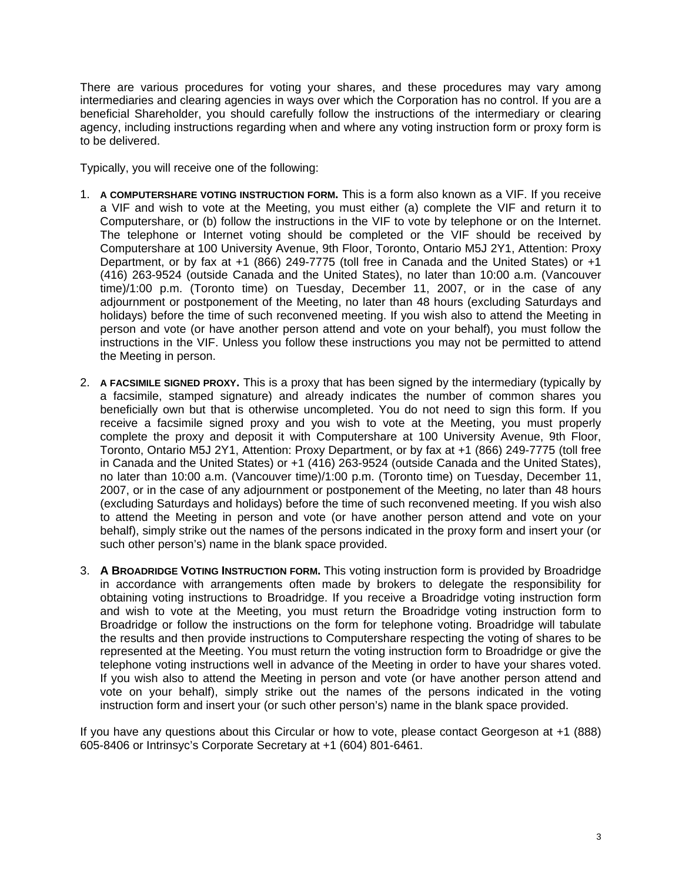There are various procedures for voting your shares, and these procedures may vary among intermediaries and clearing agencies in ways over which the Corporation has no control. If you are a beneficial Shareholder, you should carefully follow the instructions of the intermediary or clearing agency, including instructions regarding when and where any voting instruction form or proxy form is to be delivered.

Typically, you will receive one of the following:

- 1. **A COMPUTERSHARE VOTING INSTRUCTION FORM.** This is a form also known as a VIF. If you receive a VIF and wish to vote at the Meeting, you must either (a) complete the VIF and return it to Computershare, or (b) follow the instructions in the VIF to vote by telephone or on the Internet. The telephone or Internet voting should be completed or the VIF should be received by Computershare at 100 University Avenue, 9th Floor, Toronto, Ontario M5J 2Y1, Attention: Proxy Department, or by fax at +1 (866) 249-7775 (toll free in Canada and the United States) or +1 (416) 263-9524 (outside Canada and the United States), no later than 10:00 a.m. (Vancouver time)/1:00 p.m. (Toronto time) on Tuesday, December 11, 2007, or in the case of any adjournment or postponement of the Meeting, no later than 48 hours (excluding Saturdays and holidays) before the time of such reconvened meeting. If you wish also to attend the Meeting in person and vote (or have another person attend and vote on your behalf), you must follow the instructions in the VIF. Unless you follow these instructions you may not be permitted to attend the Meeting in person.
- 2. **A FACSIMILE SIGNED PROXY.** This is a proxy that has been signed by the intermediary (typically by a facsimile, stamped signature) and already indicates the number of common shares you beneficially own but that is otherwise uncompleted. You do not need to sign this form. If you receive a facsimile signed proxy and you wish to vote at the Meeting, you must properly complete the proxy and deposit it with Computershare at 100 University Avenue, 9th Floor, Toronto, Ontario M5J 2Y1, Attention: Proxy Department, or by fax at +1 (866) 249-7775 (toll free in Canada and the United States) or +1 (416) 263-9524 (outside Canada and the United States), no later than 10:00 a.m. (Vancouver time)/1:00 p.m. (Toronto time) on Tuesday, December 11, 2007, or in the case of any adjournment or postponement of the Meeting, no later than 48 hours (excluding Saturdays and holidays) before the time of such reconvened meeting. If you wish also to attend the Meeting in person and vote (or have another person attend and vote on your behalf), simply strike out the names of the persons indicated in the proxy form and insert your (or such other person's) name in the blank space provided.
- 3. **A BROADRIDGE VOTING INSTRUCTION FORM.** This voting instruction form is provided by Broadridge in accordance with arrangements often made by brokers to delegate the responsibility for obtaining voting instructions to Broadridge. If you receive a Broadridge voting instruction form and wish to vote at the Meeting, you must return the Broadridge voting instruction form to Broadridge or follow the instructions on the form for telephone voting. Broadridge will tabulate the results and then provide instructions to Computershare respecting the voting of shares to be represented at the Meeting. You must return the voting instruction form to Broadridge or give the telephone voting instructions well in advance of the Meeting in order to have your shares voted. If you wish also to attend the Meeting in person and vote (or have another person attend and vote on your behalf), simply strike out the names of the persons indicated in the voting instruction form and insert your (or such other person's) name in the blank space provided.

If you have any questions about this Circular or how to vote, please contact Georgeson at +1 (888) 605-8406 or Intrinsyc's Corporate Secretary at +1 (604) 801-6461.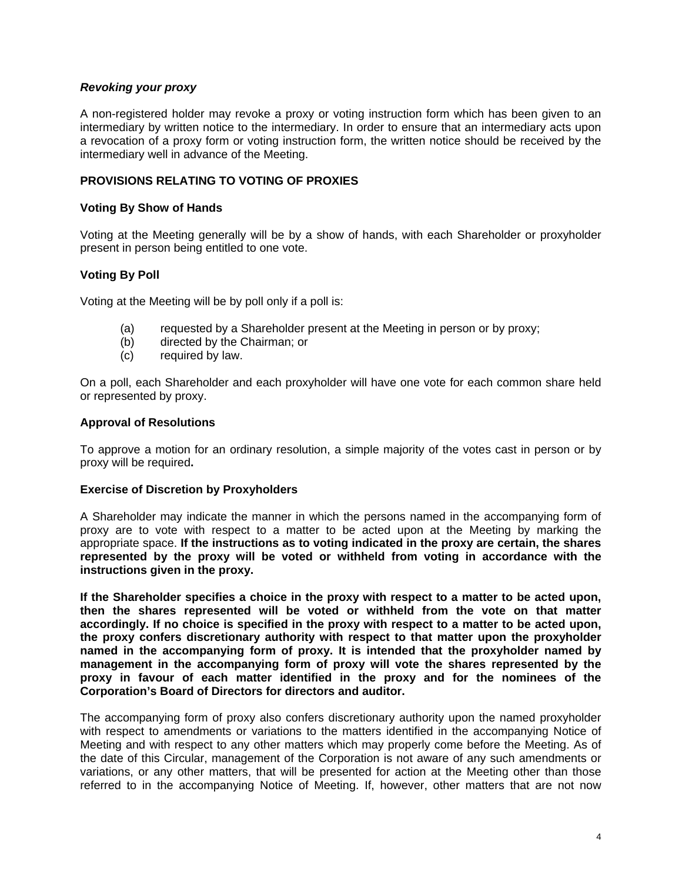# *Revoking your proxy*

A non-registered holder may revoke a proxy or voting instruction form which has been given to an intermediary by written notice to the intermediary. In order to ensure that an intermediary acts upon a revocation of a proxy form or voting instruction form, the written notice should be received by the intermediary well in advance of the Meeting.

### **PROVISIONS RELATING TO VOTING OF PROXIES**

#### **Voting By Show of Hands**

Voting at the Meeting generally will be by a show of hands, with each Shareholder or proxyholder present in person being entitled to one vote.

#### **Voting By Poll**

Voting at the Meeting will be by poll only if a poll is:

- (a) requested by a Shareholder present at the Meeting in person or by proxy;
- (b) directed by the Chairman; or
- (c) required by law.

On a poll, each Shareholder and each proxyholder will have one vote for each common share held or represented by proxy.

#### **Approval of Resolutions**

To approve a motion for an ordinary resolution, a simple majority of the votes cast in person or by proxy will be required**.** 

#### **Exercise of Discretion by Proxyholders**

A Shareholder may indicate the manner in which the persons named in the accompanying form of proxy are to vote with respect to a matter to be acted upon at the Meeting by marking the appropriate space. **If the instructions as to voting indicated in the proxy are certain, the shares represented by the proxy will be voted or withheld from voting in accordance with the instructions given in the proxy.** 

**If the Shareholder specifies a choice in the proxy with respect to a matter to be acted upon, then the shares represented will be voted or withheld from the vote on that matter accordingly. If no choice is specified in the proxy with respect to a matter to be acted upon, the proxy confers discretionary authority with respect to that matter upon the proxyholder named in the accompanying form of proxy. It is intended that the proxyholder named by management in the accompanying form of proxy will vote the shares represented by the proxy in favour of each matter identified in the proxy and for the nominees of the Corporation's Board of Directors for directors and auditor.** 

The accompanying form of proxy also confers discretionary authority upon the named proxyholder with respect to amendments or variations to the matters identified in the accompanying Notice of Meeting and with respect to any other matters which may properly come before the Meeting. As of the date of this Circular, management of the Corporation is not aware of any such amendments or variations, or any other matters, that will be presented for action at the Meeting other than those referred to in the accompanying Notice of Meeting. If, however, other matters that are not now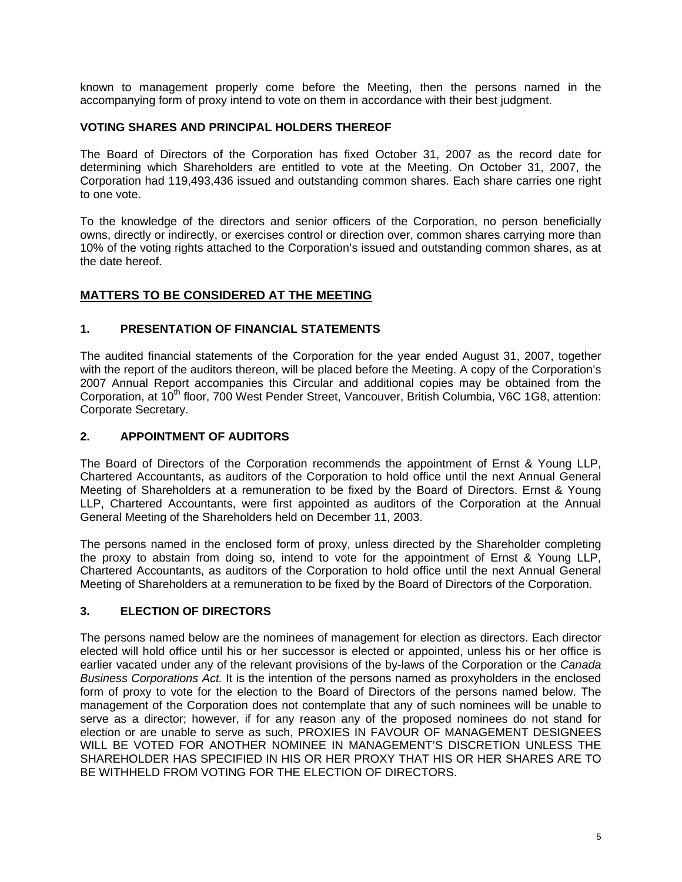known to management properly come before the Meeting, then the persons named in the accompanying form of proxy intend to vote on them in accordance with their best judgment.

# **VOTING SHARES AND PRINCIPAL HOLDERS THEREOF**

The Board of Directors of the Corporation has fixed October 31, 2007 as the record date for determining which Shareholders are entitled to vote at the Meeting. On October 31, 2007, the Corporation had 119,493,436 issued and outstanding common shares. Each share carries one right to one vote.

To the knowledge of the directors and senior officers of the Corporation, no person beneficially owns, directly or indirectly, or exercises control or direction over, common shares carrying more than 10% of the voting rights attached to the Corporation's issued and outstanding common shares, as at the date hereof.

# **MATTERS TO BE CONSIDERED AT THE MEETING**

# **1. PRESENTATION OF FINANCIAL STATEMENTS**

The audited financial statements of the Corporation for the year ended August 31, 2007, together with the report of the auditors thereon, will be placed before the Meeting. A copy of the Corporation's 2007 Annual Report accompanies this Circular and additional copies may be obtained from the Corporation, at 10<sup>th</sup> floor, 700 West Pender Street, Vancouver, British Columbia, V6C 1G8, attention: Corporate Secretary.

# **2. APPOINTMENT OF AUDITORS**

The Board of Directors of the Corporation recommends the appointment of Ernst & Young LLP, Chartered Accountants, as auditors of the Corporation to hold office until the next Annual General Meeting of Shareholders at a remuneration to be fixed by the Board of Directors. Ernst & Young LLP, Chartered Accountants, were first appointed as auditors of the Corporation at the Annual General Meeting of the Shareholders held on December 11, 2003.

The persons named in the enclosed form of proxy, unless directed by the Shareholder completing the proxy to abstain from doing so, intend to vote for the appointment of Ernst & Young LLP, Chartered Accountants, as auditors of the Corporation to hold office until the next Annual General Meeting of Shareholders at a remuneration to be fixed by the Board of Directors of the Corporation.

# **3. ELECTION OF DIRECTORS**

The persons named below are the nominees of management for election as directors. Each director elected will hold office until his or her successor is elected or appointed, unless his or her office is earlier vacated under any of the relevant provisions of the by-laws of the Corporation or the *Canada Business Corporations Act.* It is the intention of the persons named as proxyholders in the enclosed form of proxy to vote for the election to the Board of Directors of the persons named below. The management of the Corporation does not contemplate that any of such nominees will be unable to serve as a director; however, if for any reason any of the proposed nominees do not stand for election or are unable to serve as such, PROXIES IN FAVOUR OF MANAGEMENT DESIGNEES WILL BE VOTED FOR ANOTHER NOMINEE IN MANAGEMENT'S DISCRETION UNLESS THE SHAREHOLDER HAS SPECIFIED IN HIS OR HER PROXY THAT HIS OR HER SHARES ARE TO BE WITHHELD FROM VOTING FOR THE ELECTION OF DIRECTORS.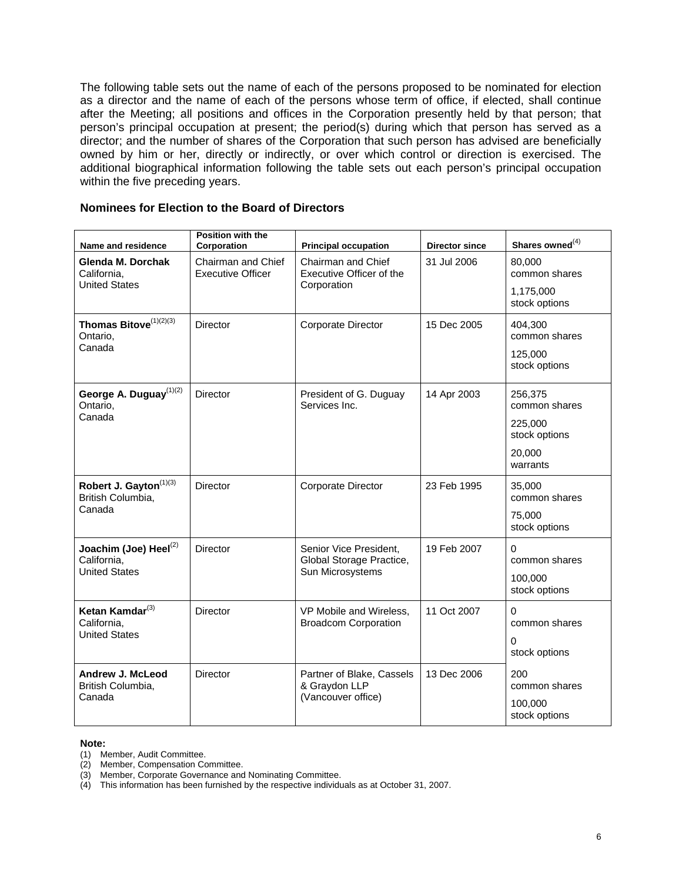The following table sets out the name of each of the persons proposed to be nominated for election as a director and the name of each of the persons whose term of office, if elected, shall continue after the Meeting; all positions and offices in the Corporation presently held by that person; that person's principal occupation at present; the period(s) during which that person has served as a director; and the number of shares of the Corporation that such person has advised are beneficially owned by him or her, directly or indirectly, or over which control or direction is exercised. The additional biographical information following the table sets out each person's principal occupation within the five preceding years.

# **Nominees for Election to the Board of Directors**

| Name and residence                                       | Position with the<br>Corporation                                                                                | <b>Principal occupation</b>                            | <b>Director since</b> | Shares owned <sup>(4)</sup> |
|----------------------------------------------------------|-----------------------------------------------------------------------------------------------------------------|--------------------------------------------------------|-----------------------|-----------------------------|
| Glenda M. Dorchak<br>California,<br><b>United States</b> | Chairman and Chief<br>Chairman and Chief<br>Executive Officer of the<br><b>Executive Officer</b><br>Corporation |                                                        | 31 Jul 2006           | 80.000<br>common shares     |
|                                                          |                                                                                                                 |                                                        |                       | 1,175,000<br>stock options  |
| Thomas Bitove <sup>(1)(2)(3)</sup><br>Ontario,           | <b>Director</b>                                                                                                 | Corporate Director                                     | 15 Dec 2005           | 404,300<br>common shares    |
| Canada                                                   |                                                                                                                 |                                                        |                       | 125,000<br>stock options    |
| George A. Duguay <sup>(1)(2)</sup><br>Ontario,           | <b>Director</b>                                                                                                 | President of G. Duguay<br>Services Inc.                | 14 Apr 2003           | 256,375<br>common shares    |
| Canada                                                   |                                                                                                                 |                                                        |                       | 225,000<br>stock options    |
|                                                          |                                                                                                                 |                                                        |                       | 20,000<br>warrants          |
| Robert J. Gayton <sup>(1)(3)</sup><br>British Columbia,  | Director                                                                                                        | Corporate Director                                     | 23 Feb 1995           | 35,000<br>common shares     |
| Canada                                                   |                                                                                                                 |                                                        |                       | 75.000<br>stock options     |
| Joachim (Joe) Heel <sup>(2)</sup><br>California,         | <b>Director</b>                                                                                                 | Senior Vice President,<br>Global Storage Practice,     | 19 Feb 2007           | 0<br>common shares          |
| <b>United States</b>                                     |                                                                                                                 | Sun Microsystems                                       |                       | 100,000<br>stock options    |
| Ketan Kamdar <sup>(3)</sup><br>California.               | <b>Director</b>                                                                                                 | VP Mobile and Wireless,<br><b>Broadcom Corporation</b> | 11 Oct 2007           | $\Omega$<br>common shares   |
| <b>United States</b>                                     |                                                                                                                 |                                                        |                       | 0<br>stock options          |
| Andrew J. McLeod<br>British Columbia,                    | <b>Director</b>                                                                                                 | Partner of Blake, Cassels<br>& Graydon LLP             | 13 Dec 2006           | 200<br>common shares        |
| Canada                                                   |                                                                                                                 | (Vancouver office)                                     |                       | 100,000<br>stock options    |

#### **Note:**

(1) Member, Audit Committee.

(2) Member, Compensation Committee.

(3) Member, Corporate Governance and Nominating Committee.

(4) This information has been furnished by the respective individuals as at October 31, 2007.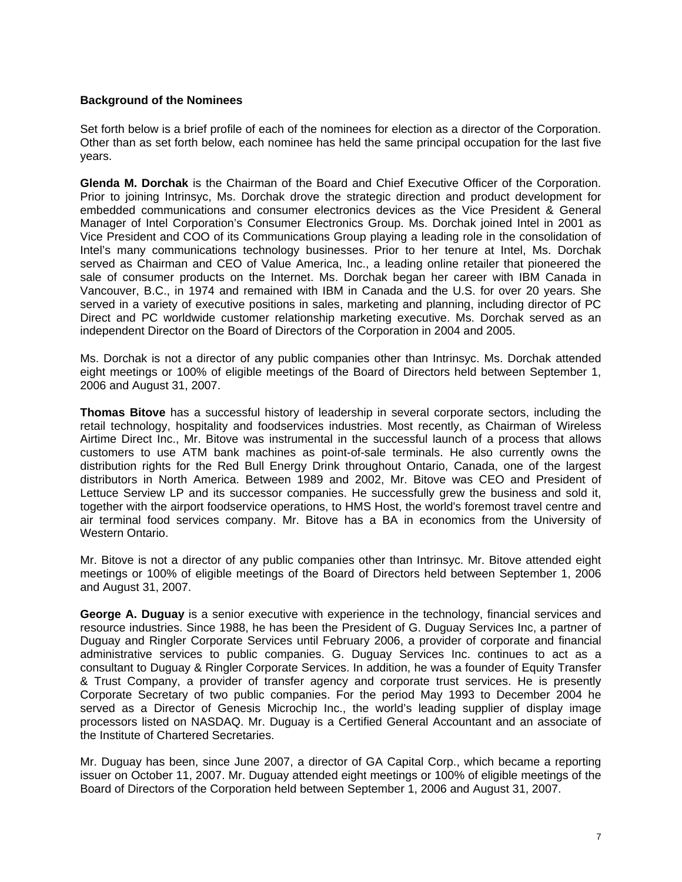### **Background of the Nominees**

Set forth below is a brief profile of each of the nominees for election as a director of the Corporation. Other than as set forth below, each nominee has held the same principal occupation for the last five years.

**Glenda M. Dorchak** is the Chairman of the Board and Chief Executive Officer of the Corporation. Prior to joining Intrinsyc, Ms. Dorchak drove the strategic direction and product development for embedded communications and consumer electronics devices as the Vice President & General Manager of Intel Corporation's Consumer Electronics Group. Ms. Dorchak joined Intel in 2001 as Vice President and COO of its Communications Group playing a leading role in the consolidation of Intel's many communications technology businesses. Prior to her tenure at Intel, Ms. Dorchak served as Chairman and CEO of Value America, Inc., a leading online retailer that pioneered the sale of consumer products on the Internet. Ms. Dorchak began her career with IBM Canada in Vancouver, B.C., in 1974 and remained with IBM in Canada and the U.S. for over 20 years. She served in a variety of executive positions in sales, marketing and planning, including director of PC Direct and PC worldwide customer relationship marketing executive. Ms. Dorchak served as an independent Director on the Board of Directors of the Corporation in 2004 and 2005.

Ms. Dorchak is not a director of any public companies other than Intrinsyc. Ms. Dorchak attended eight meetings or 100% of eligible meetings of the Board of Directors held between September 1, 2006 and August 31, 2007.

**Thomas Bitove** has a successful history of leadership in several corporate sectors, including the retail technology, hospitality and foodservices industries. Most recently, as Chairman of Wireless Airtime Direct Inc., Mr. Bitove was instrumental in the successful launch of a process that allows customers to use ATM bank machines as point-of-sale terminals. He also currently owns the distribution rights for the Red Bull Energy Drink throughout Ontario, Canada, one of the largest distributors in North America. Between 1989 and 2002, Mr. Bitove was CEO and President of Lettuce Serview LP and its successor companies. He successfully grew the business and sold it, together with the airport foodservice operations, to HMS Host, the world's foremost travel centre and air terminal food services company. Mr. Bitove has a BA in economics from the University of Western Ontario.

Mr. Bitove is not a director of any public companies other than Intrinsyc. Mr. Bitove attended eight meetings or 100% of eligible meetings of the Board of Directors held between September 1, 2006 and August 31, 2007.

**George A. Duguay** is a senior executive with experience in the technology, financial services and resource industries. Since 1988, he has been the President of G. Duguay Services Inc, a partner of Duguay and Ringler Corporate Services until February 2006, a provider of corporate and financial administrative services to public companies. G. Duguay Services Inc. continues to act as a consultant to Duguay & Ringler Corporate Services. In addition, he was a founder of Equity Transfer & Trust Company, a provider of transfer agency and corporate trust services. He is presently Corporate Secretary of two public companies. For the period May 1993 to December 2004 he served as a Director of Genesis Microchip Inc., the world's leading supplier of display image processors listed on NASDAQ. Mr. Duguay is a Certified General Accountant and an associate of the Institute of Chartered Secretaries.

Mr. Duguay has been, since June 2007, a director of GA Capital Corp., which became a reporting issuer on October 11, 2007. Mr. Duguay attended eight meetings or 100% of eligible meetings of the Board of Directors of the Corporation held between September 1, 2006 and August 31, 2007.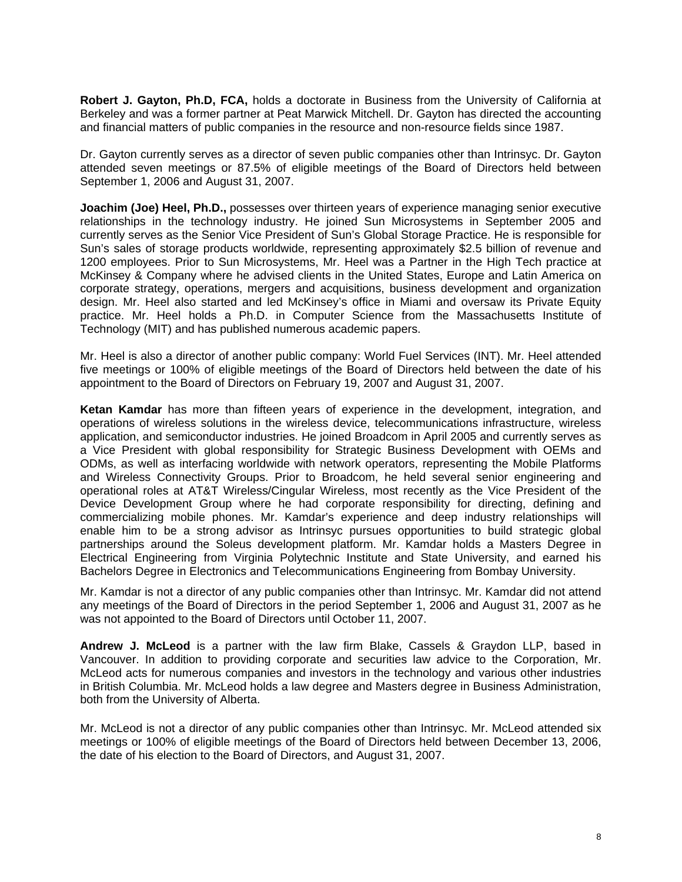**Robert J. Gayton, Ph.D, FCA,** holds a doctorate in Business from the University of California at Berkeley and was a former partner at Peat Marwick Mitchell. Dr. Gayton has directed the accounting and financial matters of public companies in the resource and non-resource fields since 1987.

Dr. Gayton currently serves as a director of seven public companies other than Intrinsyc. Dr. Gayton attended seven meetings or 87.5% of eligible meetings of the Board of Directors held between September 1, 2006 and August 31, 2007.

**Joachim (Joe) Heel, Ph.D.,** possesses over thirteen years of experience managing senior executive relationships in the technology industry. He joined Sun Microsystems in September 2005 and currently serves as the Senior Vice President of Sun's Global Storage Practice. He is responsible for Sun's sales of storage products worldwide, representing approximately \$2.5 billion of revenue and 1200 employees. Prior to Sun Microsystems, Mr. Heel was a Partner in the High Tech practice at McKinsey & Company where he advised clients in the United States, Europe and Latin America on corporate strategy, operations, mergers and acquisitions, business development and organization design. Mr. Heel also started and led McKinsey's office in Miami and oversaw its Private Equity practice. Mr. Heel holds a Ph.D. in Computer Science from the Massachusetts Institute of Technology (MIT) and has published numerous academic papers.

Mr. Heel is also a director of another public company: World Fuel Services (INT). Mr. Heel attended five meetings or 100% of eligible meetings of the Board of Directors held between the date of his appointment to the Board of Directors on February 19, 2007 and August 31, 2007.

**Ketan Kamdar** has more than fifteen years of experience in the development, integration, and operations of wireless solutions in the wireless device, telecommunications infrastructure, wireless application, and semiconductor industries. He joined Broadcom in April 2005 and currently serves as a Vice President with global responsibility for Strategic Business Development with OEMs and ODMs, as well as interfacing worldwide with network operators, representing the Mobile Platforms and Wireless Connectivity Groups. Prior to Broadcom, he held several senior engineering and operational roles at AT&T Wireless/Cingular Wireless, most recently as the Vice President of the Device Development Group where he had corporate responsibility for directing, defining and commercializing mobile phones. Mr. Kamdar's experience and deep industry relationships will enable him to be a strong advisor as Intrinsyc pursues opportunities to build strategic global partnerships around the Soleus development platform. Mr. Kamdar holds a Masters Degree in Electrical Engineering from Virginia Polytechnic Institute and State University, and earned his Bachelors Degree in Electronics and Telecommunications Engineering from Bombay University.

Mr. Kamdar is not a director of any public companies other than Intrinsyc. Mr. Kamdar did not attend any meetings of the Board of Directors in the period September 1, 2006 and August 31, 2007 as he was not appointed to the Board of Directors until October 11, 2007.

**Andrew J. McLeod** is a partner with the law firm Blake, Cassels & Graydon LLP, based in Vancouver. In addition to providing corporate and securities law advice to the Corporation, Mr. McLeod acts for numerous companies and investors in the technology and various other industries in British Columbia. Mr. McLeod holds a law degree and Masters degree in Business Administration, both from the University of Alberta.

Mr. McLeod is not a director of any public companies other than Intrinsyc. Mr. McLeod attended six meetings or 100% of eligible meetings of the Board of Directors held between December 13, 2006, the date of his election to the Board of Directors, and August 31, 2007.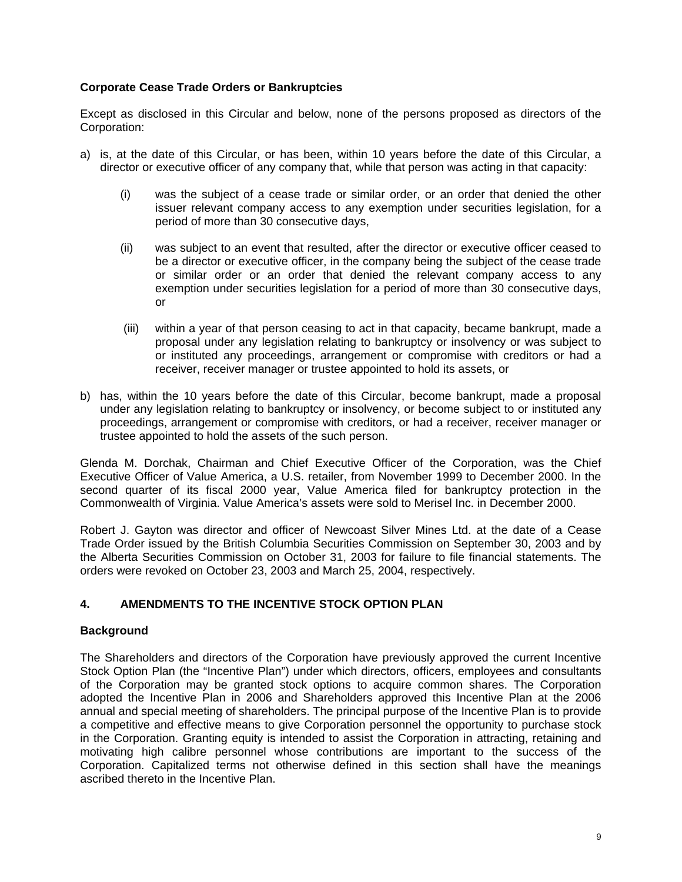# **Corporate Cease Trade Orders or Bankruptcies**

Except as disclosed in this Circular and below, none of the persons proposed as directors of the Corporation:

- a) is, at the date of this Circular, or has been, within 10 years before the date of this Circular, a director or executive officer of any company that, while that person was acting in that capacity:
	- (i) was the subject of a cease trade or similar order, or an order that denied the other issuer relevant company access to any exemption under securities legislation, for a period of more than 30 consecutive days,
	- (ii) was subject to an event that resulted, after the director or executive officer ceased to be a director or executive officer, in the company being the subject of the cease trade or similar order or an order that denied the relevant company access to any exemption under securities legislation for a period of more than 30 consecutive days, or
	- (iii) within a year of that person ceasing to act in that capacity, became bankrupt, made a proposal under any legislation relating to bankruptcy or insolvency or was subject to or instituted any proceedings, arrangement or compromise with creditors or had a receiver, receiver manager or trustee appointed to hold its assets, or
- b) has, within the 10 years before the date of this Circular, become bankrupt, made a proposal under any legislation relating to bankruptcy or insolvency, or become subject to or instituted any proceedings, arrangement or compromise with creditors, or had a receiver, receiver manager or trustee appointed to hold the assets of the such person.

Glenda M. Dorchak, Chairman and Chief Executive Officer of the Corporation, was the Chief Executive Officer of Value America, a U.S. retailer, from November 1999 to December 2000. In the second quarter of its fiscal 2000 year, Value America filed for bankruptcy protection in the Commonwealth of Virginia. Value America's assets were sold to Merisel Inc. in December 2000.

Robert J. Gayton was director and officer of Newcoast Silver Mines Ltd. at the date of a Cease Trade Order issued by the British Columbia Securities Commission on September 30, 2003 and by the Alberta Securities Commission on October 31, 2003 for failure to file financial statements. The orders were revoked on October 23, 2003 and March 25, 2004, respectively.

# **4. AMENDMENTS TO THE INCENTIVE STOCK OPTION PLAN**

# **Background**

The Shareholders and directors of the Corporation have previously approved the current Incentive Stock Option Plan (the "Incentive Plan") under which directors, officers, employees and consultants of the Corporation may be granted stock options to acquire common shares. The Corporation adopted the Incentive Plan in 2006 and Shareholders approved this Incentive Plan at the 2006 annual and special meeting of shareholders. The principal purpose of the Incentive Plan is to provide a competitive and effective means to give Corporation personnel the opportunity to purchase stock in the Corporation. Granting equity is intended to assist the Corporation in attracting, retaining and motivating high calibre personnel whose contributions are important to the success of the Corporation. Capitalized terms not otherwise defined in this section shall have the meanings ascribed thereto in the Incentive Plan.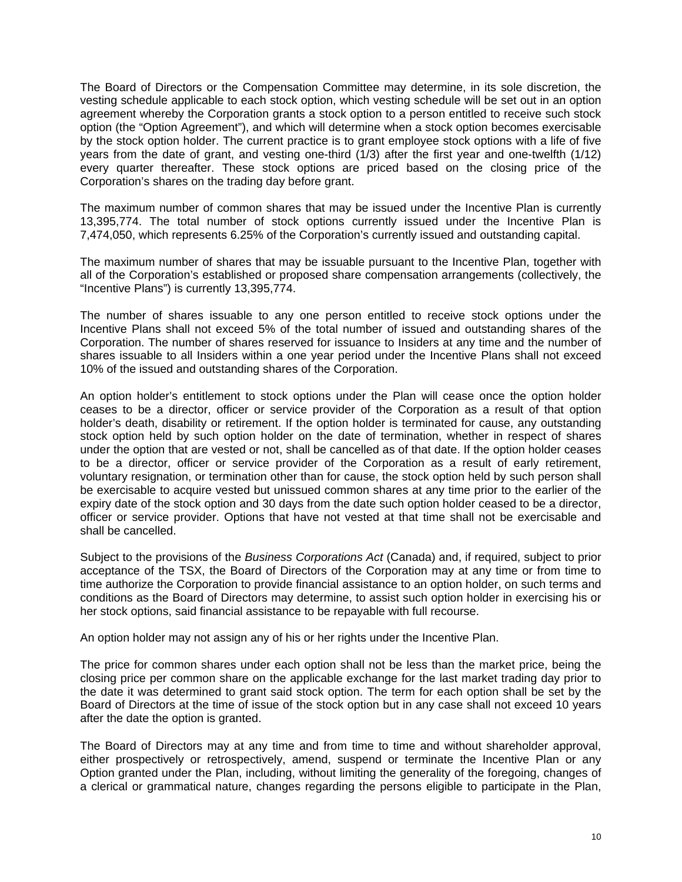The Board of Directors or the Compensation Committee may determine, in its sole discretion, the vesting schedule applicable to each stock option, which vesting schedule will be set out in an option agreement whereby the Corporation grants a stock option to a person entitled to receive such stock option (the "Option Agreement"), and which will determine when a stock option becomes exercisable by the stock option holder. The current practice is to grant employee stock options with a life of five years from the date of grant, and vesting one-third (1/3) after the first year and one-twelfth (1/12) every quarter thereafter. These stock options are priced based on the closing price of the Corporation's shares on the trading day before grant.

The maximum number of common shares that may be issued under the Incentive Plan is currently 13,395,774. The total number of stock options currently issued under the Incentive Plan is 7,474,050, which represents 6.25% of the Corporation's currently issued and outstanding capital.

The maximum number of shares that may be issuable pursuant to the Incentive Plan, together with all of the Corporation's established or proposed share compensation arrangements (collectively, the "Incentive Plans") is currently 13,395,774.

The number of shares issuable to any one person entitled to receive stock options under the Incentive Plans shall not exceed 5% of the total number of issued and outstanding shares of the Corporation. The number of shares reserved for issuance to Insiders at any time and the number of shares issuable to all Insiders within a one year period under the Incentive Plans shall not exceed 10% of the issued and outstanding shares of the Corporation.

An option holder's entitlement to stock options under the Plan will cease once the option holder ceases to be a director, officer or service provider of the Corporation as a result of that option holder's death, disability or retirement. If the option holder is terminated for cause, any outstanding stock option held by such option holder on the date of termination, whether in respect of shares under the option that are vested or not, shall be cancelled as of that date. If the option holder ceases to be a director, officer or service provider of the Corporation as a result of early retirement, voluntary resignation, or termination other than for cause, the stock option held by such person shall be exercisable to acquire vested but unissued common shares at any time prior to the earlier of the expiry date of the stock option and 30 days from the date such option holder ceased to be a director, officer or service provider. Options that have not vested at that time shall not be exercisable and shall be cancelled.

Subject to the provisions of the *Business Corporations Act* (Canada) and, if required, subject to prior acceptance of the TSX, the Board of Directors of the Corporation may at any time or from time to time authorize the Corporation to provide financial assistance to an option holder, on such terms and conditions as the Board of Directors may determine, to assist such option holder in exercising his or her stock options, said financial assistance to be repayable with full recourse.

An option holder may not assign any of his or her rights under the Incentive Plan.

The price for common shares under each option shall not be less than the market price, being the closing price per common share on the applicable exchange for the last market trading day prior to the date it was determined to grant said stock option. The term for each option shall be set by the Board of Directors at the time of issue of the stock option but in any case shall not exceed 10 years after the date the option is granted.

The Board of Directors may at any time and from time to time and without shareholder approval, either prospectively or retrospectively, amend, suspend or terminate the Incentive Plan or any Option granted under the Plan, including, without limiting the generality of the foregoing, changes of a clerical or grammatical nature, changes regarding the persons eligible to participate in the Plan,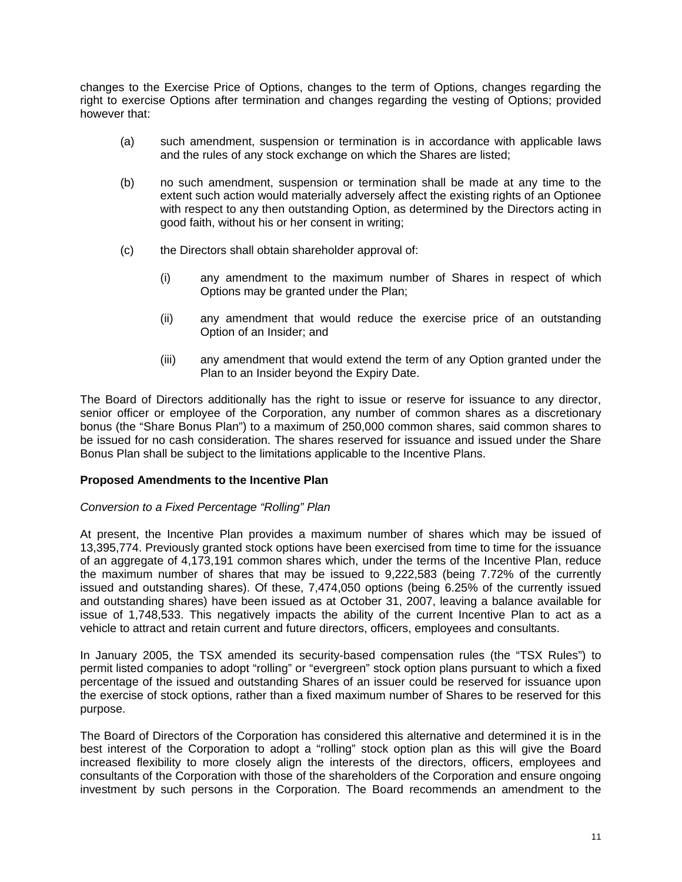changes to the Exercise Price of Options, changes to the term of Options, changes regarding the right to exercise Options after termination and changes regarding the vesting of Options; provided however that:

- (a) such amendment, suspension or termination is in accordance with applicable laws and the rules of any stock exchange on which the Shares are listed;
- (b) no such amendment, suspension or termination shall be made at any time to the extent such action would materially adversely affect the existing rights of an Optionee with respect to any then outstanding Option, as determined by the Directors acting in good faith, without his or her consent in writing;
- (c) the Directors shall obtain shareholder approval of:
	- (i) any amendment to the maximum number of Shares in respect of which Options may be granted under the Plan;
	- (ii) any amendment that would reduce the exercise price of an outstanding Option of an Insider; and
	- (iii) any amendment that would extend the term of any Option granted under the Plan to an Insider beyond the Expiry Date.

The Board of Directors additionally has the right to issue or reserve for issuance to any director, senior officer or employee of the Corporation, any number of common shares as a discretionary bonus (the "Share Bonus Plan") to a maximum of 250,000 common shares, said common shares to be issued for no cash consideration. The shares reserved for issuance and issued under the Share Bonus Plan shall be subject to the limitations applicable to the Incentive Plans.

# **Proposed Amendments to the Incentive Plan**

#### *Conversion to a Fixed Percentage "Rolling" Plan*

At present, the Incentive Plan provides a maximum number of shares which may be issued of 13,395,774. Previously granted stock options have been exercised from time to time for the issuance of an aggregate of 4,173,191 common shares which, under the terms of the Incentive Plan, reduce the maximum number of shares that may be issued to 9,222,583 (being 7.72% of the currently issued and outstanding shares). Of these, 7,474,050 options (being 6.25% of the currently issued and outstanding shares) have been issued as at October 31, 2007, leaving a balance available for issue of 1,748,533. This negatively impacts the ability of the current Incentive Plan to act as a vehicle to attract and retain current and future directors, officers, employees and consultants.

In January 2005, the TSX amended its security-based compensation rules (the "TSX Rules") to permit listed companies to adopt "rolling" or "evergreen" stock option plans pursuant to which a fixed percentage of the issued and outstanding Shares of an issuer could be reserved for issuance upon the exercise of stock options, rather than a fixed maximum number of Shares to be reserved for this purpose.

The Board of Directors of the Corporation has considered this alternative and determined it is in the best interest of the Corporation to adopt a "rolling" stock option plan as this will give the Board increased flexibility to more closely align the interests of the directors, officers, employees and consultants of the Corporation with those of the shareholders of the Corporation and ensure ongoing investment by such persons in the Corporation. The Board recommends an amendment to the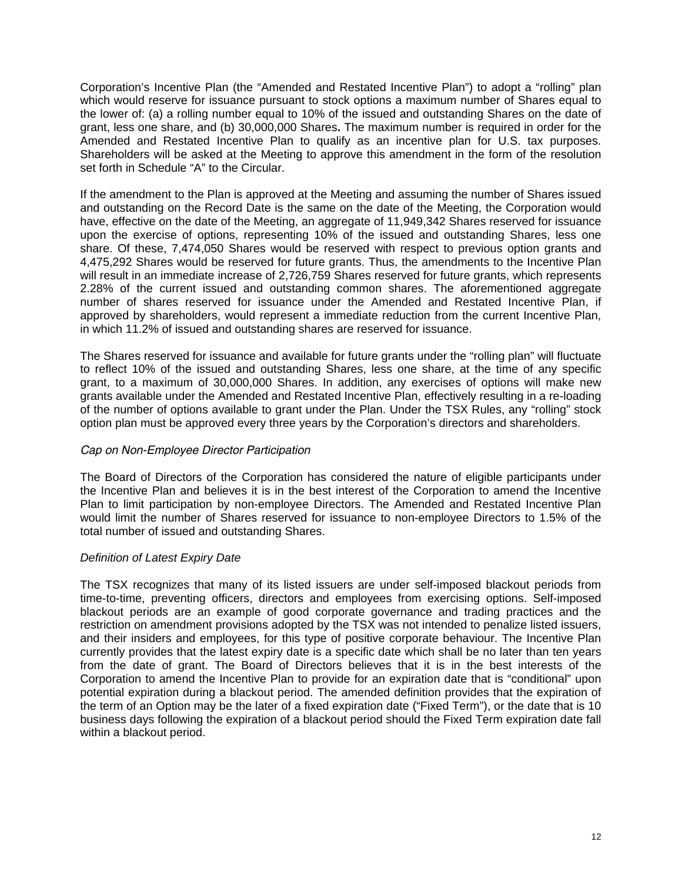Corporation's Incentive Plan (the "Amended and Restated Incentive Plan") to adopt a "rolling" plan which would reserve for issuance pursuant to stock options a maximum number of Shares equal to the lower of: (a) a rolling number equal to 10% of the issued and outstanding Shares on the date of grant, less one share, and (b) 30,000,000 Shares**.** The maximum number is required in order for the Amended and Restated Incentive Plan to qualify as an incentive plan for U.S. tax purposes. Shareholders will be asked at the Meeting to approve this amendment in the form of the resolution set forth in Schedule "A" to the Circular.

If the amendment to the Plan is approved at the Meeting and assuming the number of Shares issued and outstanding on the Record Date is the same on the date of the Meeting, the Corporation would have, effective on the date of the Meeting, an aggregate of 11,949,342 Shares reserved for issuance upon the exercise of options, representing 10% of the issued and outstanding Shares, less one share. Of these, 7,474,050 Shares would be reserved with respect to previous option grants and 4,475,292 Shares would be reserved for future grants. Thus, the amendments to the Incentive Plan will result in an immediate increase of 2,726,759 Shares reserved for future grants, which represents 2.28% of the current issued and outstanding common shares. The aforementioned aggregate number of shares reserved for issuance under the Amended and Restated Incentive Plan, if approved by shareholders, would represent a immediate reduction from the current Incentive Plan, in which 11.2% of issued and outstanding shares are reserved for issuance.

The Shares reserved for issuance and available for future grants under the "rolling plan" will fluctuate to reflect 10% of the issued and outstanding Shares, less one share, at the time of any specific grant, to a maximum of 30,000,000 Shares. In addition, any exercises of options will make new grants available under the Amended and Restated Incentive Plan, effectively resulting in a re-loading of the number of options available to grant under the Plan. Under the TSX Rules, any "rolling" stock option plan must be approved every three years by the Corporation's directors and shareholders.

# *Cap on Non-Employee Director Participation*

The Board of Directors of the Corporation has considered the nature of eligible participants under the Incentive Plan and believes it is in the best interest of the Corporation to amend the Incentive Plan to limit participation by non-employee Directors. The Amended and Restated Incentive Plan would limit the number of Shares reserved for issuance to non-employee Directors to 1.5% of the total number of issued and outstanding Shares.

# *Definition of Latest Expiry Date*

The TSX recognizes that many of its listed issuers are under self-imposed blackout periods from time-to-time, preventing officers, directors and employees from exercising options. Self-imposed blackout periods are an example of good corporate governance and trading practices and the restriction on amendment provisions adopted by the TSX was not intended to penalize listed issuers, and their insiders and employees, for this type of positive corporate behaviour. The Incentive Plan currently provides that the latest expiry date is a specific date which shall be no later than ten years from the date of grant. The Board of Directors believes that it is in the best interests of the Corporation to amend the Incentive Plan to provide for an expiration date that is "conditional" upon potential expiration during a blackout period. The amended definition provides that the expiration of the term of an Option may be the later of a fixed expiration date ("Fixed Term"), or the date that is 10 business days following the expiration of a blackout period should the Fixed Term expiration date fall within a blackout period.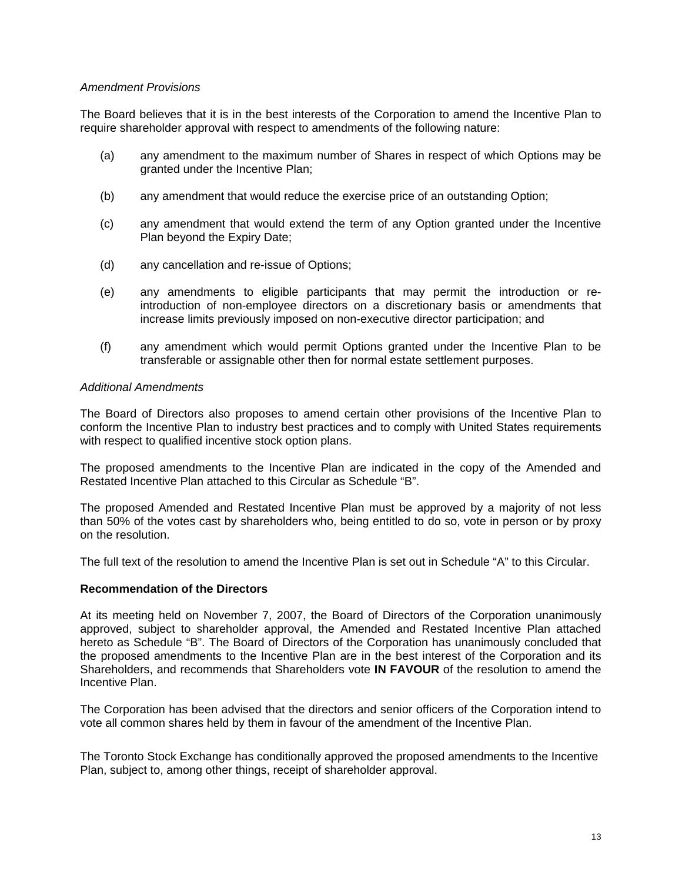#### *Amendment Provisions*

The Board believes that it is in the best interests of the Corporation to amend the Incentive Plan to require shareholder approval with respect to amendments of the following nature:

- (a) any amendment to the maximum number of Shares in respect of which Options may be granted under the Incentive Plan;
- (b) any amendment that would reduce the exercise price of an outstanding Option;
- (c) any amendment that would extend the term of any Option granted under the Incentive Plan beyond the Expiry Date;
- (d) any cancellation and re-issue of Options;
- (e) any amendments to eligible participants that may permit the introduction or reintroduction of non-employee directors on a discretionary basis or amendments that increase limits previously imposed on non-executive director participation; and
- (f) any amendment which would permit Options granted under the Incentive Plan to be transferable or assignable other then for normal estate settlement purposes.

#### *Additional Amendments*

The Board of Directors also proposes to amend certain other provisions of the Incentive Plan to conform the Incentive Plan to industry best practices and to comply with United States requirements with respect to qualified incentive stock option plans.

The proposed amendments to the Incentive Plan are indicated in the copy of the Amended and Restated Incentive Plan attached to this Circular as Schedule "B".

The proposed Amended and Restated Incentive Plan must be approved by a majority of not less than 50% of the votes cast by shareholders who, being entitled to do so, vote in person or by proxy on the resolution.

The full text of the resolution to amend the Incentive Plan is set out in Schedule "A" to this Circular.

#### **Recommendation of the Directors**

At its meeting held on November 7, 2007, the Board of Directors of the Corporation unanimously approved, subject to shareholder approval, the Amended and Restated Incentive Plan attached hereto as Schedule "B". The Board of Directors of the Corporation has unanimously concluded that the proposed amendments to the Incentive Plan are in the best interest of the Corporation and its Shareholders, and recommends that Shareholders vote **IN FAVOUR** of the resolution to amend the Incentive Plan.

The Corporation has been advised that the directors and senior officers of the Corporation intend to vote all common shares held by them in favour of the amendment of the Incentive Plan.

The Toronto Stock Exchange has conditionally approved the proposed amendments to the Incentive Plan, subject to, among other things, receipt of shareholder approval.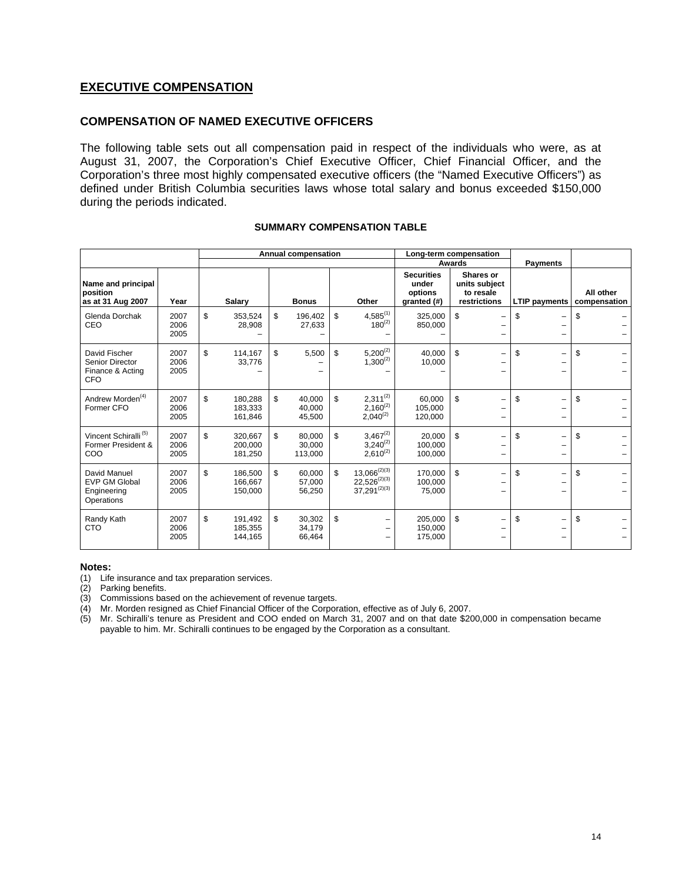# **EXECUTIVE COMPENSATION**

#### **COMPENSATION OF NAMED EXECUTIVE OFFICERS**

The following table sets out all compensation paid in respect of the individuals who were, as at August 31, 2007, the Corporation's Chief Executive Officer, Chief Financial Officer, and the Corporation's three most highly compensated executive officers (the "Named Executive Officers") as defined under British Columbia securities laws whose total salary and bonus exceeded \$150,000 during the periods indicated.

|                                                                           |                      | Annual compensation                 |    |                             | Long-term compensation<br>Awards                                  |                                                      | <b>Payments</b> |                                                         |                                |                           |
|---------------------------------------------------------------------------|----------------------|-------------------------------------|----|-----------------------------|-------------------------------------------------------------------|------------------------------------------------------|-----------------|---------------------------------------------------------|--------------------------------|---------------------------|
| Name and principal<br>position<br>as at 31 Aug 2007                       | Year                 | Salary                              |    | <b>Bonus</b>                | Other                                                             | <b>Securities</b><br>under<br>options<br>granted (#) |                 | Shares or<br>units subject<br>to resale<br>restrictions | <b>LTIP payments</b>           | All other<br>compensation |
| Glenda Dorchak<br>CEO                                                     | 2007<br>2006<br>2005 | \$<br>353,524<br>28,908             | \$ | 196,402<br>27,633           | \$<br>$4,585^{(1)}$<br>$180^{(2)}$                                | 325,000<br>850,000                                   | \$              | -<br>-                                                  | \$                             | \$                        |
| David Fischer<br><b>Senior Director</b><br>Finance & Acting<br><b>CFO</b> | 2007<br>2006<br>2005 | \$<br>114,167<br>33,776             | \$ | 5,500                       | \$<br>$5,200^{(2)}$<br>$1,300^{(2)}$                              | 40.000<br>10,000                                     | \$              | $\overline{\phantom{0}}$<br>-                           | \$<br>-                        | \$                        |
| Andrew Morden <sup>(4)</sup><br>Former CFO                                | 2007<br>2006<br>2005 | \$<br>180,288<br>183,333<br>161,846 | \$ | 40,000<br>40,000<br>45,500  | \$<br>$2,311^{(2)}$<br>$2,160^{(2)}$<br>$2,040^{(2)}$             | 60,000<br>105,000<br>120,000                         | \$              | -                                                       | \$<br>$\overline{\phantom{0}}$ | \$                        |
| Vincent Schiralli <sup>(5)</sup><br>Former President &<br>COO             | 2007<br>2006<br>2005 | \$<br>320.667<br>200,000<br>181,250 | \$ | 80.000<br>30,000<br>113,000 | \$<br>$3,467^{(2)}$<br>$3,240^{(2)}$<br>$2,610^{(2)}$             | 20.000<br>100,000<br>100,000                         | \$              | -                                                       | \$<br>$\overline{\phantom{0}}$ | \$                        |
| David Manuel<br><b>EVP GM Global</b><br>Engineering<br>Operations         | 2007<br>2006<br>2005 | \$<br>186,500<br>166,667<br>150,000 | \$ | 60,000<br>57,000<br>56,250  | \$<br>$13,066^{(2)(3)}$<br>$22,526^{(2)(3)}$<br>$37,291^{(2)(3)}$ | 170,000<br>100,000<br>75,000                         | \$              | -                                                       | \$<br>$\overline{\phantom{0}}$ | \$                        |
| Randy Kath<br><b>CTO</b>                                                  | 2007<br>2006<br>2005 | \$<br>191,492<br>185,355<br>144,165 | \$ | 30,302<br>34.179<br>66,464  | \$<br>-                                                           | 205,000<br>150,000<br>175,000                        | \$              | -                                                       | \$                             | \$                        |

#### **SUMMARY COMPENSATION TABLE**

#### **Notes:**

- (1) Life insurance and tax preparation services.
- (2) Parking benefits.
- (3) Commissions based on the achievement of revenue targets.
- (4) Mr. Morden resigned as Chief Financial Officer of the Corporation, effective as of July 6, 2007.
- (5) Mr. Schiralli's tenure as President and COO ended on March 31, 2007 and on that date \$200,000 in compensation became payable to him. Mr. Schiralli continues to be engaged by the Corporation as a consultant.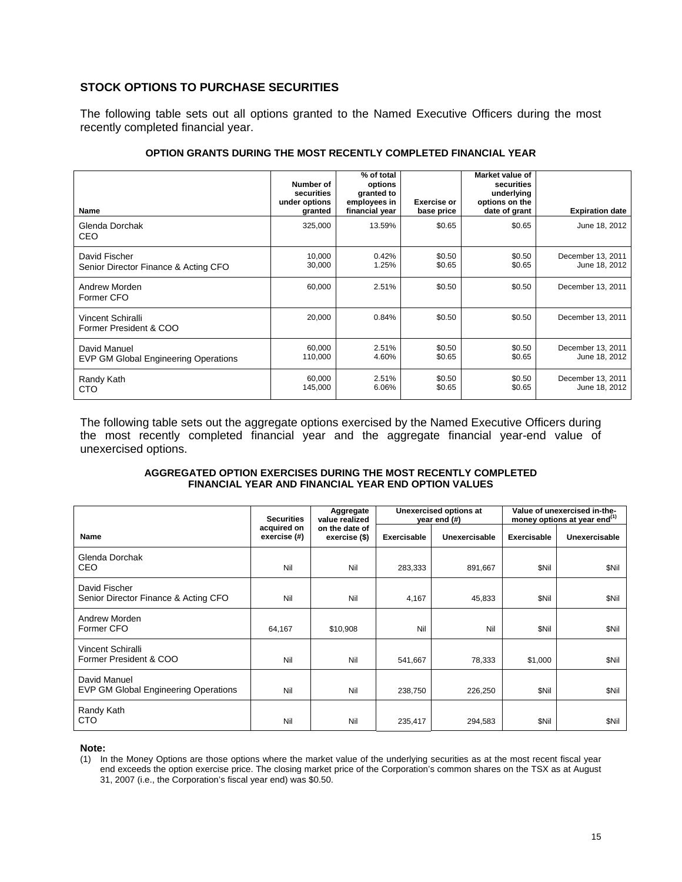# **STOCK OPTIONS TO PURCHASE SECURITIES**

The following table sets out all options granted to the Named Executive Officers during the most recently completed financial year.

| Name                                                        | Number of<br>securities<br>under options<br>granted | % of total<br>options<br>granted to<br>employees in<br>financial year | <b>Exercise or</b><br>base price | Market value of<br>securities<br>underlying<br>options on the<br>date of grant | <b>Expiration date</b>             |
|-------------------------------------------------------------|-----------------------------------------------------|-----------------------------------------------------------------------|----------------------------------|--------------------------------------------------------------------------------|------------------------------------|
| Glenda Dorchak<br>CEO                                       | 325,000                                             | 13.59%                                                                | \$0.65                           | \$0.65                                                                         | June 18, 2012                      |
| David Fischer<br>Senior Director Finance & Acting CFO       | 10,000<br>30,000                                    | 0.42%<br>1.25%                                                        | \$0.50<br>\$0.65                 | \$0.50<br>\$0.65                                                               | December 13, 2011<br>June 18, 2012 |
| Andrew Morden<br>Former CFO                                 | 60,000                                              | 2.51%                                                                 | \$0.50                           | \$0.50                                                                         | December 13, 2011                  |
| Vincent Schiralli<br>Former President & COO                 | 20,000                                              | 0.84%                                                                 | \$0.50                           | \$0.50                                                                         | December 13, 2011                  |
| David Manuel<br><b>EVP GM Global Engineering Operations</b> | 60,000<br>110,000                                   | 2.51%<br>4.60%                                                        | \$0.50<br>\$0.65                 | \$0.50<br>\$0.65                                                               | December 13, 2011<br>June 18, 2012 |
| Randy Kath<br>CTO                                           | 60,000<br>145,000                                   | 2.51%<br>6.06%                                                        | \$0.50<br>\$0.65                 | \$0.50<br>\$0.65                                                               | December 13, 2011<br>June 18, 2012 |

#### **OPTION GRANTS DURING THE MOST RECENTLY COMPLETED FINANCIAL YEAR**

The following table sets out the aggregate options exercised by the Named Executive Officers during the most recently completed financial year and the aggregate financial year-end value of unexercised options.

#### **AGGREGATED OPTION EXERCISES DURING THE MOST RECENTLY COMPLETED FINANCIAL YEAR AND FINANCIAL YEAR END OPTION VALUES**

|                                                             | <b>Securities</b>           | Aggregate<br>value realized     |             | Unexercised options at<br>year end (#) | Value of unexercised in-the-<br>money options at year end <sup>(1)</sup> |               |  |
|-------------------------------------------------------------|-----------------------------|---------------------------------|-------------|----------------------------------------|--------------------------------------------------------------------------|---------------|--|
| Name                                                        | acquired on<br>exercise (#) | on the date of<br>exercise (\$) | Exercisable | Unexercisable                          | Exercisable                                                              | Unexercisable |  |
| Glenda Dorchak<br>CEO                                       | Nil                         | Nil                             | 283,333     | 891,667                                | <b>SNil</b>                                                              | \$Nil         |  |
| David Fischer<br>Senior Director Finance & Acting CFO       | Nil                         | Nil                             | 4,167       | 45,833                                 | <b>SNil</b>                                                              | \$Nil         |  |
| Andrew Morden<br>Former CFO                                 | 64,167                      | \$10,908                        | Nil         | Nil                                    | <b>SNil</b>                                                              | \$Nil         |  |
| Vincent Schiralli<br>Former President & COO                 | Nil                         | Nil                             | 541,667     | 78,333                                 | \$1,000                                                                  | \$Nil         |  |
| David Manuel<br><b>EVP GM Global Engineering Operations</b> | Nil                         | Nil                             | 238,750     | 226,250                                | <b>SNil</b>                                                              | \$Nil         |  |
| Randy Kath<br>CTO                                           | Nil                         | Nil                             | 235,417     | 294,583                                | \$Nil                                                                    | \$Nil         |  |

**Note:** 

(1) In the Money Options are those options where the market value of the underlying securities as at the most recent fiscal year end exceeds the option exercise price. The closing market price of the Corporation's common shares on the TSX as at August 31, 2007 (i.e., the Corporation's fiscal year end) was \$0.50.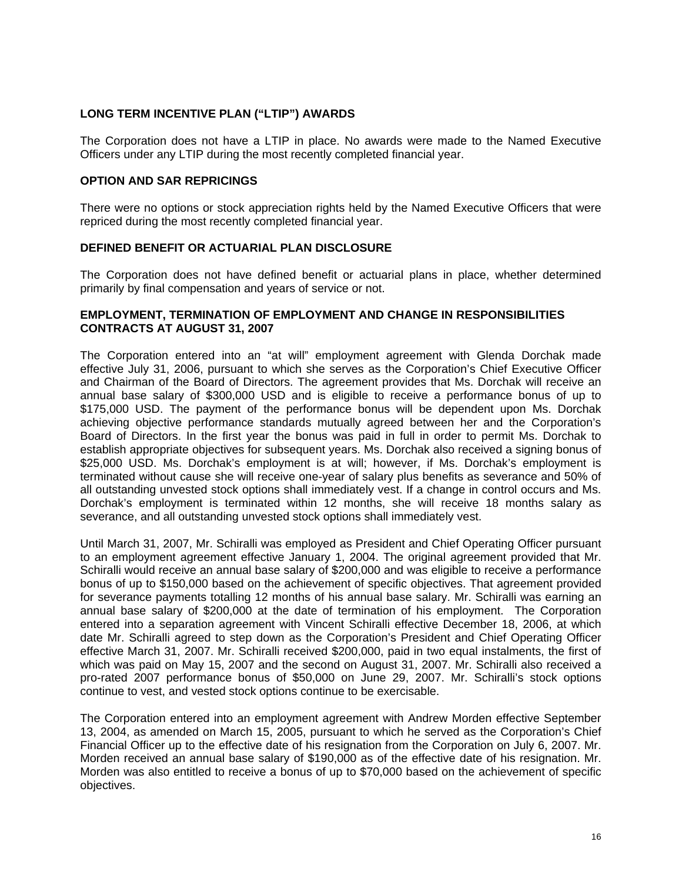# **LONG TERM INCENTIVE PLAN ("LTIP") AWARDS**

The Corporation does not have a LTIP in place. No awards were made to the Named Executive Officers under any LTIP during the most recently completed financial year.

### **OPTION AND SAR REPRICINGS**

There were no options or stock appreciation rights held by the Named Executive Officers that were repriced during the most recently completed financial year.

# **DEFINED BENEFIT OR ACTUARIAL PLAN DISCLOSURE**

The Corporation does not have defined benefit or actuarial plans in place, whether determined primarily by final compensation and years of service or not.

#### **EMPLOYMENT, TERMINATION OF EMPLOYMENT AND CHANGE IN RESPONSIBILITIES CONTRACTS AT AUGUST 31, 2007**

The Corporation entered into an "at will" employment agreement with Glenda Dorchak made effective July 31, 2006, pursuant to which she serves as the Corporation's Chief Executive Officer and Chairman of the Board of Directors. The agreement provides that Ms. Dorchak will receive an annual base salary of \$300,000 USD and is eligible to receive a performance bonus of up to \$175,000 USD. The payment of the performance bonus will be dependent upon Ms. Dorchak achieving objective performance standards mutually agreed between her and the Corporation's Board of Directors. In the first year the bonus was paid in full in order to permit Ms. Dorchak to establish appropriate objectives for subsequent years. Ms. Dorchak also received a signing bonus of \$25,000 USD. Ms. Dorchak's employment is at will; however, if Ms. Dorchak's employment is terminated without cause she will receive one-year of salary plus benefits as severance and 50% of all outstanding unvested stock options shall immediately vest. If a change in control occurs and Ms. Dorchak's employment is terminated within 12 months, she will receive 18 months salary as severance, and all outstanding unvested stock options shall immediately vest.

Until March 31, 2007, Mr. Schiralli was employed as President and Chief Operating Officer pursuant to an employment agreement effective January 1, 2004. The original agreement provided that Mr. Schiralli would receive an annual base salary of \$200,000 and was eligible to receive a performance bonus of up to \$150,000 based on the achievement of specific objectives. That agreement provided for severance payments totalling 12 months of his annual base salary. Mr. Schiralli was earning an annual base salary of \$200,000 at the date of termination of his employment. The Corporation entered into a separation agreement with Vincent Schiralli effective December 18, 2006, at which date Mr. Schiralli agreed to step down as the Corporation's President and Chief Operating Officer effective March 31, 2007. Mr. Schiralli received \$200,000, paid in two equal instalments, the first of which was paid on May 15, 2007 and the second on August 31, 2007. Mr. Schiralli also received a pro-rated 2007 performance bonus of \$50,000 on June 29, 2007. Mr. Schiralli's stock options continue to vest, and vested stock options continue to be exercisable.

The Corporation entered into an employment agreement with Andrew Morden effective September 13, 2004, as amended on March 15, 2005, pursuant to which he served as the Corporation's Chief Financial Officer up to the effective date of his resignation from the Corporation on July 6, 2007. Mr. Morden received an annual base salary of \$190,000 as of the effective date of his resignation. Mr. Morden was also entitled to receive a bonus of up to \$70,000 based on the achievement of specific objectives.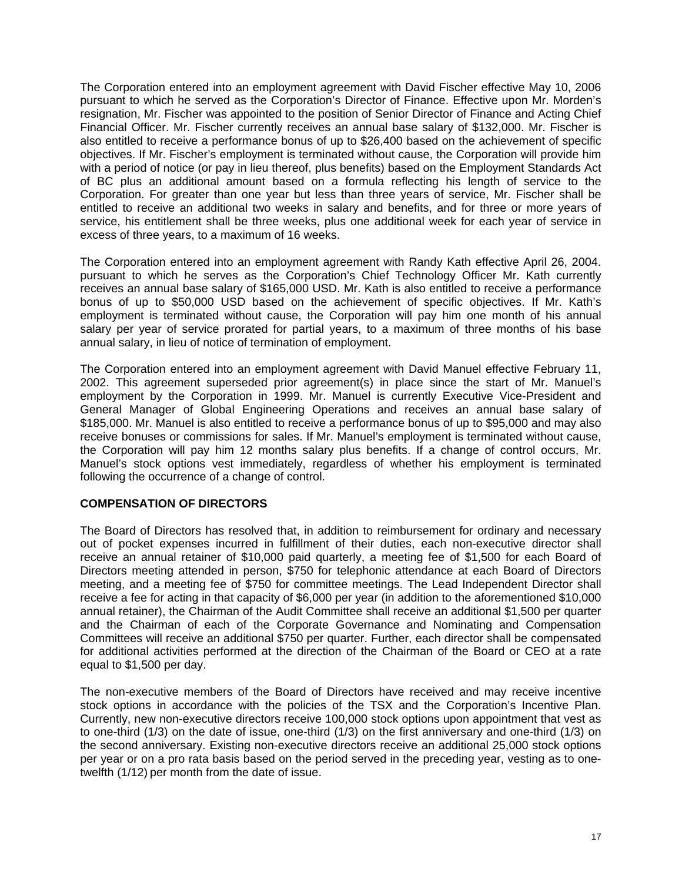The Corporation entered into an employment agreement with David Fischer effective May 10, 2006 pursuant to which he served as the Corporation's Director of Finance. Effective upon Mr. Morden's resignation, Mr. Fischer was appointed to the position of Senior Director of Finance and Acting Chief Financial Officer. Mr. Fischer currently receives an annual base salary of \$132,000. Mr. Fischer is also entitled to receive a performance bonus of up to \$26,400 based on the achievement of specific objectives. If Mr. Fischer's employment is terminated without cause, the Corporation will provide him with a period of notice (or pay in lieu thereof, plus benefits) based on the Employment Standards Act of BC plus an additional amount based on a formula reflecting his length of service to the Corporation. For greater than one year but less than three years of service, Mr. Fischer shall be entitled to receive an additional two weeks in salary and benefits, and for three or more years of service, his entitlement shall be three weeks, plus one additional week for each year of service in excess of three years, to a maximum of 16 weeks.

The Corporation entered into an employment agreement with Randy Kath effective April 26, 2004. pursuant to which he serves as the Corporation's Chief Technology Officer Mr. Kath currently receives an annual base salary of \$165,000 USD. Mr. Kath is also entitled to receive a performance bonus of up to \$50,000 USD based on the achievement of specific objectives. If Mr. Kath's employment is terminated without cause, the Corporation will pay him one month of his annual salary per year of service prorated for partial years, to a maximum of three months of his base annual salary, in lieu of notice of termination of employment.

The Corporation entered into an employment agreement with David Manuel effective February 11, 2002. This agreement superseded prior agreement(s) in place since the start of Mr. Manuel's employment by the Corporation in 1999. Mr. Manuel is currently Executive Vice-President and General Manager of Global Engineering Operations and receives an annual base salary of \$185,000. Mr. Manuel is also entitled to receive a performance bonus of up to \$95,000 and may also receive bonuses or commissions for sales. If Mr. Manuel's employment is terminated without cause, the Corporation will pay him 12 months salary plus benefits. If a change of control occurs, Mr. Manuel's stock options vest immediately, regardless of whether his employment is terminated following the occurrence of a change of control.

# **COMPENSATION OF DIRECTORS**

The Board of Directors has resolved that, in addition to reimbursement for ordinary and necessary out of pocket expenses incurred in fulfillment of their duties, each non-executive director shall receive an annual retainer of \$10,000 paid quarterly, a meeting fee of \$1,500 for each Board of Directors meeting attended in person, \$750 for telephonic attendance at each Board of Directors meeting, and a meeting fee of \$750 for committee meetings. The Lead Independent Director shall receive a fee for acting in that capacity of \$6,000 per year (in addition to the aforementioned \$10,000 annual retainer), the Chairman of the Audit Committee shall receive an additional \$1,500 per quarter and the Chairman of each of the Corporate Governance and Nominating and Compensation Committees will receive an additional \$750 per quarter. Further, each director shall be compensated for additional activities performed at the direction of the Chairman of the Board or CEO at a rate equal to \$1,500 per day.

The non-executive members of the Board of Directors have received and may receive incentive stock options in accordance with the policies of the TSX and the Corporation's Incentive Plan. Currently, new non-executive directors receive 100,000 stock options upon appointment that vest as to one-third (1/3) on the date of issue, one-third (1/3) on the first anniversary and one-third (1/3) on the second anniversary. Existing non-executive directors receive an additional 25,000 stock options per year or on a pro rata basis based on the period served in the preceding year, vesting as to onetwelfth (1/12) per month from the date of issue.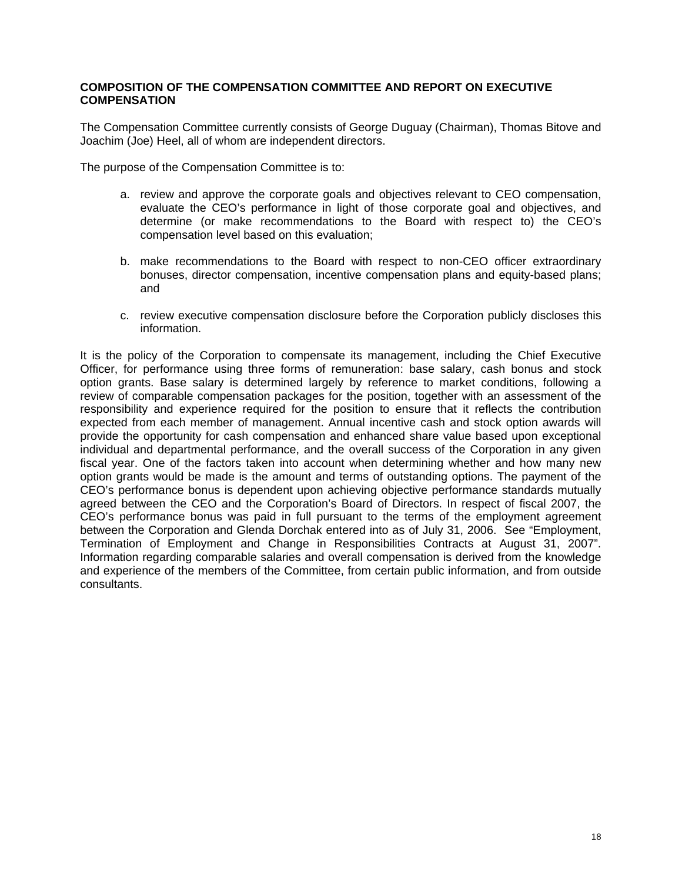# **COMPOSITION OF THE COMPENSATION COMMITTEE AND REPORT ON EXECUTIVE COMPENSATION**

The Compensation Committee currently consists of George Duguay (Chairman), Thomas Bitove and Joachim (Joe) Heel, all of whom are independent directors.

The purpose of the Compensation Committee is to:

- a. review and approve the corporate goals and objectives relevant to CEO compensation, evaluate the CEO's performance in light of those corporate goal and objectives, and determine (or make recommendations to the Board with respect to) the CEO's compensation level based on this evaluation;
- b. make recommendations to the Board with respect to non-CEO officer extraordinary bonuses, director compensation, incentive compensation plans and equity-based plans; and
- c. review executive compensation disclosure before the Corporation publicly discloses this information.

It is the policy of the Corporation to compensate its management, including the Chief Executive Officer, for performance using three forms of remuneration: base salary, cash bonus and stock option grants. Base salary is determined largely by reference to market conditions, following a review of comparable compensation packages for the position, together with an assessment of the responsibility and experience required for the position to ensure that it reflects the contribution expected from each member of management. Annual incentive cash and stock option awards will provide the opportunity for cash compensation and enhanced share value based upon exceptional individual and departmental performance, and the overall success of the Corporation in any given fiscal year. One of the factors taken into account when determining whether and how many new option grants would be made is the amount and terms of outstanding options. The payment of the CEO's performance bonus is dependent upon achieving objective performance standards mutually agreed between the CEO and the Corporation's Board of Directors. In respect of fiscal 2007, the CEO's performance bonus was paid in full pursuant to the terms of the employment agreement between the Corporation and Glenda Dorchak entered into as of July 31, 2006. See "Employment, Termination of Employment and Change in Responsibilities Contracts at August 31, 2007". Information regarding comparable salaries and overall compensation is derived from the knowledge and experience of the members of the Committee, from certain public information, and from outside consultants.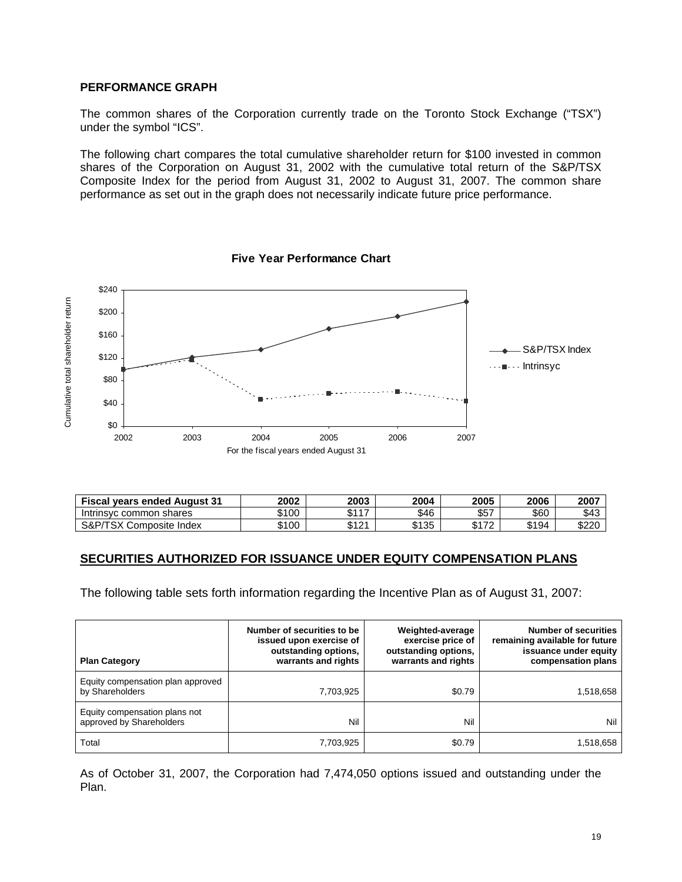# **PERFORMANCE GRAPH**

The common shares of the Corporation currently trade on the Toronto Stock Exchange ("TSX") under the symbol "ICS".

The following chart compares the total cumulative shareholder return for \$100 invested in common shares of the Corporation on August 31, 2002 with the cumulative total return of the S&P/TSX Composite Index for the period from August 31, 2002 to August 31, 2007. The common share performance as set out in the graph does not necessarily indicate future price performance.



| <b>Five Year Performance Chart</b> |  |
|------------------------------------|--|
|                                    |  |

| <b>Fiscal vears ended August 31</b> | 2002  | 2003        | 2004  | 2005       | 2006  | 2007  |
|-------------------------------------|-------|-------------|-------|------------|-------|-------|
| Intrinsyc common shares             | \$100 | $0.44 -$    | \$46  | \$57       | \$60  | \$43  |
| S&P/TSX<br>Composite Index          | \$100 | M 71<br>' 4 | \$135 | トィフへ<br>n. | \$194 | \$220 |

#### **SECURITIES AUTHORIZED FOR ISSUANCE UNDER EQUITY COMPENSATION PLANS**

The following table sets forth information regarding the Incentive Plan as of August 31, 2007:

| <b>Plan Category</b>                                      | Number of securities to be<br>issued upon exercise of<br>outstanding options,<br>warrants and rights | Weighted-average<br>exercise price of<br>outstanding options,<br>warrants and rights | <b>Number of securities</b><br>remaining available for future<br>issuance under equity<br>compensation plans |
|-----------------------------------------------------------|------------------------------------------------------------------------------------------------------|--------------------------------------------------------------------------------------|--------------------------------------------------------------------------------------------------------------|
| Equity compensation plan approved<br>by Shareholders      | 7,703,925                                                                                            | \$0.79                                                                               | 1,518,658                                                                                                    |
| Equity compensation plans not<br>approved by Shareholders | Nil                                                                                                  | Nil                                                                                  | Nil                                                                                                          |
| Total                                                     | 7,703,925                                                                                            | \$0.79                                                                               | 1,518,658                                                                                                    |

As of October 31, 2007, the Corporation had 7,474,050 options issued and outstanding under the Plan.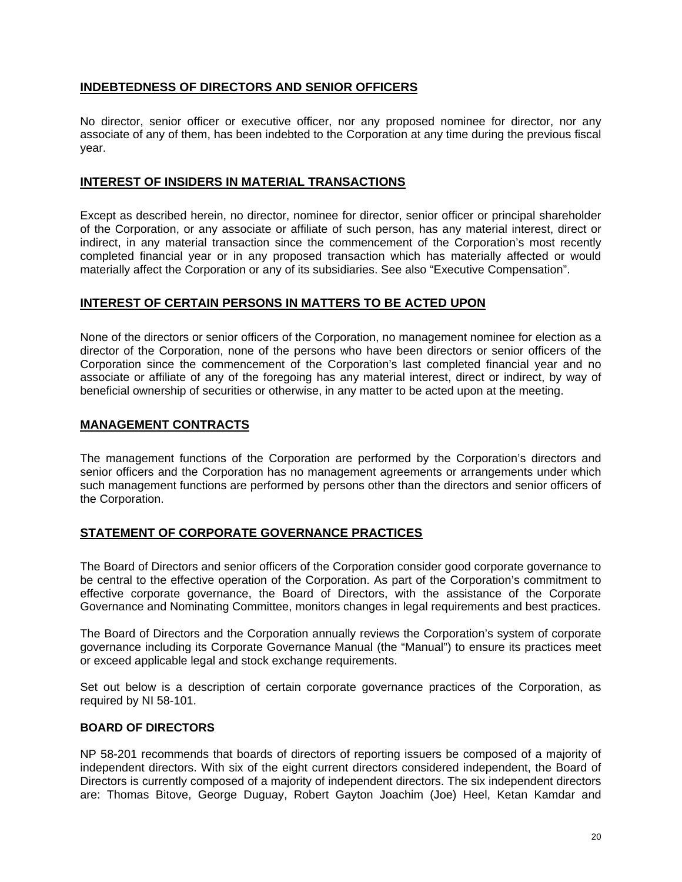# **INDEBTEDNESS OF DIRECTORS AND SENIOR OFFICERS**

No director, senior officer or executive officer, nor any proposed nominee for director, nor any associate of any of them, has been indebted to the Corporation at any time during the previous fiscal year.

# **INTEREST OF INSIDERS IN MATERIAL TRANSACTIONS**

Except as described herein, no director, nominee for director, senior officer or principal shareholder of the Corporation, or any associate or affiliate of such person, has any material interest, direct or indirect, in any material transaction since the commencement of the Corporation's most recently completed financial year or in any proposed transaction which has materially affected or would materially affect the Corporation or any of its subsidiaries. See also "Executive Compensation".

# **INTEREST OF CERTAIN PERSONS IN MATTERS TO BE ACTED UPON**

None of the directors or senior officers of the Corporation, no management nominee for election as a director of the Corporation, none of the persons who have been directors or senior officers of the Corporation since the commencement of the Corporation's last completed financial year and no associate or affiliate of any of the foregoing has any material interest, direct or indirect, by way of beneficial ownership of securities or otherwise, in any matter to be acted upon at the meeting.

# **MANAGEMENT CONTRACTS**

The management functions of the Corporation are performed by the Corporation's directors and senior officers and the Corporation has no management agreements or arrangements under which such management functions are performed by persons other than the directors and senior officers of the Corporation.

# **STATEMENT OF CORPORATE GOVERNANCE PRACTICES**

The Board of Directors and senior officers of the Corporation consider good corporate governance to be central to the effective operation of the Corporation. As part of the Corporation's commitment to effective corporate governance, the Board of Directors, with the assistance of the Corporate Governance and Nominating Committee, monitors changes in legal requirements and best practices.

The Board of Directors and the Corporation annually reviews the Corporation's system of corporate governance including its Corporate Governance Manual (the "Manual") to ensure its practices meet or exceed applicable legal and stock exchange requirements.

Set out below is a description of certain corporate governance practices of the Corporation, as required by NI 58-101.

# **BOARD OF DIRECTORS**

NP 58-201 recommends that boards of directors of reporting issuers be composed of a majority of independent directors. With six of the eight current directors considered independent, the Board of Directors is currently composed of a majority of independent directors. The six independent directors are: Thomas Bitove, George Duguay, Robert Gayton Joachim (Joe) Heel, Ketan Kamdar and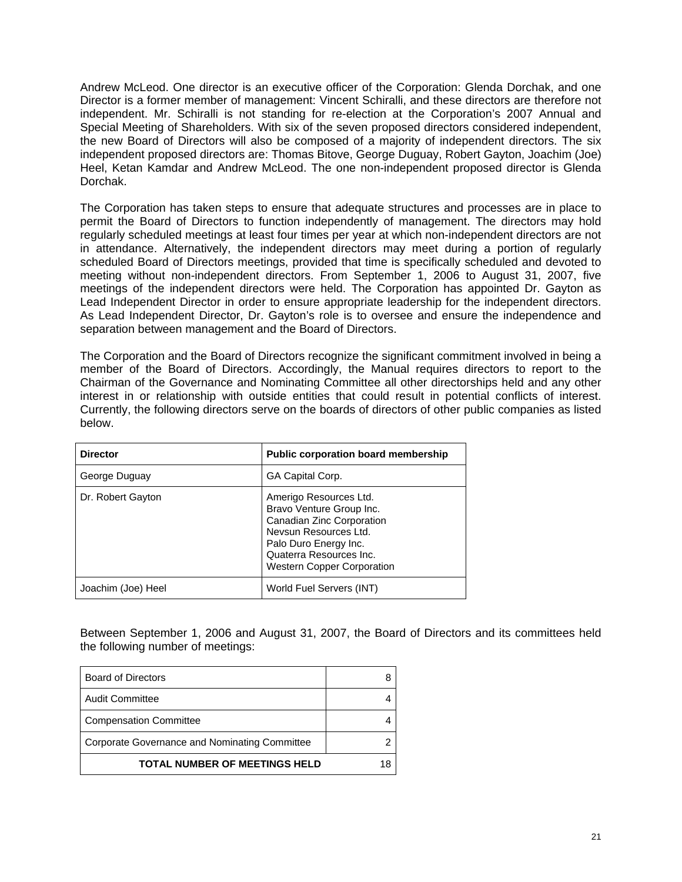Andrew McLeod. One director is an executive officer of the Corporation: Glenda Dorchak, and one Director is a former member of management: Vincent Schiralli, and these directors are therefore not independent. Mr. Schiralli is not standing for re-election at the Corporation's 2007 Annual and Special Meeting of Shareholders. With six of the seven proposed directors considered independent, the new Board of Directors will also be composed of a majority of independent directors. The six independent proposed directors are: Thomas Bitove, George Duguay, Robert Gayton, Joachim (Joe) Heel, Ketan Kamdar and Andrew McLeod. The one non-independent proposed director is Glenda Dorchak.

The Corporation has taken steps to ensure that adequate structures and processes are in place to permit the Board of Directors to function independently of management. The directors may hold regularly scheduled meetings at least four times per year at which non-independent directors are not in attendance. Alternatively, the independent directors may meet during a portion of regularly scheduled Board of Directors meetings, provided that time is specifically scheduled and devoted to meeting without non-independent directors. From September 1, 2006 to August 31, 2007, five meetings of the independent directors were held. The Corporation has appointed Dr. Gayton as Lead Independent Director in order to ensure appropriate leadership for the independent directors. As Lead Independent Director, Dr. Gayton's role is to oversee and ensure the independence and separation between management and the Board of Directors.

The Corporation and the Board of Directors recognize the significant commitment involved in being a member of the Board of Directors. Accordingly, the Manual requires directors to report to the Chairman of the Governance and Nominating Committee all other directorships held and any other interest in or relationship with outside entities that could result in potential conflicts of interest. Currently, the following directors serve on the boards of directors of other public companies as listed below.

| <b>Director</b>    | <b>Public corporation board membership</b>                                                                                                                                                        |
|--------------------|---------------------------------------------------------------------------------------------------------------------------------------------------------------------------------------------------|
| George Duguay      | GA Capital Corp.                                                                                                                                                                                  |
| Dr. Robert Gayton  | Amerigo Resources Ltd.<br>Bravo Venture Group Inc.<br>Canadian Zinc Corporation<br>Nevsun Resources Ltd.<br>Palo Duro Energy Inc.<br>Quaterra Resources Inc.<br><b>Western Copper Corporation</b> |
| Joachim (Joe) Heel | World Fuel Servers (INT)                                                                                                                                                                          |

Between September 1, 2006 and August 31, 2007, the Board of Directors and its committees held the following number of meetings:

| <b>Board of Directors</b>                     |  |
|-----------------------------------------------|--|
| <b>Audit Committee</b>                        |  |
| <b>Compensation Committee</b>                 |  |
| Corporate Governance and Nominating Committee |  |
| <b>TOTAL NUMBER OF MEETINGS HELD</b>          |  |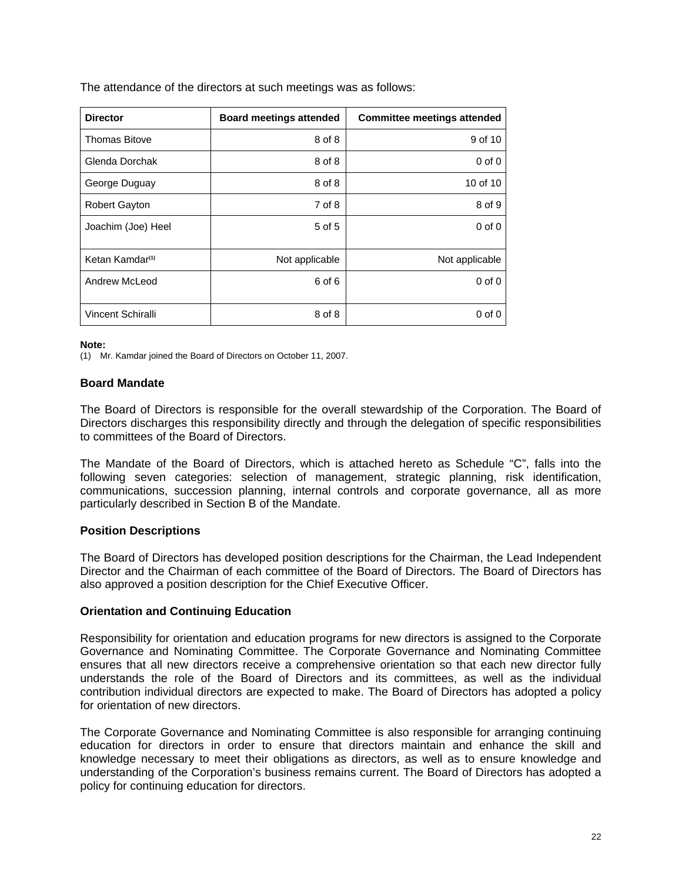The attendance of the directors at such meetings was as follows:

| <b>Director</b>             | <b>Board meetings attended</b> | <b>Committee meetings attended</b> |
|-----------------------------|--------------------------------|------------------------------------|
| <b>Thomas Bitove</b>        | 8 of 8                         | 9 of 10                            |
| Glenda Dorchak              | 8 of 8                         | $0$ of $0$                         |
| George Duguay               | 8 of 8                         | 10 of 10                           |
| <b>Robert Gayton</b>        | 7 of 8                         | 8 of 9                             |
| Joachim (Joe) Heel          | 5 of 5                         | $0$ of $0$                         |
| Ketan Kamdar <sup>(1)</sup> | Not applicable                 | Not applicable                     |
| Andrew McLeod               | 6 of 6                         | $0$ of $0$                         |
| <b>Vincent Schiralli</b>    | 8 of 8                         | $0$ of $0$                         |

**Note:** 

(1) Mr. Kamdar joined the Board of Directors on October 11, 2007.

# **Board Mandate**

The Board of Directors is responsible for the overall stewardship of the Corporation. The Board of Directors discharges this responsibility directly and through the delegation of specific responsibilities to committees of the Board of Directors.

The Mandate of the Board of Directors, which is attached hereto as Schedule "C", falls into the following seven categories: selection of management, strategic planning, risk identification, communications, succession planning, internal controls and corporate governance, all as more particularly described in Section B of the Mandate.

# **Position Descriptions**

The Board of Directors has developed position descriptions for the Chairman, the Lead Independent Director and the Chairman of each committee of the Board of Directors. The Board of Directors has also approved a position description for the Chief Executive Officer.

#### **Orientation and Continuing Education**

Responsibility for orientation and education programs for new directors is assigned to the Corporate Governance and Nominating Committee. The Corporate Governance and Nominating Committee ensures that all new directors receive a comprehensive orientation so that each new director fully understands the role of the Board of Directors and its committees, as well as the individual contribution individual directors are expected to make. The Board of Directors has adopted a policy for orientation of new directors.

The Corporate Governance and Nominating Committee is also responsible for arranging continuing education for directors in order to ensure that directors maintain and enhance the skill and knowledge necessary to meet their obligations as directors, as well as to ensure knowledge and understanding of the Corporation's business remains current. The Board of Directors has adopted a policy for continuing education for directors.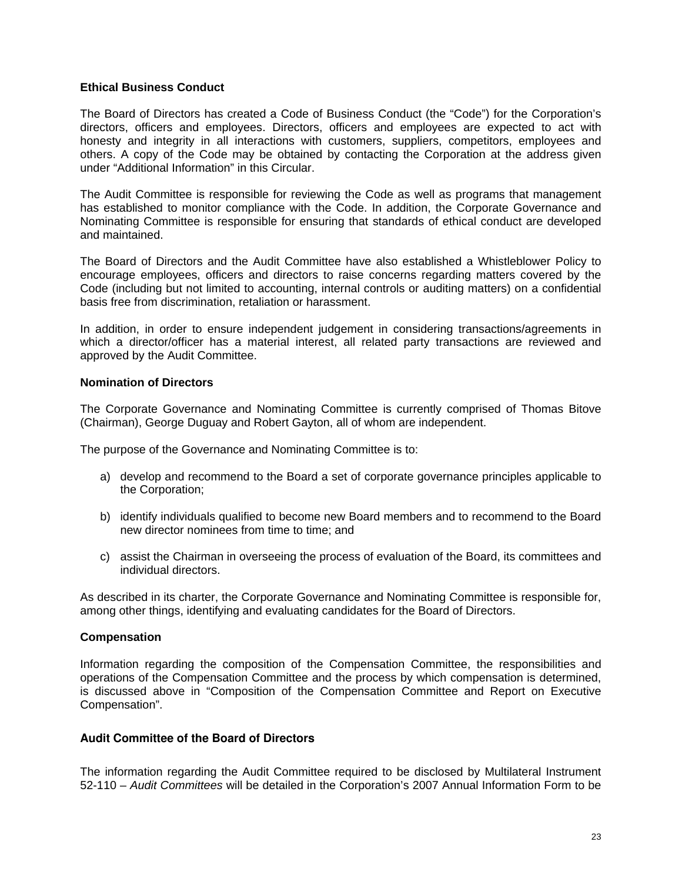#### **Ethical Business Conduct**

The Board of Directors has created a Code of Business Conduct (the "Code") for the Corporation's directors, officers and employees. Directors, officers and employees are expected to act with honesty and integrity in all interactions with customers, suppliers, competitors, employees and others. A copy of the Code may be obtained by contacting the Corporation at the address given under "Additional Information" in this Circular.

The Audit Committee is responsible for reviewing the Code as well as programs that management has established to monitor compliance with the Code. In addition, the Corporate Governance and Nominating Committee is responsible for ensuring that standards of ethical conduct are developed and maintained.

The Board of Directors and the Audit Committee have also established a Whistleblower Policy to encourage employees, officers and directors to raise concerns regarding matters covered by the Code (including but not limited to accounting, internal controls or auditing matters) on a confidential basis free from discrimination, retaliation or harassment.

In addition, in order to ensure independent judgement in considering transactions/agreements in which a director/officer has a material interest, all related party transactions are reviewed and approved by the Audit Committee.

#### **Nomination of Directors**

The Corporate Governance and Nominating Committee is currently comprised of Thomas Bitove (Chairman), George Duguay and Robert Gayton, all of whom are independent.

The purpose of the Governance and Nominating Committee is to:

- a) develop and recommend to the Board a set of corporate governance principles applicable to the Corporation;
- b) identify individuals qualified to become new Board members and to recommend to the Board new director nominees from time to time; and
- c) assist the Chairman in overseeing the process of evaluation of the Board, its committees and individual directors.

As described in its charter, the Corporate Governance and Nominating Committee is responsible for, among other things, identifying and evaluating candidates for the Board of Directors.

# **Compensation**

Information regarding the composition of the Compensation Committee, the responsibilities and operations of the Compensation Committee and the process by which compensation is determined, is discussed above in "Composition of the Compensation Committee and Report on Executive Compensation".

# **Audit Committee of the Board of Directors**

The information regarding the Audit Committee required to be disclosed by Multilateral Instrument 52-110 – *Audit Committees* will be detailed in the Corporation's 2007 Annual Information Form to be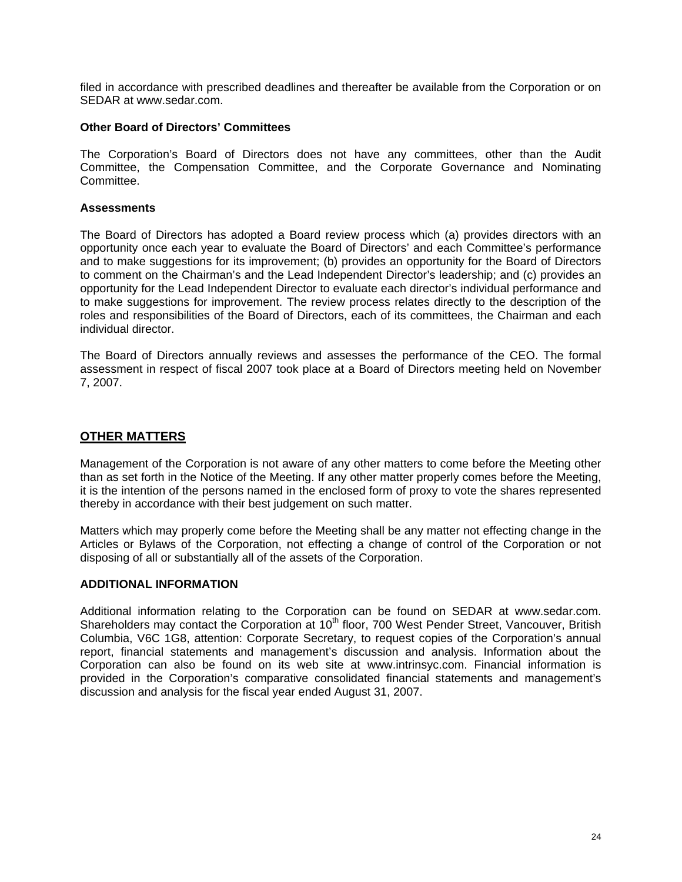filed in accordance with prescribed deadlines and thereafter be available from the Corporation or on SEDAR at www.sedar.com.

#### **Other Board of Directors' Committees**

The Corporation's Board of Directors does not have any committees, other than the Audit Committee, the Compensation Committee, and the Corporate Governance and Nominating Committee.

#### **Assessments**

The Board of Directors has adopted a Board review process which (a) provides directors with an opportunity once each year to evaluate the Board of Directors' and each Committee's performance and to make suggestions for its improvement; (b) provides an opportunity for the Board of Directors to comment on the Chairman's and the Lead Independent Director's leadership; and (c) provides an opportunity for the Lead Independent Director to evaluate each director's individual performance and to make suggestions for improvement. The review process relates directly to the description of the roles and responsibilities of the Board of Directors, each of its committees, the Chairman and each individual director.

The Board of Directors annually reviews and assesses the performance of the CEO. The formal assessment in respect of fiscal 2007 took place at a Board of Directors meeting held on November 7, 2007.

# **OTHER MATTERS**

Management of the Corporation is not aware of any other matters to come before the Meeting other than as set forth in the Notice of the Meeting. If any other matter properly comes before the Meeting, it is the intention of the persons named in the enclosed form of proxy to vote the shares represented thereby in accordance with their best judgement on such matter.

Matters which may properly come before the Meeting shall be any matter not effecting change in the Articles or Bylaws of the Corporation, not effecting a change of control of the Corporation or not disposing of all or substantially all of the assets of the Corporation.

# **ADDITIONAL INFORMATION**

Additional information relating to the Corporation can be found on SEDAR at www.sedar.com. Shareholders may contact the Corporation at 10<sup>th</sup> floor, 700 West Pender Street, Vancouver, British Columbia, V6C 1G8, attention: Corporate Secretary, to request copies of the Corporation's annual report, financial statements and management's discussion and analysis. Information about the Corporation can also be found on its web site at www.intrinsyc.com. Financial information is provided in the Corporation's comparative consolidated financial statements and management's discussion and analysis for the fiscal year ended August 31, 2007.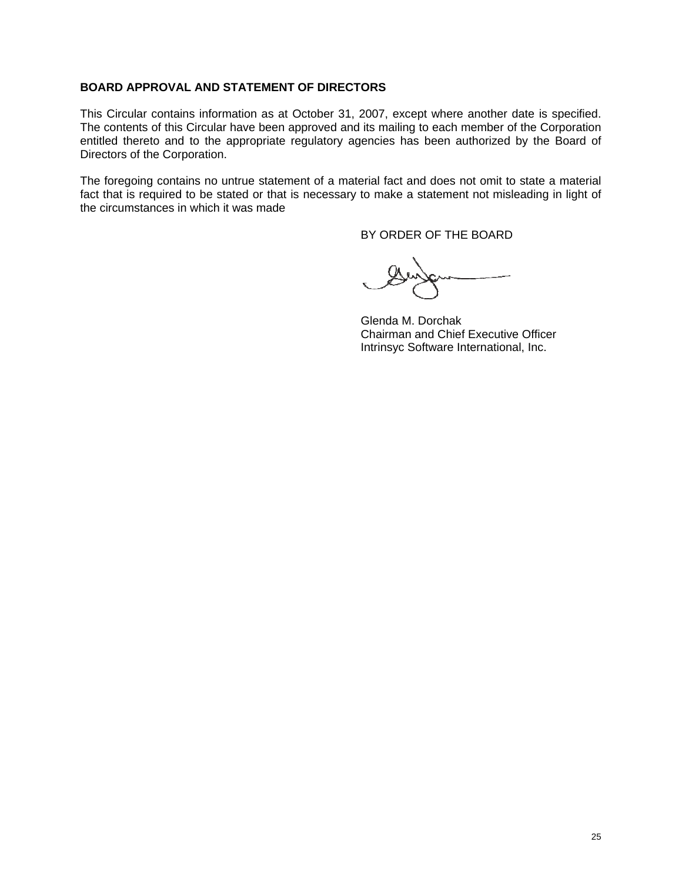# **BOARD APPROVAL AND STATEMENT OF DIRECTORS**

This Circular contains information as at October 31, 2007, except where another date is specified. The contents of this Circular have been approved and its mailing to each member of the Corporation entitled thereto and to the appropriate regulatory agencies has been authorized by the Board of Directors of the Corporation.

The foregoing contains no untrue statement of a material fact and does not omit to state a material fact that is required to be stated or that is necessary to make a statement not misleading in light of the circumstances in which it was made

BY ORDER OF THE BOARD

Glenda M. Dorchak Chairman and Chief Executive Officer Intrinsyc Software International, Inc.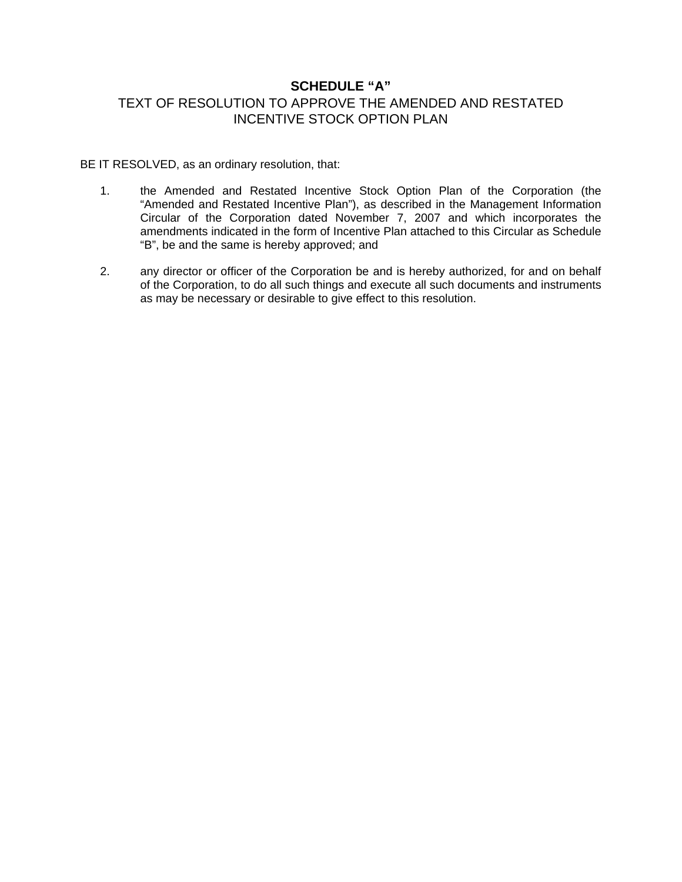# **SCHEDULE "A"**

# TEXT OF RESOLUTION TO APPROVE THE AMENDED AND RESTATED INCENTIVE STOCK OPTION PLAN

BE IT RESOLVED, as an ordinary resolution, that:

- 1. the Amended and Restated Incentive Stock Option Plan of the Corporation (the "Amended and Restated Incentive Plan"), as described in the Management Information Circular of the Corporation dated November 7, 2007 and which incorporates the amendments indicated in the form of Incentive Plan attached to this Circular as Schedule "B", be and the same is hereby approved; and
- 2. any director or officer of the Corporation be and is hereby authorized, for and on behalf of the Corporation, to do all such things and execute all such documents and instruments as may be necessary or desirable to give effect to this resolution.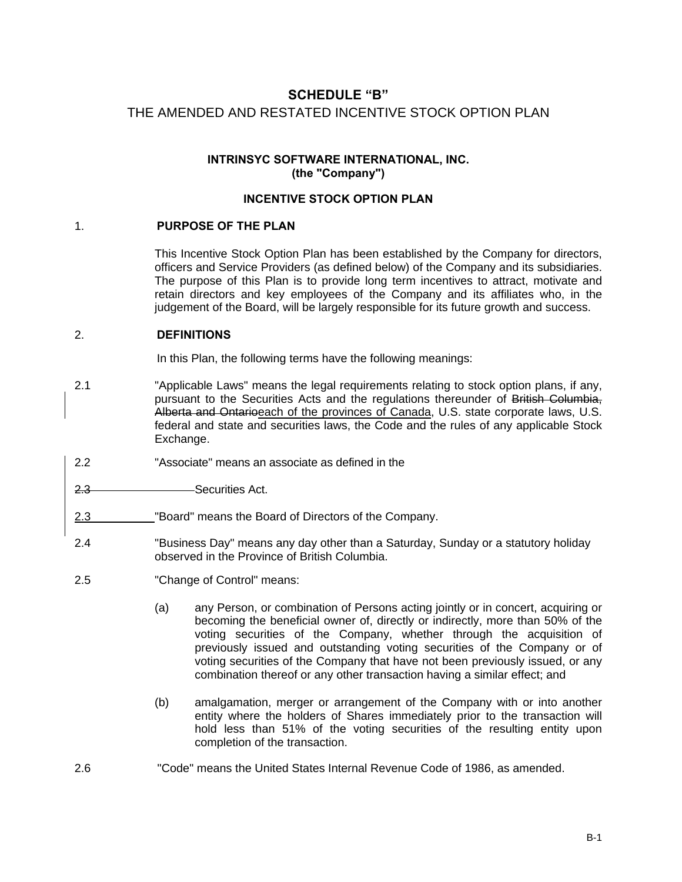# **SCHEDULE "B"**  THE AMENDED AND RESTATED INCENTIVE STOCK OPTION PLAN

# **INTRINSYC SOFTWARE INTERNATIONAL, INC. (the "Company")**

# **INCENTIVE STOCK OPTION PLAN**

# 1. **PURPOSE OF THE PLAN**

This Incentive Stock Option Plan has been established by the Company for directors, officers and Service Providers (as defined below) of the Company and its subsidiaries. The purpose of this Plan is to provide long term incentives to attract, motivate and retain directors and key employees of the Company and its affiliates who, in the judgement of the Board, will be largely responsible for its future growth and success.

# 2. **DEFINITIONS**

In this Plan, the following terms have the following meanings:

- 2.1 "Applicable Laws" means the legal requirements relating to stock option plans, if any, pursuant to the Securities Acts and the regulations thereunder of British Columbia, Alberta and Ontarioeach of the provinces of Canada, U.S. state corporate laws, U.S. federal and state and securities laws, the Code and the rules of any applicable Stock Exchange.
- 2.2 "Associate" means an associate as defined in the
- 2.3 Securities Act.
- 2.3 "Board" means the Board of Directors of the Company.
- 2.4 "Business Day" means any day other than a Saturday, Sunday or a statutory holiday observed in the Province of British Columbia.
- 2.5 "Change of Control" means:
	- (a) any Person, or combination of Persons acting jointly or in concert, acquiring or becoming the beneficial owner of, directly or indirectly, more than 50% of the voting securities of the Company, whether through the acquisition of previously issued and outstanding voting securities of the Company or of voting securities of the Company that have not been previously issued, or any combination thereof or any other transaction having a similar effect; and
	- (b) amalgamation, merger or arrangement of the Company with or into another entity where the holders of Shares immediately prior to the transaction will hold less than 51% of the voting securities of the resulting entity upon completion of the transaction.
- 2.6 "Code" means the United States Internal Revenue Code of 1986, as amended.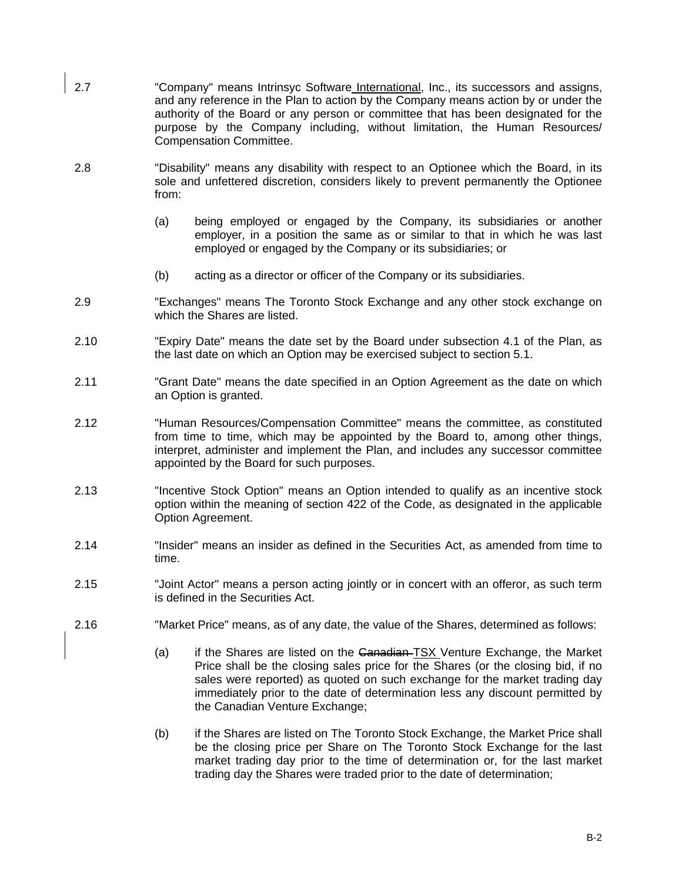- 2.7 "Company" means Intrinsyc Software International, Inc., its successors and assigns, and any reference in the Plan to action by the Company means action by or under the authority of the Board or any person or committee that has been designated for the purpose by the Company including, without limitation, the Human Resources/ Compensation Committee.
- 2.8 "Disability" means any disability with respect to an Optionee which the Board, in its sole and unfettered discretion, considers likely to prevent permanently the Optionee from:
	- (a) being employed or engaged by the Company, its subsidiaries or another employer, in a position the same as or similar to that in which he was last employed or engaged by the Company or its subsidiaries; or
	- (b) acting as a director or officer of the Company or its subsidiaries.
- 2.9 "Exchanges" means The Toronto Stock Exchange and any other stock exchange on which the Shares are listed.
- 2.10 "Expiry Date" means the date set by the Board under subsection 4.1 of the Plan, as the last date on which an Option may be exercised subject to section 5.1.
- 2.11 "Grant Date" means the date specified in an Option Agreement as the date on which an Option is granted.
- 2.12 "Human Resources/Compensation Committee" means the committee, as constituted from time to time, which may be appointed by the Board to, among other things, interpret, administer and implement the Plan, and includes any successor committee appointed by the Board for such purposes.
- 2.13 "Incentive Stock Option" means an Option intended to qualify as an incentive stock option within the meaning of section 422 of the Code, as designated in the applicable Option Agreement.
- 2.14 "Insider" means an insider as defined in the Securities Act, as amended from time to time.
- 2.15 "Joint Actor" means a person acting jointly or in concert with an offeror, as such term is defined in the Securities Act.
- 2.16 "Market Price" means, as of any date, the value of the Shares, determined as follows:
	- (a) if the Shares are listed on the Canadian–TSX Venture Exchange, the Market Price shall be the closing sales price for the Shares (or the closing bid, if no sales were reported) as quoted on such exchange for the market trading day immediately prior to the date of determination less any discount permitted by the Canadian Venture Exchange;
	- (b) if the Shares are listed on The Toronto Stock Exchange, the Market Price shall be the closing price per Share on The Toronto Stock Exchange for the last market trading day prior to the time of determination or, for the last market trading day the Shares were traded prior to the date of determination;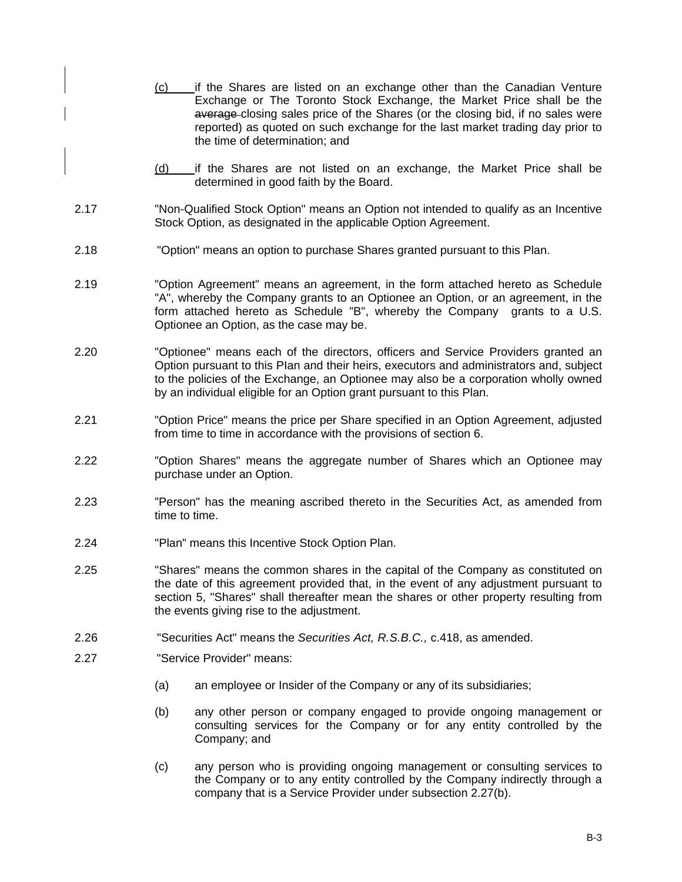- (c) if the Shares are listed on an exchange other than the Canadian Venture Exchange or The Toronto Stock Exchange, the Market Price shall be the average closing sales price of the Shares (or the closing bid, if no sales were reported) as quoted on such exchange for the last market trading day prior to the time of determination; and
- (d) if the Shares are not listed on an exchange, the Market Price shall be determined in good faith by the Board.
- 2.17 "Non-Qualified Stock Option" means an Option not intended to qualify as an Incentive Stock Option, as designated in the applicable Option Agreement.
- 2.18 "Option" means an option to purchase Shares granted pursuant to this Plan.
- 2.19 "Option Agreement" means an agreement, in the form attached hereto as Schedule "A", whereby the Company grants to an Optionee an Option, or an agreement, in the form attached hereto as Schedule "B", whereby the Company grants to a U.S. Optionee an Option, as the case may be.
- 2.20 "Optionee" means each of the directors, officers and Service Providers granted an Option pursuant to this PIan and their heirs, executors and administrators and, subject to the policies of the Exchange, an Optionee may also be a corporation wholly owned by an individual eligible for an Option grant pursuant to this Plan.
- 2.21 "Option Price" means the price per Share specified in an Option Agreement, adjusted from time to time in accordance with the provisions of section 6.
- 2.22 "Option Shares" means the aggregate number of Shares which an Optionee may purchase under an Option.
- 2.23 "Person" has the meaning ascribed thereto in the Securities Act, as amended from time to time.
- 2.24 "Plan" means this Incentive Stock Option Plan.
- 2.25 "Shares" means the common shares in the capital of the Company as constituted on the date of this agreement provided that, in the event of any adjustment pursuant to section 5, "Shares" shall thereafter mean the shares or other property resulting from the events giving rise to the adjustment.
- 2.26 "Securities Act" means the *Securities Act, R.S.B.C.,* c.418, as amended.
- 2.27 "Service Provider" means:
	- (a) an employee or Insider of the Company or any of its subsidiaries;
	- (b) any other person or company engaged to provide ongoing management or consulting services for the Company or for any entity controlled by the Company; and
	- (c) any person who is providing ongoing management or consulting services to the Company or to any entity controlled by the Company indirectly through a company that is a Service Provider under subsection 2.27(b).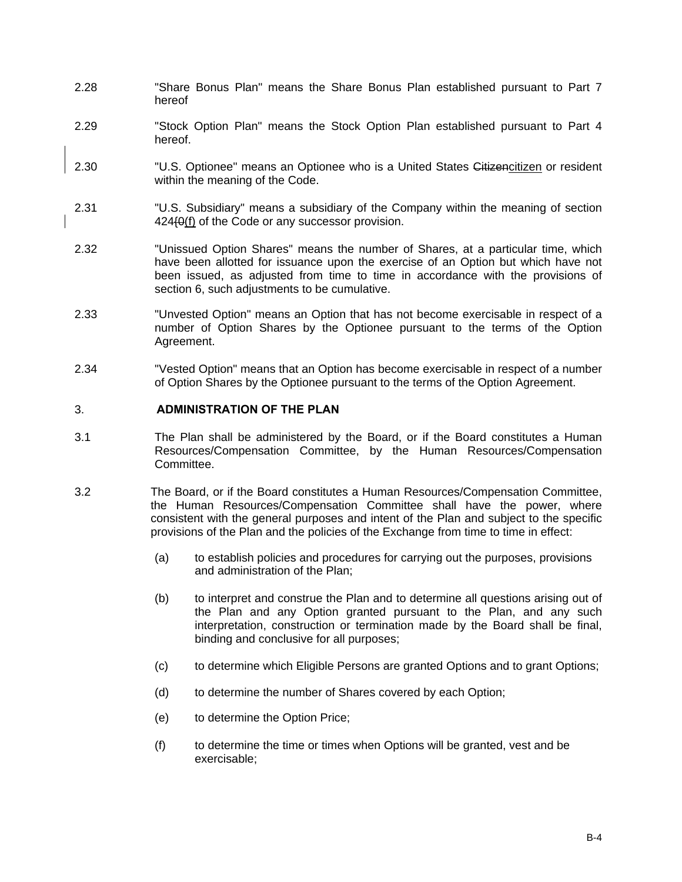- 2.28 "Share Bonus Plan" means the Share Bonus Plan established pursuant to Part 7 hereof
- 2.29 "Stock Option Plan" means the Stock Option Plan established pursuant to Part 4 hereof.
- 2.30 "U.S. Optionee" means an Optionee who is a United States Citizencitizen or resident within the meaning of the Code.
- 2.31 "U.S. Subsidiary" means a subsidiary of the Company within the meaning of section 424{0(f) of the Code or any successor provision.
- 2.32 "Unissued Option Shares" means the number of Shares, at a particular time, which have been allotted for issuance upon the exercise of an Option but which have not been issued, as adjusted from time to time in accordance with the provisions of section 6, such adjustments to be cumulative.
- 2.33 "Unvested Option" means an Option that has not become exercisable in respect of a number of Option Shares by the Optionee pursuant to the terms of the Option Agreement.
- 2.34 "Vested Option" means that an Option has become exercisable in respect of a number of Option Shares by the Optionee pursuant to the terms of the Option Agreement.

# 3. **ADMINISTRATION OF THE PLAN**

- 3.1 The Plan shall be administered by the Board, or if the Board constitutes a Human Resources/Compensation Committee, by the Human Resources/Compensation Committee.
- 3.2 The Board, or if the Board constitutes a Human Resources/Compensation Committee, the Human Resources/Compensation Committee shall have the power, where consistent with the general purposes and intent of the Plan and subject to the specific provisions of the Plan and the policies of the Exchange from time to time in effect:
	- (a) to establish policies and procedures for carrying out the purposes, provisions and administration of the Plan;
	- (b) to interpret and construe the Plan and to determine all questions arising out of the Plan and any Option granted pursuant to the Plan, and any such interpretation, construction or termination made by the Board shall be final, binding and conclusive for all purposes;
	- (c) to determine which Eligible Persons are granted Options and to grant Options;
	- (d) to determine the number of Shares covered by each Option;
	- (e) to determine the Option Price;
	- (f) to determine the time or times when Options will be granted, vest and be exercisable;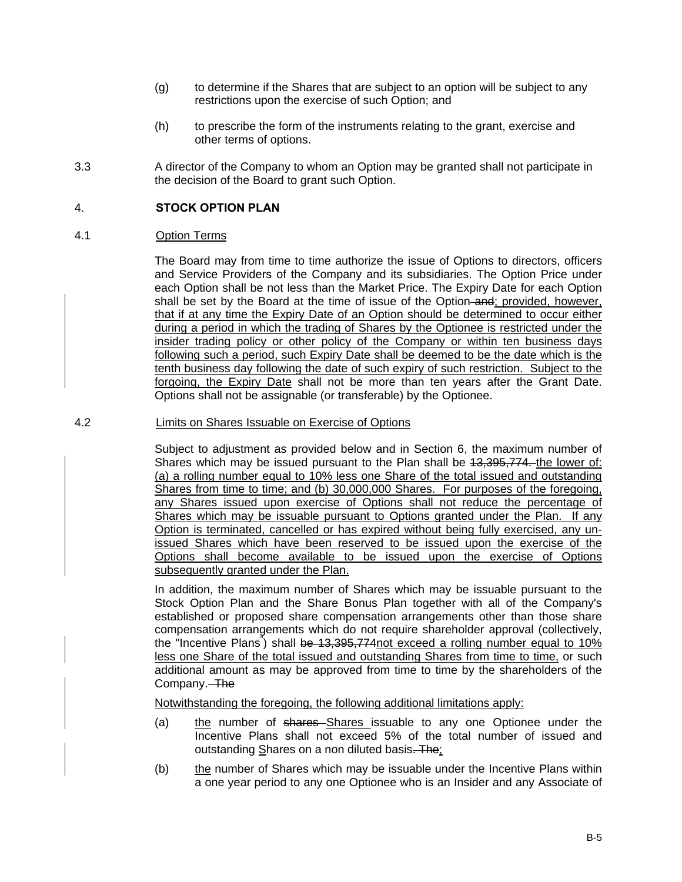- (g) to determine if the Shares that are subject to an option will be subject to any restrictions upon the exercise of such Option; and
- (h) to prescribe the form of the instruments relating to the grant, exercise and other terms of options.
- 3.3 A director of the Company to whom an Option may be granted shall not participate in the decision of the Board to grant such Option.

# 4. **STOCK OPTION PLAN**

# 4.1 Option Terms

The Board may from time to time authorize the issue of Options to directors, officers and Service Providers of the Company and its subsidiaries. The Option Price under each Option shall be not less than the Market Price. The Expiry Date for each Option shall be set by the Board at the time of issue of the Option and; provided, however, that if at any time the Expiry Date of an Option should be determined to occur either during a period in which the trading of Shares by the Optionee is restricted under the insider trading policy or other policy of the Company or within ten business days following such a period, such Expiry Date shall be deemed to be the date which is the tenth business day following the date of such expiry of such restriction. Subject to the forgoing, the Expiry Date shall not be more than ten years after the Grant Date. Options shall not be assignable (or transferable) by the Optionee.

# 4.2 Limits on Shares Issuable on Exercise of Options

Subject to adjustment as provided below and in Section 6, the maximum number of Shares which may be issued pursuant to the Plan shall be  $13,395,774$  the lower of: (a) a rolling number equal to 10% less one Share of the total issued and outstanding Shares from time to time; and (b) 30,000,000 Shares. For purposes of the foregoing, any Shares issued upon exercise of Options shall not reduce the percentage of Shares which may be issuable pursuant to Options granted under the Plan. If any Option is terminated, cancelled or has expired without being fully exercised, any unissued Shares which have been reserved to be issued upon the exercise of the Options shall become available to be issued upon the exercise of Options subsequently granted under the Plan.

In addition, the maximum number of Shares which may be issuable pursuant to the Stock Option Plan and the Share Bonus Plan together with all of the Company's established or proposed share compensation arrangements other than those share compensation arrangements which do not require shareholder approval (collectively, the "Incentive Plans<sup>"</sup>) shall <del>be 13,395,774not exceed a rolling number equal to 10%</del> less one Share of the total issued and outstanding Shares from time to time, or such additional amount as may be approved from time to time by the shareholders of the Company. The

Notwithstanding the foregoing, the following additional limitations apply:

- (a) the number of shares Shares issuable to any one Optionee under the Incentive Plans shall not exceed 5% of the total number of issued and outstanding Shares on a non diluted basis. The;
- (b) the number of Shares which may be issuable under the Incentive Plans within a one year period to any one Optionee who is an Insider and any Associate of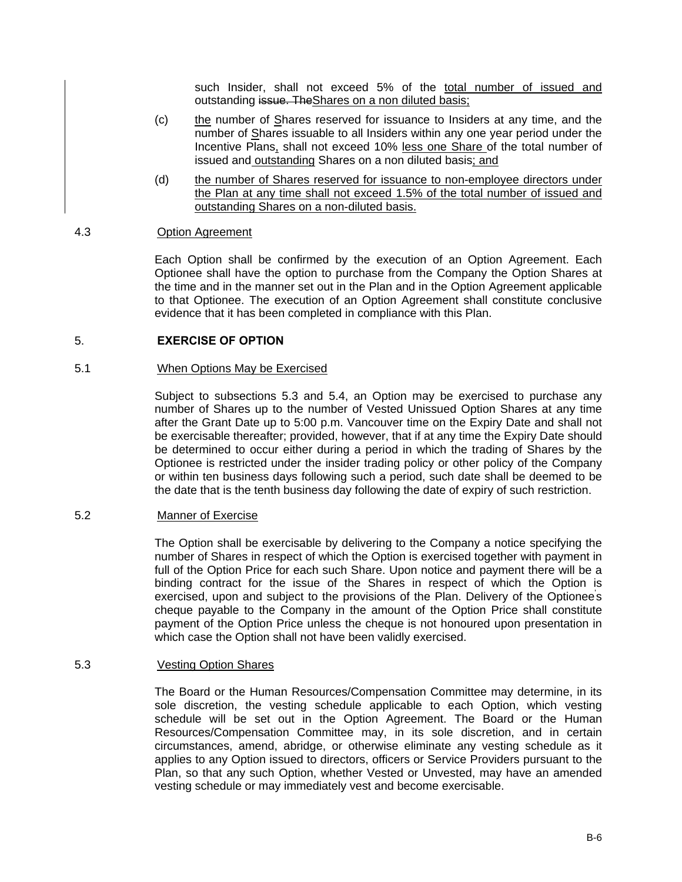such Insider, shall not exceed 5% of the total number of issued and outstanding issue. TheShares on a non diluted basis;

- (c) the number of Shares reserved for issuance to Insiders at any time, and the number of Shares issuable to all Insiders within any one year period under the Incentive Plans, shall not exceed 10% less one Share of the total number of issued and outstanding Shares on a non diluted basis; and
- (d) the number of Shares reserved for issuance to non-employee directors under the Plan at any time shall not exceed 1.5% of the total number of issued and outstanding Shares on a non-diluted basis.

# 4.3 Option Agreement

Each Option shall be confirmed by the execution of an Option Agreement. Each Optionee shall have the option to purchase from the Company the Option Shares at the time and in the manner set out in the Plan and in the Option Agreement applicable to that Optionee. The execution of an Option Agreement shall constitute conclusive evidence that it has been completed in compliance with this Plan.

# 5. **EXERCISE OF OPTION**

#### 5.1 When Options May be Exercised

Subject to subsections 5.3 and 5.4, an Option may be exercised to purchase any number of Shares up to the number of Vested Unissued Option Shares at any time after the Grant Date up to 5:00 p.m. Vancouver time on the Expiry Date and shall not be exercisable thereafter; provided, however, that if at any time the Expiry Date should be determined to occur either during a period in which the trading of Shares by the Optionee is restricted under the insider trading policy or other policy of the Company or within ten business days following such a period, such date shall be deemed to be the date that is the tenth business day following the date of expiry of such restriction.

#### 5.2 Manner of Exercise

The Option shall be exercisable by delivering to the Company a notice specifying the number of Shares in respect of which the Option is exercised together with payment in full of the Option Price for each such Share. Upon notice and payment there will be a binding contract for the issue of the Shares in respect of which the Option is exercised, upon and subject to the provisions of the Plan. Delivery of the Optionee's cheque payable to the Company in the amount of the Option Price shall constitute payment of the Option Price unless the cheque is not honoured upon presentation in which case the Option shall not have been validly exercised.

#### 5.3 Vesting Option Shares

The Board or the Human Resources/Compensation Committee may determine, in its sole discretion, the vesting schedule applicable to each Option, which vesting schedule will be set out in the Option Agreement. The Board or the Human Resources/Compensation Committee may, in its sole discretion, and in certain circumstances, amend, abridge, or otherwise eliminate any vesting schedule as it applies to any Option issued to directors, officers or Service Providers pursuant to the Plan, so that any such Option, whether Vested or Unvested, may have an amended vesting schedule or may immediately vest and become exercisable.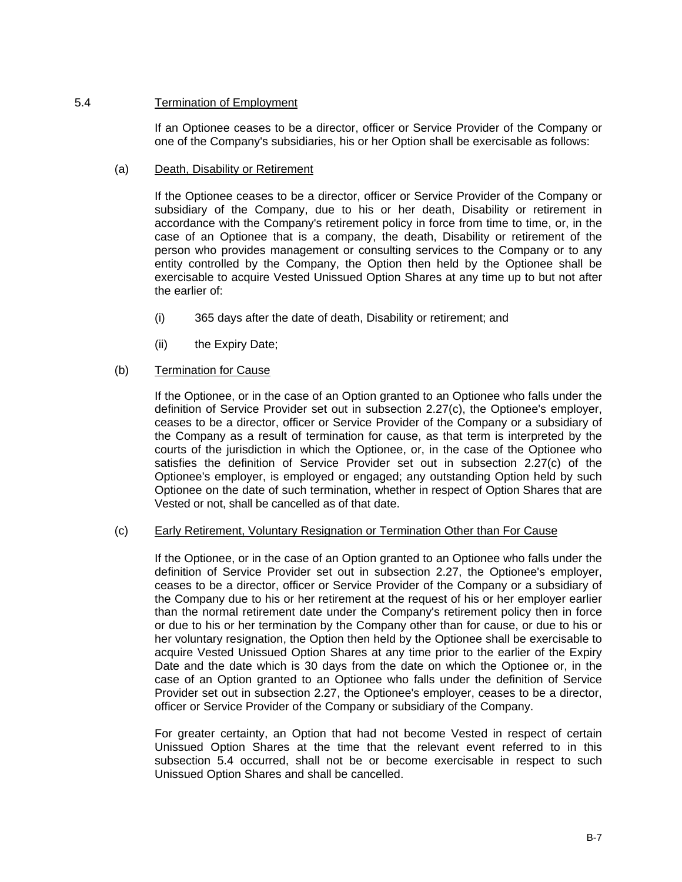# 5.4 Termination of Employment

If an Optionee ceases to be a director, officer or Service Provider of the Company or one of the Company's subsidiaries, his or her Option shall be exercisable as follows:

# (a) Death, Disability or Retirement

If the Optionee ceases to be a director, officer or Service Provider of the Company or subsidiary of the Company, due to his or her death, Disability or retirement in accordance with the Company's retirement policy in force from time to time, or, in the case of an Optionee that is a company, the death, Disability or retirement of the person who provides management or consulting services to the Company or to any entity controlled by the Company, the Option then held by the Optionee shall be exercisable to acquire Vested Unissued Option Shares at any time up to but not after the earlier of:

- (i) 365 days after the date of death, Disability or retirement; and
- (ii) the Expiry Date;

# (b) Termination for Cause

If the Optionee, or in the case of an Option granted to an Optionee who falls under the definition of Service Provider set out in subsection 2.27(c), the Optionee's employer, ceases to be a director, officer or Service Provider of the Company or a subsidiary of the Company as a result of termination for cause, as that term is interpreted by the courts of the jurisdiction in which the Optionee, or, in the case of the Optionee who satisfies the definition of Service Provider set out in subsection 2.27(c) of the Optionee's employer, is employed or engaged; any outstanding Option held by such Optionee on the date of such termination, whether in respect of Option Shares that are Vested or not, shall be cancelled as of that date.

# (c) Early Retirement, Voluntary Resignation or Termination Other than For Cause

If the Optionee, or in the case of an Option granted to an Optionee who falls under the definition of Service Provider set out in subsection 2.27, the Optionee's employer, ceases to be a director, officer or Service Provider of the Company or a subsidiary of the Company due to his or her retirement at the request of his or her employer earlier than the normal retirement date under the Company's retirement policy then in force or due to his or her termination by the Company other than for cause, or due to his or her voluntary resignation, the Option then held by the Optionee shall be exercisable to acquire Vested Unissued Option Shares at any time prior to the earlier of the Expiry Date and the date which is 30 days from the date on which the Optionee or, in the case of an Option granted to an Optionee who falls under the definition of Service Provider set out in subsection 2.27, the Optionee's employer, ceases to be a director, officer or Service Provider of the Company or subsidiary of the Company.

For greater certainty, an Option that had not become Vested in respect of certain Unissued Option Shares at the time that the relevant event referred to in this subsection 5.4 occurred, shall not be or become exercisable in respect to such Unissued Option Shares and shall be cancelled.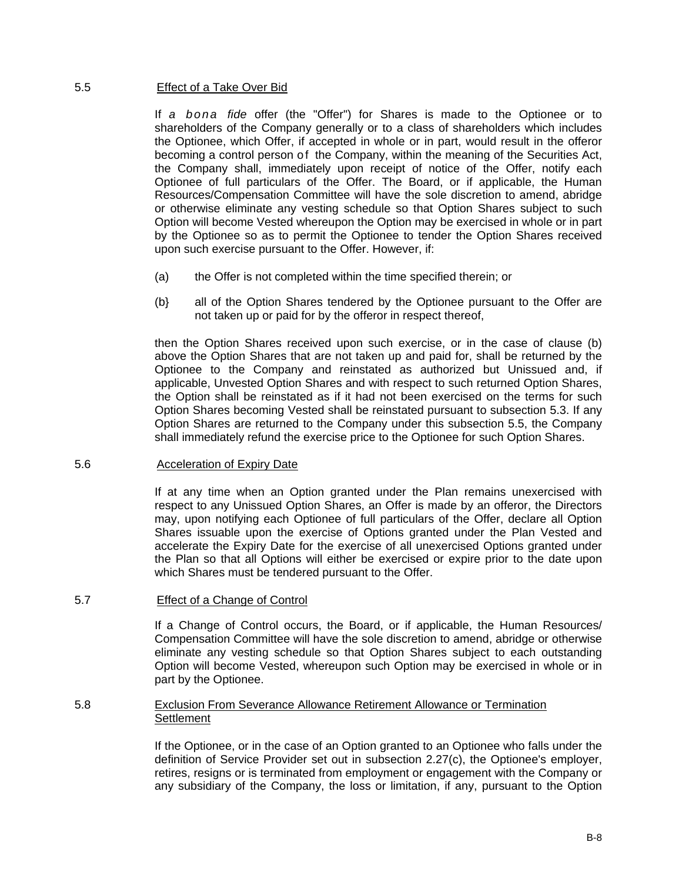#### 5.5 Effect of a Take Over Bid

If *a bona fide* offer (the "Offer") for Shares is made to the Optionee or to shareholders of the Company generally or to a class of shareholders which includes the Optionee, which Offer, if accepted in whole or in part, would result in the offeror becoming a control person of the Company, within the meaning of the Securities Act, the Company shall, immediately upon receipt of notice of the Offer, notify each Optionee of full particulars of the Offer. The Board, or if applicable, the Human Resources/Compensation Committee will have the sole discretion to amend, abridge or otherwise eliminate any vesting schedule so that Option Shares subject to such Option will become Vested whereupon the Option may be exercised in whole or in part by the Optionee so as to permit the Optionee to tender the Option Shares received upon such exercise pursuant to the Offer. However, if:

- (a) the Offer is not completed within the time specified therein; or
- (b} all of the Option Shares tendered by the Optionee pursuant to the Offer are not taken up or paid for by the offeror in respect thereof,

then the Option Shares received upon such exercise, or in the case of clause (b) above the Option Shares that are not taken up and paid for, shall be returned by the Optionee to the Company and reinstated as authorized but Unissued and, if applicable, Unvested Option Shares and with respect to such returned Option Shares, the Option shall be reinstated as if it had not been exercised on the terms for such Option Shares becoming Vested shall be reinstated pursuant to subsection 5.3. If any Option Shares are returned to the Company under this subsection 5.5, the Company shall immediately refund the exercise price to the Optionee for such Option Shares.

#### 5.6 Acceleration of Expiry Date

If at any time when an Option granted under the Plan remains unexercised with respect to any Unissued Option Shares, an Offer is made by an offeror, the Directors may, upon notifying each Optionee of full particulars of the Offer, declare all Option Shares issuable upon the exercise of Options granted under the Plan Vested and accelerate the Expiry Date for the exercise of all unexercised Options granted under the Plan so that all Options will either be exercised or expire prior to the date upon which Shares must be tendered pursuant to the Offer.

# 5.7 Effect of a Change of Control

If a Change of Control occurs, the Board, or if applicable, the Human Resources/ Compensation Committee will have the sole discretion to amend, abridge or otherwise eliminate any vesting schedule so that Option Shares subject to each outstanding Option will become Vested, whereupon such Option may be exercised in whole or in part by the Optionee.

#### 5.8 Exclusion From Severance Allowance Retirement Allowance or Termination **Settlement**

If the Optionee, or in the case of an Option granted to an Optionee who falls under the definition of Service Provider set out in subsection 2.27(c), the Optionee's employer, retires, resigns or is terminated from employment or engagement with the Company or any subsidiary of the Company, the loss or limitation, if any, pursuant to the Option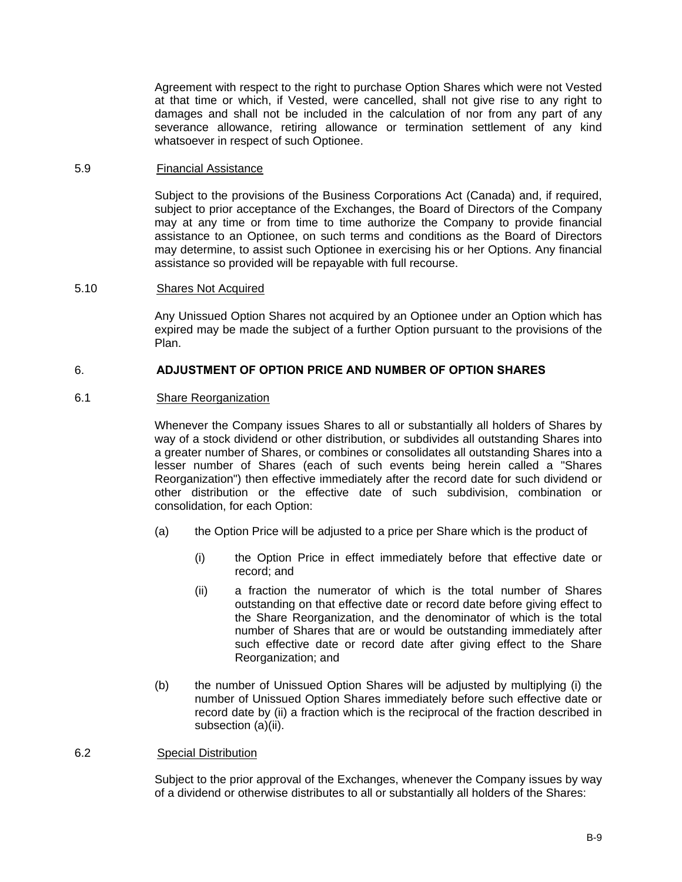Agreement with respect to the right to purchase Option Shares which were not Vested at that time or which, if Vested, were cancelled, shall not give rise to any right to damages and shall not be included in the calculation of nor from any part of any severance allowance, retiring allowance or termination settlement of any kind whatsoever in respect of such Optionee.

#### 5.9 Financial Assistance

Subject to the provisions of the Business Corporations Act (Canada) and, if required, subject to prior acceptance of the Exchanges, the Board of Directors of the Company may at any time or from time to time authorize the Company to provide financial assistance to an Optionee, on such terms and conditions as the Board of Directors may determine, to assist such Optionee in exercising his or her Options. Any financial assistance so provided will be repayable with full recourse.

#### 5.10 Shares Not Acquired

Any Unissued Option Shares not acquired by an Optionee under an Option which has expired may be made the subject of a further Option pursuant to the provisions of the Plan.

# 6. **ADJUSTMENT OF OPTION PRICE AND NUMBER OF OPTION SHARES**

# 6.1 Share Reorganization

Whenever the Company issues Shares to all or substantially all holders of Shares by way of a stock dividend or other distribution, or subdivides all outstanding Shares into a greater number of Shares, or combines or consolidates all outstanding Shares into a lesser number of Shares (each of such events being herein called a "Shares Reorganization") then effective immediately after the record date for such dividend or other distribution or the effective date of such subdivision, combination or consolidation, for each Option:

- (a) the Option Price will be adjusted to a price per Share which is the product of
	- (i) the Option Price in effect immediately before that effective date or record; and
	- (ii) a fraction the numerator of which is the total number of Shares outstanding on that effective date or record date before giving effect to the Share Reorganization, and the denominator of which is the total number of Shares that are or would be outstanding immediately after such effective date or record date after giving effect to the Share Reorganization; and
- (b) the number of Unissued Option Shares will be adjusted by multiplying (i) the number of Unissued Option Shares immediately before such effective date or record date by (ii) a fraction which is the reciprocal of the fraction described in subsection (a)(ii).

#### 6.2 Special Distribution

Subject to the prior approval of the Exchanges, whenever the Company issues by way of a dividend or otherwise distributes to all or substantially all holders of the Shares: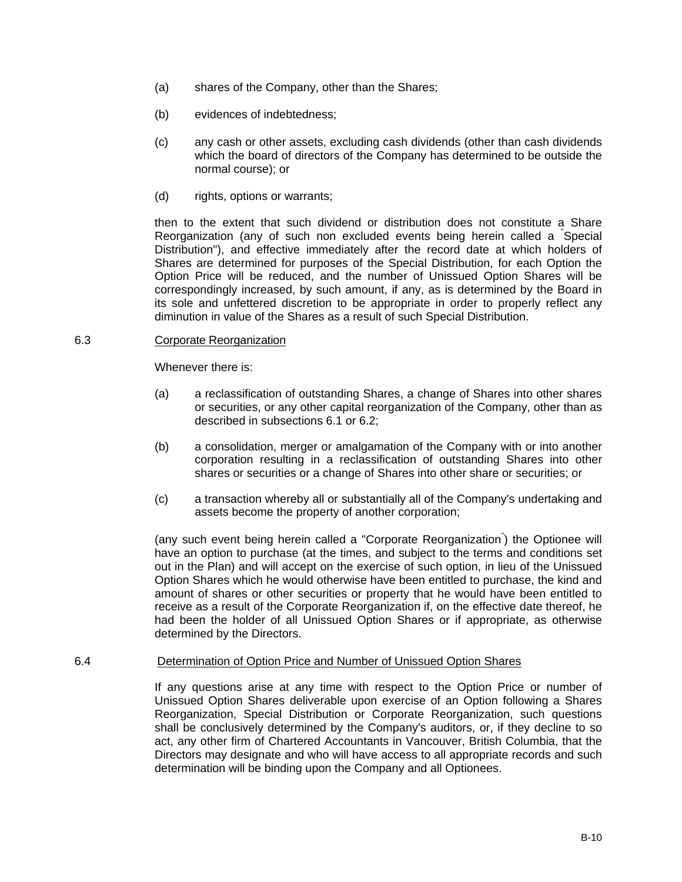- (a) shares of the Company, other than the Shares;
- (b) evidences of indebtedness;
- (c) any cash or other assets, excluding cash dividends (other than cash dividends which the board of directors of the Company has determined to be outside the normal course); or
- (d) rights, options or warrants;

then to the extent that such dividend or distribution does not constitute a Share Reorganization (any of such non excluded events being herein called a " Special Distribution"), and effective immediately after the record date at which holders of Shares are determined for purposes of the Special Distribution, for each Option the Option Price will be reduced, and the number of Unissued Option Shares will be correspondingly increased, by such amount, if any, as is determined by the Board in its sole and unfettered discretion to be appropriate in order to properly reflect any diminution in value of the Shares as a result of such Special Distribution.

#### 6.3 Corporate Reorganization

Whenever there is:

- (a) a reclassification of outstanding Shares, a change of Shares into other shares or securities, or any other capital reorganization of the Company, other than as described in subsections 6.1 or 6.2;
- (b) a consolidation, merger or amalgamation of the Company with or into another corporation resulting in a reclassification of outstanding Shares into other shares or securities or a change of Shares into other share or securities; or
- (c) a transaction whereby all or substantially all of the Company's undertaking and assets become the property of another corporation;

(any such event being herein called a "Corporate Reorganization" ) the Optionee will have an option to purchase (at the times, and subject to the terms and conditions set out in the Plan) and will accept on the exercise of such option, in lieu of the Unissued Option Shares which he would otherwise have been entitled to purchase, the kind and amount of shares or other securities or property that he would have been entitled to receive as a result of the Corporate Reorganization if, on the effective date thereof, he had been the holder of all Unissued Option Shares or if appropriate, as otherwise determined by the Directors.

#### 6.4 Determination of Option Price and Number of Unissued Option Shares

If any questions arise at any time with respect to the Option Price or number of Unissued Option Shares deliverable upon exercise of an Option following a Shares Reorganization, Special Distribution or Corporate Reorganization, such questions shall be conclusively determined by the Company's auditors, or, if they decline to so act, any other firm of Chartered Accountants in Vancouver, British Columbia, that the Directors may designate and who will have access to all appropriate records and such determination will be binding upon the Company and all Optionees.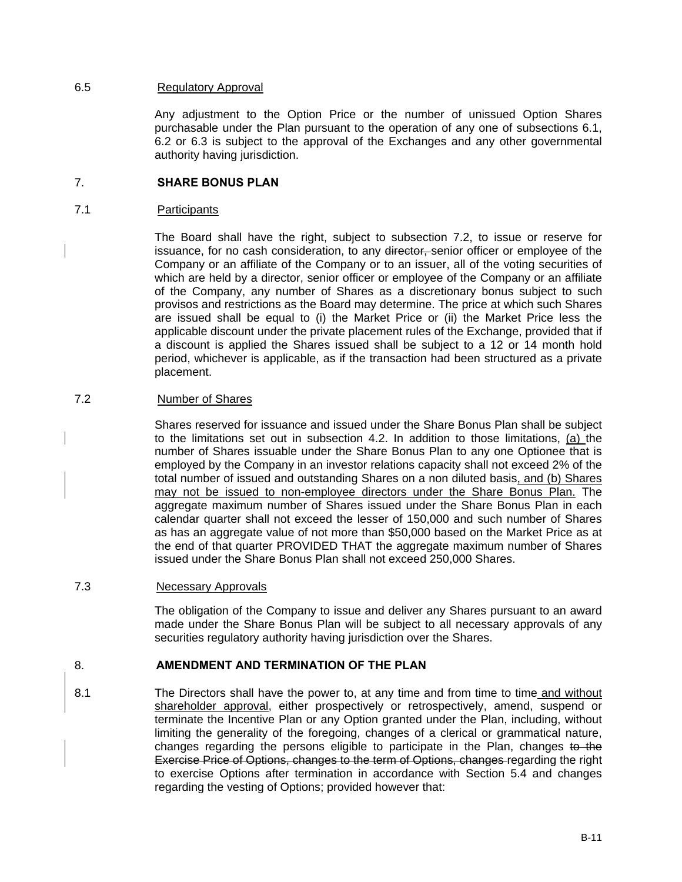#### 6.5 Regulatory Approval

Any adjustment to the Option Price or the number of unissued Option Shares purchasable under the Plan pursuant to the operation of any one of subsections 6.1, 6.2 or 6.3 is subject to the approval of the Exchanges and any other governmental authority having jurisdiction.

### 7. **SHARE BONUS PLAN**

#### 7.1 Participants

The Board shall have the right, subject to subsection 7.2, to issue or reserve for issuance, for no cash consideration, to any director, senior officer or employee of the Company or an affiliate of the Company or to an issuer, all of the voting securities of which are held by a director, senior officer or employee of the Company or an affiliate of the Company, any number of Shares as a discretionary bonus subject to such provisos and restrictions as the Board may determine. The price at which such Shares are issued shall be equal to (i) the Market Price or (ii) the Market Price less the applicable discount under the private placement rules of the Exchange, provided that if a discount is applied the Shares issued shall be subject to a 12 or 14 month hold period, whichever is applicable, as if the transaction had been structured as a private placement.

### 7.2 Number of Shares

Shares reserved for issuance and issued under the Share Bonus Plan shall be subject to the limitations set out in subsection 4.2. In addition to those limitations, (a) the number of Shares issuable under the Share Bonus Plan to any one Optionee that is employed by the Company in an investor relations capacity shall not exceed 2% of the total number of issued and outstanding Shares on a non diluted basis, and (b) Shares may not be issued to non-employee directors under the Share Bonus Plan. The aggregate maximum number of Shares issued under the Share Bonus Plan in each calendar quarter shall not exceed the lesser of 150,000 and such number of Shares as has an aggregate value of not more than \$50,000 based on the Market Price as at the end of that quarter PROVIDED THAT the aggregate maximum number of Shares issued under the Share Bonus Plan shall not exceed 250,000 Shares.

#### 7.3 Necessary Approvals

The obligation of the Company to issue and deliver any Shares pursuant to an award made under the Share Bonus Plan will be subject to all necessary approvals of any securities regulatory authority having jurisdiction over the Shares.

# 8. **AMENDMENT AND TERMINATION OF THE PLAN**

8.1 The Directors shall have the power to, at any time and from time to time and without shareholder approval, either prospectively or retrospectively, amend, suspend or terminate the Incentive Plan or any Option granted under the Plan, including, without limiting the generality of the foregoing, changes of a clerical or grammatical nature, changes regarding the persons eligible to participate in the Plan, changes to the Exercise Price of Options, changes to the term of Options, changes regarding the right to exercise Options after termination in accordance with Section 5.4 and changes regarding the vesting of Options; provided however that: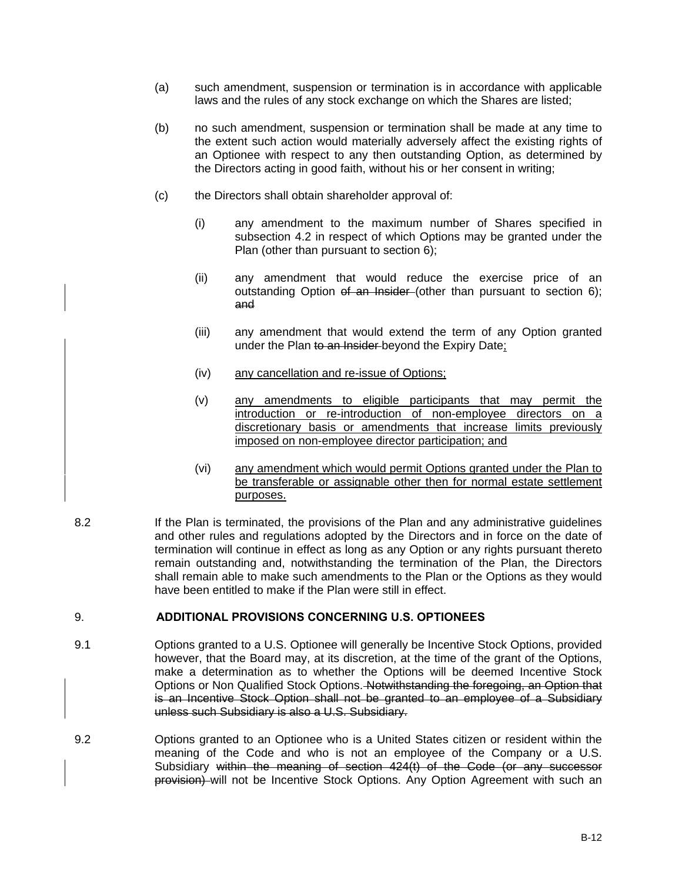- (a) such amendment, suspension or termination is in accordance with applicable laws and the rules of any stock exchange on which the Shares are listed;
- (b) no such amendment, suspension or termination shall be made at any time to the extent such action would materially adversely affect the existing rights of an Optionee with respect to any then outstanding Option, as determined by the Directors acting in good faith, without his or her consent in writing;
- (c) the Directors shall obtain shareholder approval of:
	- (i) any amendment to the maximum number of Shares specified in subsection 4.2 in respect of which Options may be granted under the Plan (other than pursuant to section 6);
	- (ii) any amendment that would reduce the exercise price of an outstanding Option of an Insider (other than pursuant to section 6); and
	- (iii) any amendment that would extend the term of any Option granted under the Plan to an Insider beyond the Expiry Date;
	- (iv) any cancellation and re-issue of Options;
	- (v) any amendments to eligible participants that may permit the introduction or re-introduction of non-employee directors on a discretionary basis or amendments that increase limits previously imposed on non-employee director participation; and
	- (vi) any amendment which would permit Options granted under the Plan to be transferable or assignable other then for normal estate settlement purposes.
- 8.2 **If the Plan is terminated, the provisions of the Plan and any administrative guidelines** and other rules and regulations adopted by the Directors and in force on the date of termination will continue in effect as long as any Option or any rights pursuant thereto remain outstanding and, notwithstanding the termination of the Plan, the Directors shall remain able to make such amendments to the Plan or the Options as they would have been entitled to make if the Plan were still in effect.

#### 9. **ADDITIONAL PROVISIONS CONCERNING U.S. OPTIONEES**

- 9.1 Options granted to a U.S. Optionee will generally be Incentive Stock Options, provided however, that the Board may, at its discretion, at the time of the grant of the Options, make a determination as to whether the Options will be deemed Incentive Stock Options or Non Qualified Stock Options. Notwithstanding the foregoing, an Option that is an Incentive Stock Option shall not be granted to an employee of a Subsidiary unless such Subsidiary is also a U.S. Subsidiary.
- 9.2 Options granted to an Optionee who is a United States citizen or resident within the meaning of the Code and who is not an employee of the Company or a U.S. Subsidiary within the meaning of section 424(t) of the Code (or any successor provision) will not be Incentive Stock Options. Any Option Agreement with such an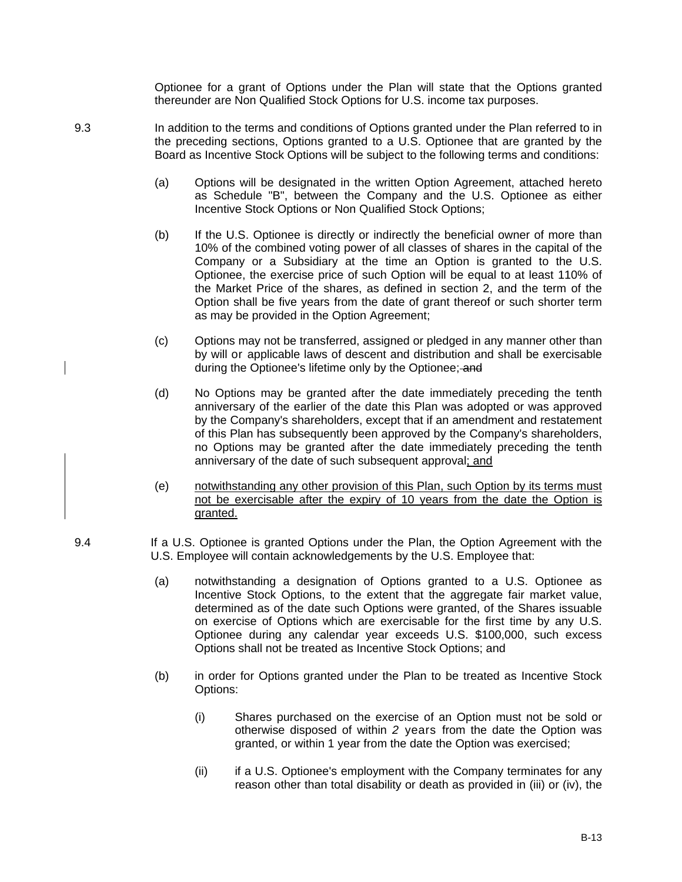Optionee for a grant of Options under the Plan will state that the Options granted thereunder are Non Qualified Stock Options for U.S. income tax purposes.

- 9.3 In addition to the terms and conditions of Options granted under the Plan referred to in the preceding sections, Options granted to a U.S. Optionee that are granted by the Board as Incentive Stock Options will be subject to the following terms and conditions:
	- (a) Options will be designated in the written Option Agreement, attached hereto as Schedule "B", between the Company and the U.S. Optionee as either Incentive Stock Options or Non Qualified Stock Options;
	- (b) If the U.S. Optionee is directly or indirectly the beneficial owner of more than 10% of the combined voting power of all classes of shares in the capital of the Company or a Subsidiary at the time an Option is granted to the U.S. Optionee, the exercise price of such Option will be equal to at least 110% of the Market Price of the shares, as defined in section 2, and the term of the Option shall be five years from the date of grant thereof or such shorter term as may be provided in the Option Agreement;
	- (c) Options may not be transferred, assigned or pledged in any manner other than by will or applicable laws of descent and distribution and shall be exercisable during the Optionee's lifetime only by the Optionee; and
	- (d) No Options may be granted after the date immediately preceding the tenth anniversary of the earlier of the date this Plan was adopted or was approved by the Company's shareholders, except that if an amendment and restatement of this Plan has subsequently been approved by the Company's shareholders, no Options may be granted after the date immediately preceding the tenth anniversary of the date of such subsequent approval; and
	- (e) notwithstanding any other provision of this Plan, such Option by its terms must not be exercisable after the expiry of 10 years from the date the Option is granted.
- 9.4 If a U.S. Optionee is granted Options under the Plan, the Option Agreement with the U.S. Employee will contain acknowledgements by the U.S. Employee that:
	- (a) notwithstanding a designation of Options granted to a U.S. Optionee as Incentive Stock Options, to the extent that the aggregate fair market value, determined as of the date such Options were granted, of the Shares issuable on exercise of Options which are exercisable for the first time by any U.S. Optionee during any calendar year exceeds U.S. \$100,000, such excess Options shall not be treated as Incentive Stock Options; and
	- (b) in order for Options granted under the Plan to be treated as Incentive Stock Options:
		- (i) Shares purchased on the exercise of an Option must not be sold or otherwise disposed of within *2* years from the date the Option was granted, or within 1 year from the date the Option was exercised;
		- (ii) if a U.S. Optionee's employment with the Company terminates for any reason other than total disability or death as provided in (iii) or (iv), the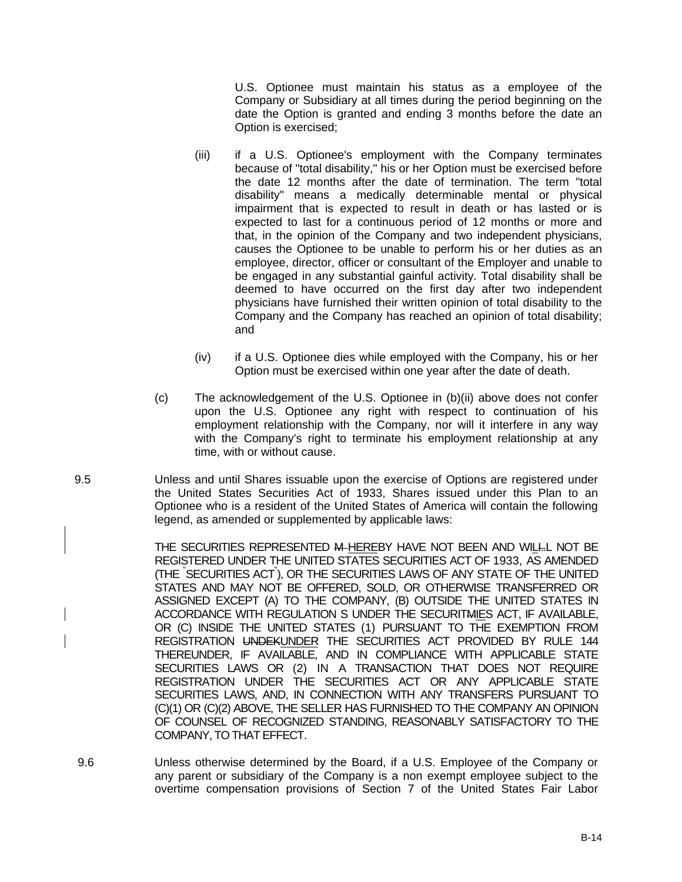U.S. Optionee must maintain his status as a employee of the Company or Subsidiary at all times during the period beginning on the date the Option is granted and ending 3 months before the date an Option is exercised;

- (iii) if a U.S. Optionee's employment with the Company terminates because of "total disability," his or her Option must be exercised before the date 12 months after the date of termination. The term "total disability" means a medically determinable mental or physical impairment that is expected to result in death or has lasted or is expected to last for a continuous period of 12 months or more and that, in the opinion of the Company and two independent physicians, causes the Optionee to be unable to perform his or her duties as an employee, director, officer or consultant of the Employer and unable to be engaged in any substantial gainful activity. Total disability shall be deemed to have occurred on the first day after two independent physicians have furnished their written opinion of total disability to the Company and the Company has reached an opinion of total disability; and
- (iv) if a U.S. Optionee dies while employed with the Company, his or her Option must be exercised within one year after the date of death.
- (c) The acknowledgement of the U.S. Optionee in (b)(ii) above does not confer upon the U.S. Optionee any right with respect to continuation of his employment relationship with the Company, nor will it interfere in any way with the Company's right to terminate his employment relationship at any time, with or without cause.
- 9.5 Unless and until Shares issuable upon the exercise of Options are registered under the United States Securities Act of 1933, Shares issued under this Plan to an Optionee who is a resident of the United States of America will contain the following legend, as amended or supplemented by applicable laws:

THE SECURITIES REPRESENTED M-HEREBY HAVE NOT BEEN AND WILL. NOT BE REGISTERED UNDER THE UNITED STATES SECURITIES ACT OF 1933, AS AMENDED (THE " SECURITIES ACT" ), OR THE SECURITIES LAWS OF ANY STATE OF THE UNITED STATES AND MAY NOT BE OFFERED, SOLD, OR OTHERWISE TRANSFERRED OR ASSIGNED EXCEPT (A) TO THE COMPANY, (B) OUTSIDE THE UNITED STATES IN ACCORDANCE WITH REGULATION S UNDER THE SECURITMIES ACT, IF AVAILABLE, OR (C) INSIDE THE UNITED STATES (1) PURSUANT TO THE EXEMPTION FROM REGISTRATION UNDEKUNDER THE SECURITIES ACT PROVIDED BY RULE 144 THEREUNDER, IF AVAILABLE, AND IN COMPLIANCE WITH APPLICABLE STATE SECURITIES LAWS OR (2) IN A TRANSACTION THAT DOES NOT REQUIRE REGISTRATION UNDER THE SECURITIES ACT OR ANY APPLICABLE STATE SECURITIES LAWS, AND, IN CONNECTION WITH ANY TRANSFERS PURSUANT TO (C)(1) OR (C)(2) ABOVE, THE SELLER HAS FURNISHED TO THE COMPANY AN OPINION OF COUNSEL OF RECOGNIZED STANDING, REASONABLY SATISFACTORY TO THE COMPANY, TO THAT EFFECT.

 9.6 Unless otherwise determined by the Board, if a U.S. Employee of the Company or any parent or subsidiary of the Company is a non exempt employee subject to the overtime compensation provisions of Section 7 of the United States Fair Labor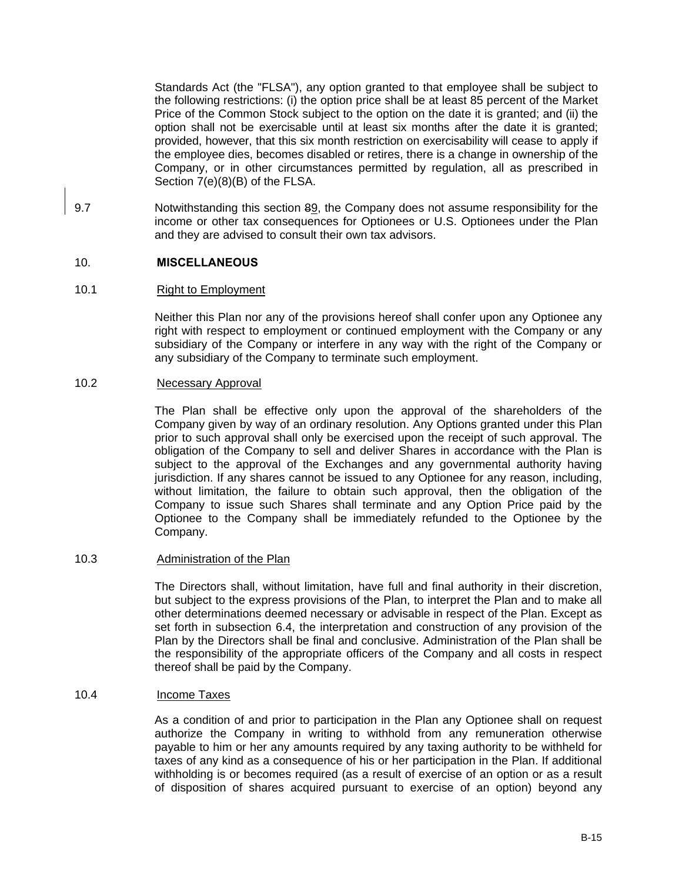Standards Act (the "FLSA"), any option granted to that employee shall be subject to the following restrictions: (i) the option price shall be at least 85 percent of the Market Price of the Common Stock subject to the option on the date it is granted; and (ii) the option shall not be exercisable until at least six months after the date it is granted; provided, however, that this six month restriction on exercisability will cease to apply if the employee dies, becomes disabled or retires, there is a change in ownership of the Company, or in other circumstances permitted by regulation, all as prescribed in Section 7(e)(8)(B) of the FLSA.

9.7 Notwithstanding this section 89, the Company does not assume responsibility for the income or other tax consequences for Optionees or U.S. Optionees under the Plan and they are advised to consult their own tax advisors.

#### 10. **MISCELLANEOUS**

## 10.1 Right to Employment

Neither this Plan nor any of the provisions hereof shall confer upon any Optionee any right with respect to employment or continued employment with the Company or any subsidiary of the Company or interfere in any way with the right of the Company or any subsidiary of the Company to terminate such employment.

#### 10.2 Necessary Approval

The Plan shall be effective only upon the approval of the shareholders of the Company given by way of an ordinary resolution. Any Options granted under this Plan prior to such approval shall only be exercised upon the receipt of such approval. The obligation of the Company to sell and deliver Shares in accordance with the Plan is subject to the approval of the Exchanges and any governmental authority having jurisdiction. If any shares cannot be issued to any Optionee for any reason, including, without limitation, the failure to obtain such approval, then the obligation of the Company to issue such Shares shall terminate and any Option Price paid by the Optionee to the Company shall be immediately refunded to the Optionee by the Company.

#### 10.3 Administration of the Plan

The Directors shall, without limitation, have full and final authority in their discretion, but subject to the express provisions of the Plan, to interpret the Plan and to make all other determinations deemed necessary or advisable in respect of the Plan. Except as set forth in subsection 6.4, the interpretation and construction of any provision of the Plan by the Directors shall be final and conclusive. Administration of the Plan shall be the responsibility of the appropriate officers of the Company and all costs in respect thereof shall be paid by the Company.

#### 10.4 Income Taxes

As a condition of and prior to participation in the Plan any Optionee shall on request authorize the Company in writing to withhold from any remuneration otherwise payable to him or her any amounts required by any taxing authority to be withheld for taxes of any kind as a consequence of his or her participation in the Plan. If additional withholding is or becomes required (as a result of exercise of an option or as a result of disposition of shares acquired pursuant to exercise of an option) beyond any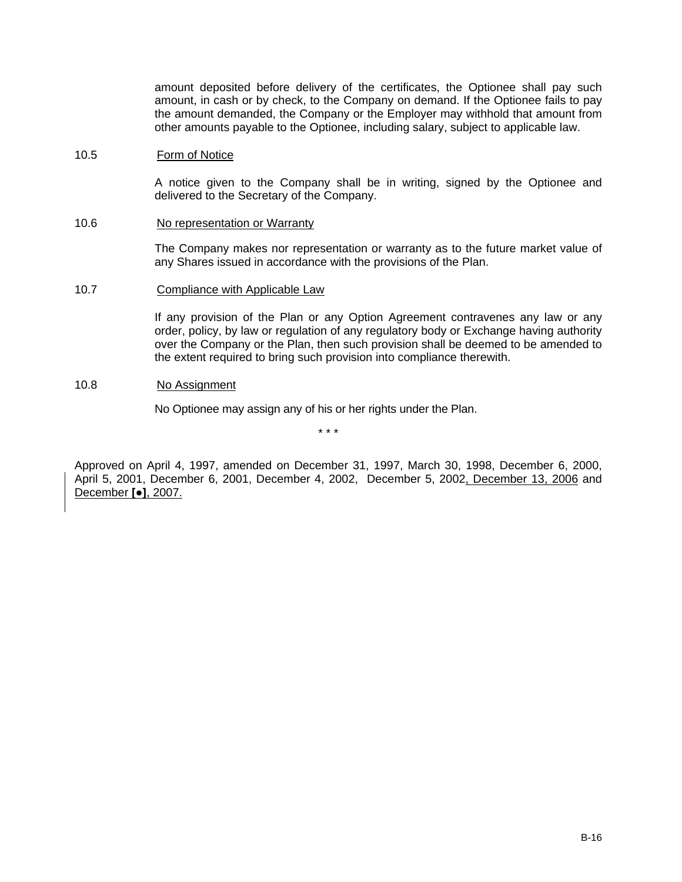amount deposited before delivery of the certificates, the Optionee shall pay such amount, in cash or by check, to the Company on demand. If the Optionee fails to pay the amount demanded, the Company or the Employer may withhold that amount from other amounts payable to the Optionee, including salary, subject to applicable law.

#### 10.5 Form of Notice

A notice given to the Company shall be in writing, signed by the Optionee and delivered to the Secretary of the Company.

#### 10.6 No representation or Warranty

The Company makes nor representation or warranty as to the future market value of any Shares issued in accordance with the provisions of the Plan.

## 10.7 Compliance with Applicable Law

If any provision of the Plan or any Option Agreement contravenes any law or any order, policy, by law or regulation of any regulatory body or Exchange having authority over the Company or the Plan, then such provision shall be deemed to be amended to the extent required to bring such provision into compliance therewith.

#### 10.8 No Assignment

No Optionee may assign any of his or her rights under the Plan.

\* \* \*

Approved on April 4, 1997, amended on December 31, 1997, March 30, 1998, December 6, 2000, April 5, 2001, December 6, 2001, December 4, 2002, December 5, 2002, December 13, 2006 and December **[●]**, 2007.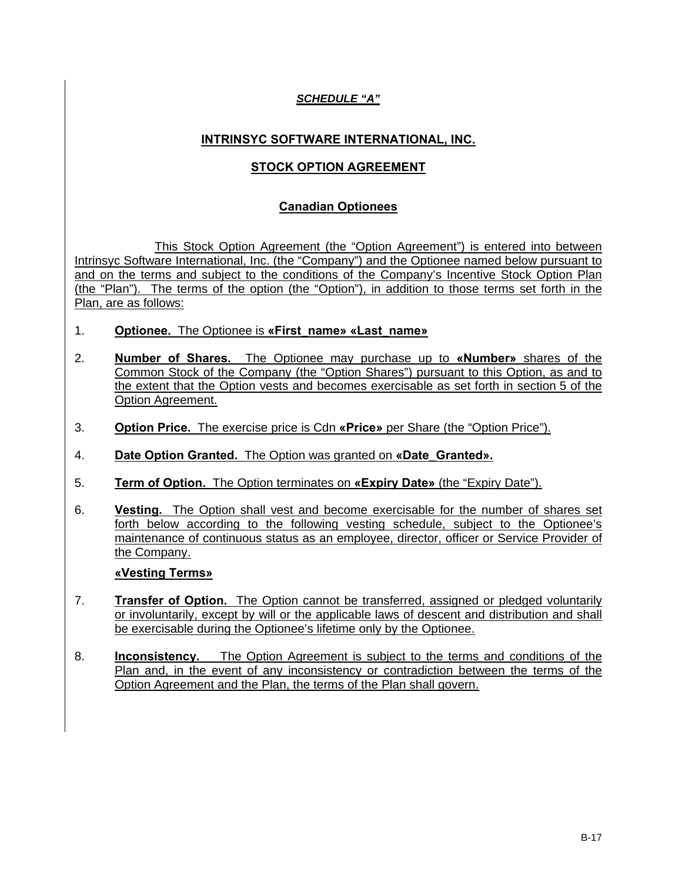# *SCHEDULE "A"*

# **INTRINSYC SOFTWARE INTERNATIONAL, INC.**

# **STOCK OPTION AGREEMENT**

# **Canadian Optionees**

This Stock Option Agreement (the "Option Agreement") is entered into between Intrinsyc Software International, Inc. (the "Company") and the Optionee named below pursuant to and on the terms and subject to the conditions of the Company's Incentive Stock Option Plan (the "Plan"). The terms of the option (the "Option"), in addition to those terms set forth in the Plan, are as follows:

- 1. **Optionee.** The Optionee is **«First\_name» «Last\_name»**
- 2. **Number of Shares.** The Optionee may purchase up to **«Number»** shares of the Common Stock of the Company (the "Option Shares") pursuant to this Option, as and to the extent that the Option vests and becomes exercisable as set forth in section 5 of the Option Agreement.
- 3. **Option Price.** The exercise price is Cdn **«Price»** per Share (the "Option Price").
- 4. **Date Option Granted.** The Option was granted on **«Date\_Granted».**
- 5. **Term of Option.** The Option terminates on **«Expiry Date»** (the "Expiry Date").
- 6. **Vesting.** The Option shall vest and become exercisable for the number of shares set forth below according to the following vesting schedule, subject to the Optionee's maintenance of continuous status as an employee, director, officer or Service Provider of the Company.

# **«Vesting Terms»**

- 7. **Transfer of Option.** The Option cannot be transferred, assigned or pledged voluntarily or involuntarily, except by will or the applicable laws of descent and distribution and shall be exercisable during the Optionee's lifetime only by the Optionee.
- 8. **Inconsistency.** The Option Agreement is subject to the terms and conditions of the Plan and, in the event of any inconsistency or contradiction between the terms of the Option Agreement and the Plan, the terms of the Plan shall govern.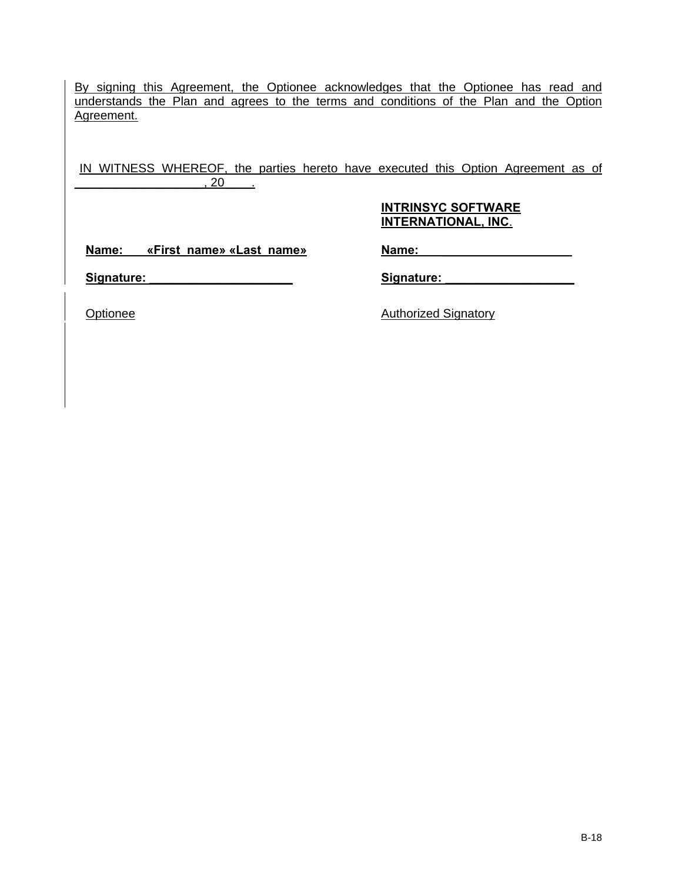By signing this Agreement, the Optionee acknowledges that the Optionee has read and understands the Plan and agrees to the terms and conditions of the Plan and the Option Agreement.

IN WITNESS WHEREOF, the parties hereto have executed this Option Agreement as of \_\_\_\_\_\_\_\_\_\_\_\_\_\_\_\_\_\_\_, 20\_\_\_\_.

# **INTRINSYC SOFTWARE INTERNATIONAL, INC**.

**Name: «First\_name» «Last\_name»**

**Name: \_\_\_\_\_\_\_\_\_\_\_\_\_\_\_\_\_\_\_**

Signature: **With the Signature** of  $\mathcal{L}$ 

**Signature: \_\_\_\_\_\_\_\_\_\_\_\_\_\_\_\_\_\_\_**

Optionee Authorized Signatory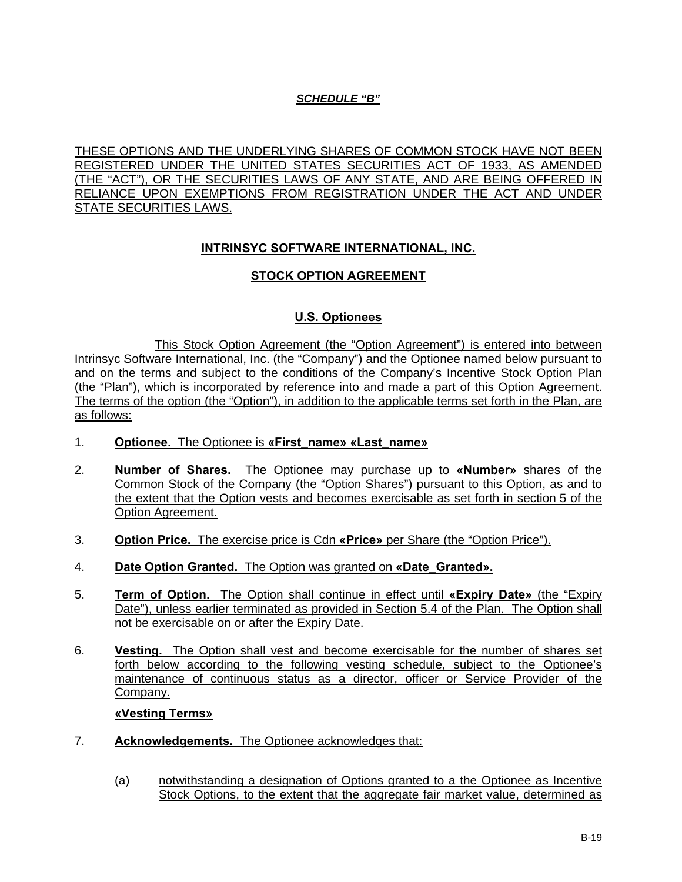# *SCHEDULE "B"*

THESE OPTIONS AND THE UNDERLYING SHARES OF COMMON STOCK HAVE NOT BEEN REGISTERED UNDER THE UNITED STATES SECURITIES ACT OF 1933, AS AMENDED (THE "ACT"), OR THE SECURITIES LAWS OF ANY STATE, AND ARE BEING OFFERED IN RELIANCE UPON EXEMPTIONS FROM REGISTRATION UNDER THE ACT AND UNDER STATE SECURITIES LAWS.

# **INTRINSYC SOFTWARE INTERNATIONAL, INC.**

# **STOCK OPTION AGREEMENT**

# **U.S. Optionees**

This Stock Option Agreement (the "Option Agreement") is entered into between Intrinsyc Software International, Inc. (the "Company") and the Optionee named below pursuant to and on the terms and subject to the conditions of the Company's Incentive Stock Option Plan (the "Plan"), which is incorporated by reference into and made a part of this Option Agreement. The terms of the option (the "Option"), in addition to the applicable terms set forth in the Plan, are as follows:

- 1. **Optionee.** The Optionee is **«First\_name» «Last\_name»**
- 2. **Number of Shares.** The Optionee may purchase up to **«Number»** shares of the Common Stock of the Company (the "Option Shares") pursuant to this Option, as and to the extent that the Option vests and becomes exercisable as set forth in section 5 of the Option Agreement.
- 3. **Option Price.** The exercise price is Cdn **«Price»** per Share (the "Option Price").
- 4. **Date Option Granted.** The Option was granted on **«Date\_Granted».**
- 5. **Term of Option.** The Option shall continue in effect until **«Expiry Date»** (the "Expiry Date"), unless earlier terminated as provided in Section 5.4 of the Plan. The Option shall not be exercisable on or after the Expiry Date.
- 6. **Vesting.** The Option shall vest and become exercisable for the number of shares set forth below according to the following vesting schedule, subject to the Optionee's maintenance of continuous status as a director, officer or Service Provider of the Company.

# **«Vesting Terms»**

- 7. **Acknowledgements.** The Optionee acknowledges that:
	- (a) notwithstanding a designation of Options granted to a the Optionee as Incentive Stock Options, to the extent that the aggregate fair market value, determined as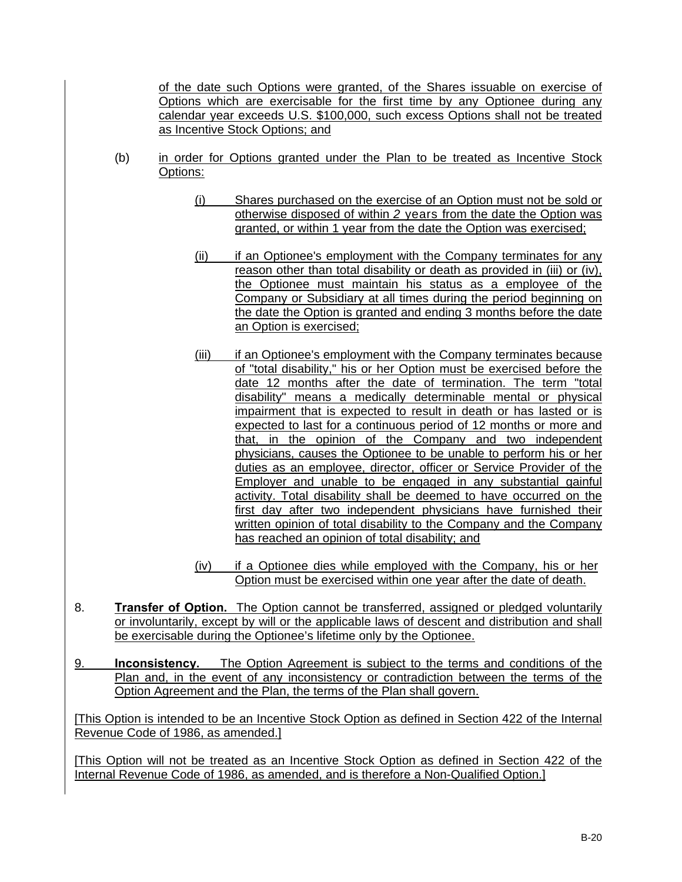of the date such Options were granted, of the Shares issuable on exercise of Options which are exercisable for the first time by any Optionee during any calendar year exceeds U.S. \$100,000, such excess Options shall not be treated as Incentive Stock Options; and

- (b) in order for Options granted under the Plan to be treated as Incentive Stock Options:
	- (i) Shares purchased on the exercise of an Option must not be sold or otherwise disposed of within *2* years from the date the Option was granted, or within 1 year from the date the Option was exercised;
	- (ii) if an Optionee's employment with the Company terminates for any reason other than total disability or death as provided in (iii) or (iv), the Optionee must maintain his status as a employee of the Company or Subsidiary at all times during the period beginning on the date the Option is granted and ending 3 months before the date an Option is exercised;
	- (iii) if an Optionee's employment with the Company terminates because of "total disability," his or her Option must be exercised before the date 12 months after the date of termination. The term "total disability" means a medically determinable mental or physical impairment that is expected to result in death or has lasted or is expected to last for a continuous period of 12 months or more and that, in the opinion of the Company and two independent physicians, causes the Optionee to be unable to perform his or her duties as an employee, director, officer or Service Provider of the Employer and unable to be engaged in any substantial gainful activity. Total disability shall be deemed to have occurred on the first day after two independent physicians have furnished their written opinion of total disability to the Company and the Company has reached an opinion of total disability; and
	- (iv) if a Optionee dies while employed with the Company, his or her Option must be exercised within one year after the date of death.
- 8. **Transfer of Option.** The Option cannot be transferred, assigned or pledged voluntarily or involuntarily, except by will or the applicable laws of descent and distribution and shall be exercisable during the Optionee's lifetime only by the Optionee.
- 9. **Inconsistency.** The Option Agreement is subject to the terms and conditions of the Plan and, in the event of any inconsistency or contradiction between the terms of the Option Agreement and the Plan, the terms of the Plan shall govern.

[This Option is intended to be an Incentive Stock Option as defined in Section 422 of the Internal Revenue Code of 1986, as amended.]

[This Option will not be treated as an Incentive Stock Option as defined in Section 422 of the Internal Revenue Code of 1986, as amended, and is therefore a Non-Qualified Option.]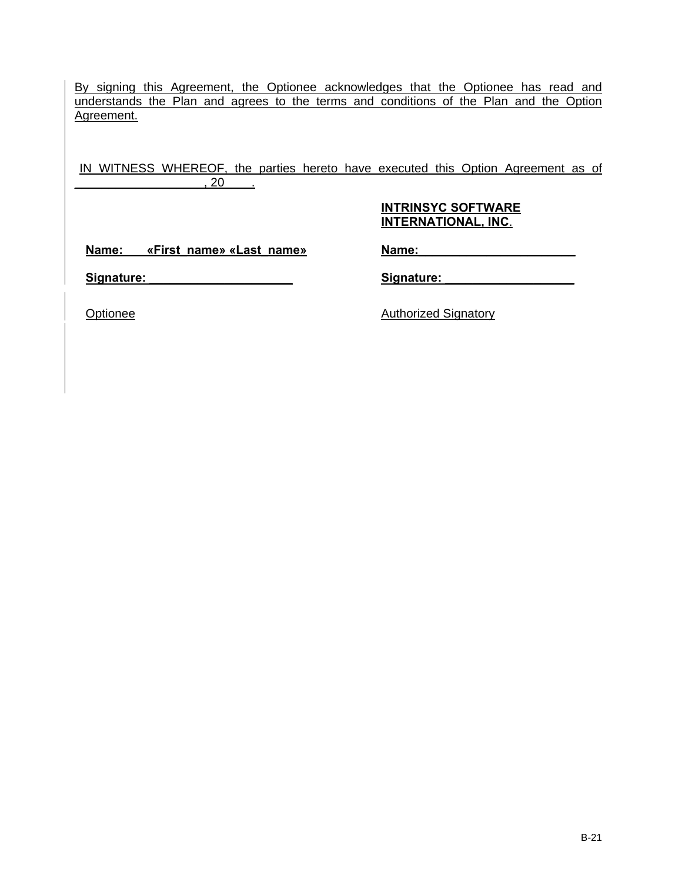By signing this Agreement, the Optionee acknowledges that the Optionee has read and understands the Plan and agrees to the terms and conditions of the Plan and the Option Agreement.

IN WITNESS WHEREOF, the parties hereto have executed this Option Agreement as of \_\_\_\_\_\_\_\_\_\_\_\_\_\_\_\_\_\_\_, 20\_\_\_\_.

# **INTRINSYC SOFTWARE INTERNATIONAL, INC**.

**Name: «First\_name» «Last\_name»**

**Name:\_\_\_\_\_\_\_\_\_\_\_\_\_\_\_\_\_\_\_\_\_\_\_**

Signature: **With the Signature** of  $\mathcal{L}$ 

Signature: **and the set of the set of the set of the set of the set of the set of the set of the set of the set of the set of the set of the set of the set of the set of the set of the set of the set of the set of the set** 

Optionee Authorized Signatory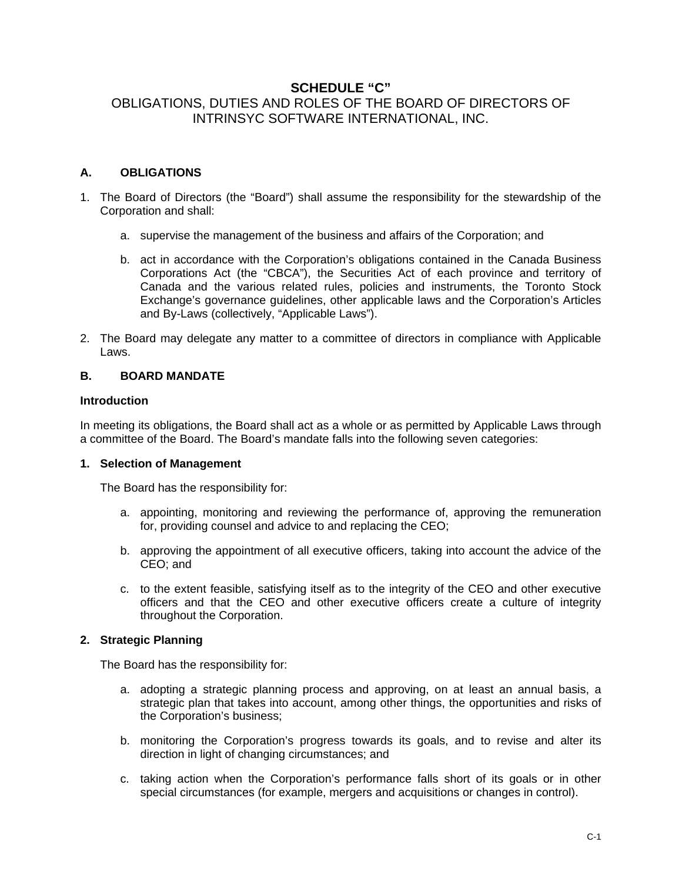# **SCHEDULE "C"** OBLIGATIONS, DUTIES AND ROLES OF THE BOARD OF DIRECTORS OF INTRINSYC SOFTWARE INTERNATIONAL, INC.

# **A. OBLIGATIONS**

- 1. The Board of Directors (the "Board") shall assume the responsibility for the stewardship of the Corporation and shall:
	- a. supervise the management of the business and affairs of the Corporation; and
	- b. act in accordance with the Corporation's obligations contained in the Canada Business Corporations Act (the "CBCA"), the Securities Act of each province and territory of Canada and the various related rules, policies and instruments, the Toronto Stock Exchange's governance guidelines, other applicable laws and the Corporation's Articles and By-Laws (collectively, "Applicable Laws").
- 2. The Board may delegate any matter to a committee of directors in compliance with Applicable Laws.

# **B. BOARD MANDATE**

#### **Introduction**

In meeting its obligations, the Board shall act as a whole or as permitted by Applicable Laws through a committee of the Board. The Board's mandate falls into the following seven categories:

# **1. Selection of Management**

The Board has the responsibility for:

- a. appointing, monitoring and reviewing the performance of, approving the remuneration for, providing counsel and advice to and replacing the CEO;
- b. approving the appointment of all executive officers, taking into account the advice of the CEO; and
- c. to the extent feasible, satisfying itself as to the integrity of the CEO and other executive officers and that the CEO and other executive officers create a culture of integrity throughout the Corporation.

# **2. Strategic Planning**

The Board has the responsibility for:

- a. adopting a strategic planning process and approving, on at least an annual basis, a strategic plan that takes into account, among other things, the opportunities and risks of the Corporation's business;
- b. monitoring the Corporation's progress towards its goals, and to revise and alter its direction in light of changing circumstances; and
- c. taking action when the Corporation's performance falls short of its goals or in other special circumstances (for example, mergers and acquisitions or changes in control).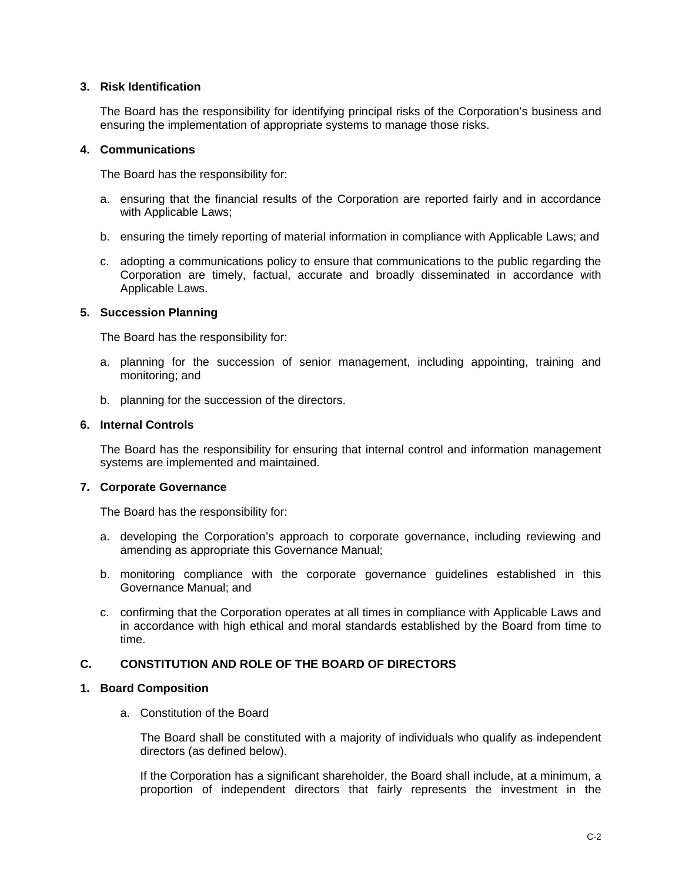#### **3. Risk Identification**

The Board has the responsibility for identifying principal risks of the Corporation's business and ensuring the implementation of appropriate systems to manage those risks.

#### **4. Communications**

The Board has the responsibility for:

- a. ensuring that the financial results of the Corporation are reported fairly and in accordance with Applicable Laws;
- b. ensuring the timely reporting of material information in compliance with Applicable Laws; and
- c. adopting a communications policy to ensure that communications to the public regarding the Corporation are timely, factual, accurate and broadly disseminated in accordance with Applicable Laws.

#### **5. Succession Planning**

The Board has the responsibility for:

- a. planning for the succession of senior management, including appointing, training and monitoring; and
- b. planning for the succession of the directors.

#### **6. Internal Controls**

The Board has the responsibility for ensuring that internal control and information management systems are implemented and maintained.

# **7. Corporate Governance**

The Board has the responsibility for:

- a. developing the Corporation's approach to corporate governance, including reviewing and amending as appropriate this Governance Manual;
- b. monitoring compliance with the corporate governance guidelines established in this Governance Manual; and
- c. confirming that the Corporation operates at all times in compliance with Applicable Laws and in accordance with high ethical and moral standards established by the Board from time to time.

# **C. CONSTITUTION AND ROLE OF THE BOARD OF DIRECTORS**

#### **1. Board Composition**

a. Constitution of the Board

The Board shall be constituted with a majority of individuals who qualify as independent directors (as defined below).

If the Corporation has a significant shareholder, the Board shall include, at a minimum, a proportion of independent directors that fairly represents the investment in the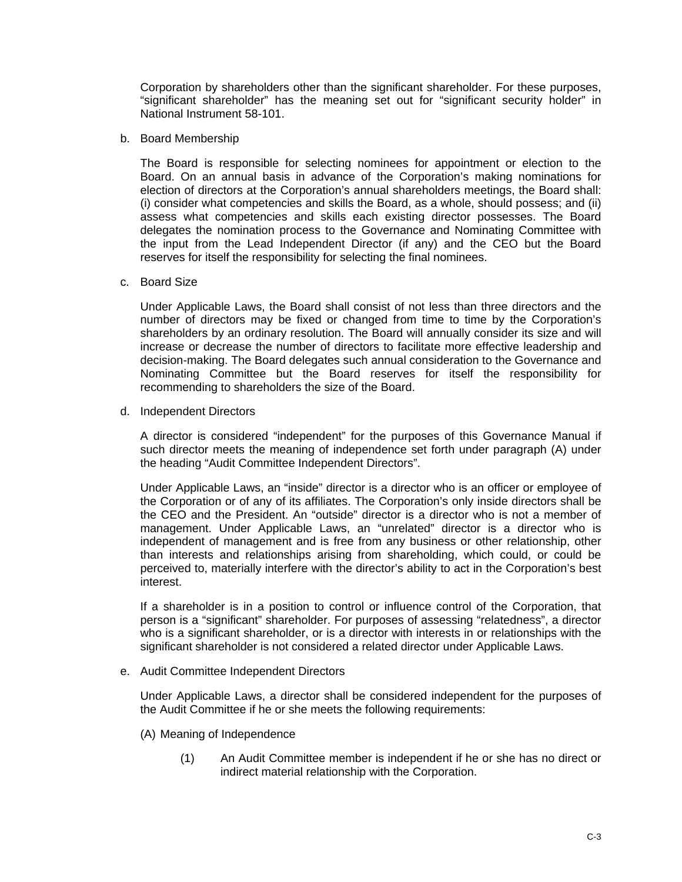Corporation by shareholders other than the significant shareholder. For these purposes, "significant shareholder" has the meaning set out for "significant security holder" in National Instrument 58-101.

b. Board Membership

The Board is responsible for selecting nominees for appointment or election to the Board. On an annual basis in advance of the Corporation's making nominations for election of directors at the Corporation's annual shareholders meetings, the Board shall: (i) consider what competencies and skills the Board, as a whole, should possess; and (ii) assess what competencies and skills each existing director possesses. The Board delegates the nomination process to the Governance and Nominating Committee with the input from the Lead Independent Director (if any) and the CEO but the Board reserves for itself the responsibility for selecting the final nominees.

c. Board Size

Under Applicable Laws, the Board shall consist of not less than three directors and the number of directors may be fixed or changed from time to time by the Corporation's shareholders by an ordinary resolution. The Board will annually consider its size and will increase or decrease the number of directors to facilitate more effective leadership and decision-making. The Board delegates such annual consideration to the Governance and Nominating Committee but the Board reserves for itself the responsibility for recommending to shareholders the size of the Board.

d. Independent Directors

A director is considered "independent" for the purposes of this Governance Manual if such director meets the meaning of independence set forth under paragraph (A) under the heading "Audit Committee Independent Directors".

Under Applicable Laws, an "inside" director is a director who is an officer or employee of the Corporation or of any of its affiliates. The Corporation's only inside directors shall be the CEO and the President. An "outside" director is a director who is not a member of management. Under Applicable Laws, an "unrelated" director is a director who is independent of management and is free from any business or other relationship, other than interests and relationships arising from shareholding, which could, or could be perceived to, materially interfere with the director's ability to act in the Corporation's best interest.

If a shareholder is in a position to control or influence control of the Corporation, that person is a "significant" shareholder. For purposes of assessing "relatedness", a director who is a significant shareholder, or is a director with interests in or relationships with the significant shareholder is not considered a related director under Applicable Laws.

e. Audit Committee Independent Directors

Under Applicable Laws, a director shall be considered independent for the purposes of the Audit Committee if he or she meets the following requirements:

- (A) Meaning of Independence
	- (1) An Audit Committee member is independent if he or she has no direct or indirect material relationship with the Corporation.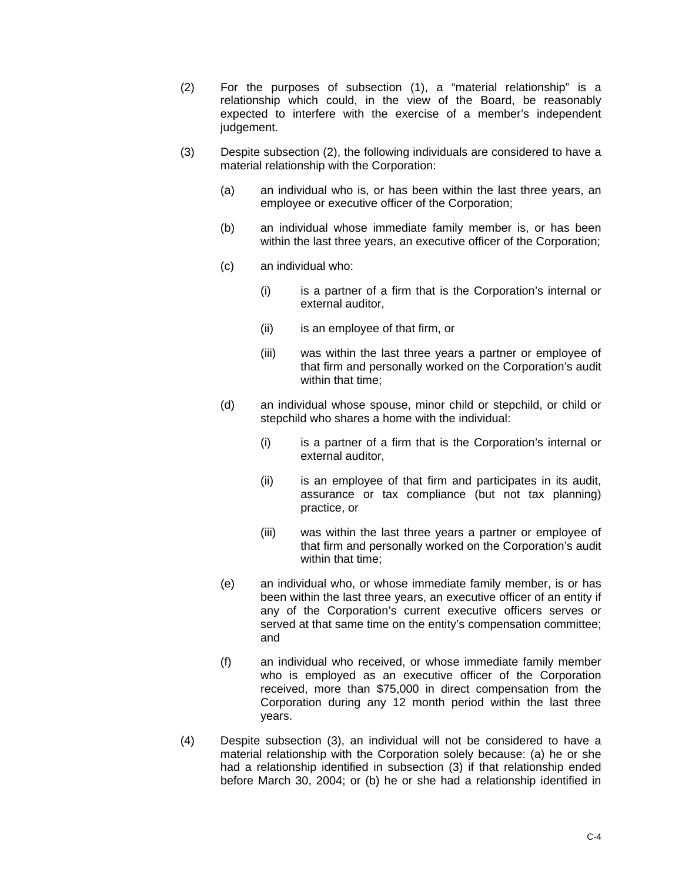- (2) For the purposes of subsection (1), a "material relationship" is a relationship which could, in the view of the Board, be reasonably expected to interfere with the exercise of a member's independent judgement.
- (3) Despite subsection (2), the following individuals are considered to have a material relationship with the Corporation:
	- (a) an individual who is, or has been within the last three years, an employee or executive officer of the Corporation;
	- (b) an individual whose immediate family member is, or has been within the last three years, an executive officer of the Corporation;
	- (c) an individual who:
		- (i) is a partner of a firm that is the Corporation's internal or external auditor,
		- (ii) is an employee of that firm, or
		- (iii) was within the last three years a partner or employee of that firm and personally worked on the Corporation's audit within that time;
	- (d) an individual whose spouse, minor child or stepchild, or child or stepchild who shares a home with the individual:
		- (i) is a partner of a firm that is the Corporation's internal or external auditor,
		- (ii) is an employee of that firm and participates in its audit, assurance or tax compliance (but not tax planning) practice, or
		- (iii) was within the last three years a partner or employee of that firm and personally worked on the Corporation's audit within that time;
	- (e) an individual who, or whose immediate family member, is or has been within the last three years, an executive officer of an entity if any of the Corporation's current executive officers serves or served at that same time on the entity's compensation committee; and
	- (f) an individual who received, or whose immediate family member who is employed as an executive officer of the Corporation received, more than \$75,000 in direct compensation from the Corporation during any 12 month period within the last three years.
- (4) Despite subsection (3), an individual will not be considered to have a material relationship with the Corporation solely because: (a) he or she had a relationship identified in subsection (3) if that relationship ended before March 30, 2004; or (b) he or she had a relationship identified in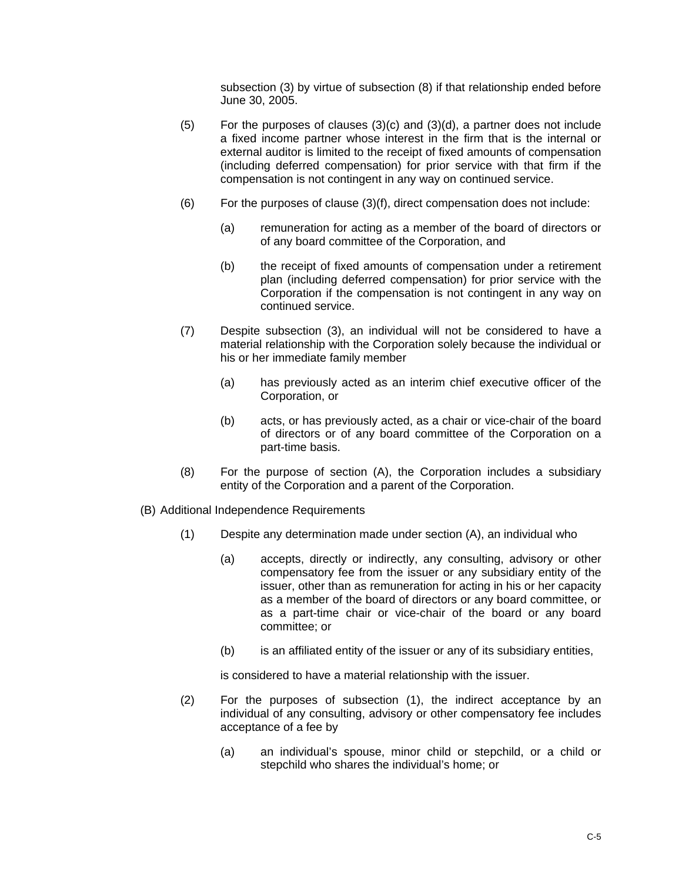subsection (3) by virtue of subsection (8) if that relationship ended before June 30, 2005.

- (5) For the purposes of clauses (3)(c) and (3)(d), a partner does not include a fixed income partner whose interest in the firm that is the internal or external auditor is limited to the receipt of fixed amounts of compensation (including deferred compensation) for prior service with that firm if the compensation is not contingent in any way on continued service.
- (6) For the purposes of clause (3)(f), direct compensation does not include:
	- (a) remuneration for acting as a member of the board of directors or of any board committee of the Corporation, and
	- (b) the receipt of fixed amounts of compensation under a retirement plan (including deferred compensation) for prior service with the Corporation if the compensation is not contingent in any way on continued service.
- (7) Despite subsection (3), an individual will not be considered to have a material relationship with the Corporation solely because the individual or his or her immediate family member
	- (a) has previously acted as an interim chief executive officer of the Corporation, or
	- (b) acts, or has previously acted, as a chair or vice-chair of the board of directors or of any board committee of the Corporation on a part-time basis.
- (8) For the purpose of section (A), the Corporation includes a subsidiary entity of the Corporation and a parent of the Corporation.
- (B) Additional Independence Requirements
	- (1) Despite any determination made under section (A), an individual who
		- (a) accepts, directly or indirectly, any consulting, advisory or other compensatory fee from the issuer or any subsidiary entity of the issuer, other than as remuneration for acting in his or her capacity as a member of the board of directors or any board committee, or as a part-time chair or vice-chair of the board or any board committee; or
		- (b) is an affiliated entity of the issuer or any of its subsidiary entities,

is considered to have a material relationship with the issuer.

- (2) For the purposes of subsection (1), the indirect acceptance by an individual of any consulting, advisory or other compensatory fee includes acceptance of a fee by
	- (a) an individual's spouse, minor child or stepchild, or a child or stepchild who shares the individual's home; or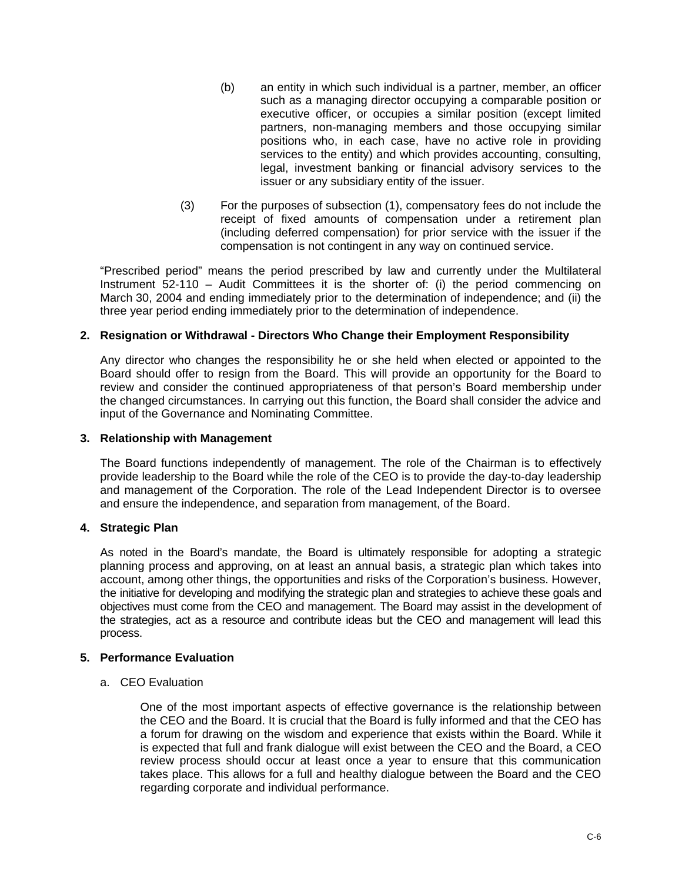- (b) an entity in which such individual is a partner, member, an officer such as a managing director occupying a comparable position or executive officer, or occupies a similar position (except limited partners, non-managing members and those occupying similar positions who, in each case, have no active role in providing services to the entity) and which provides accounting, consulting, legal, investment banking or financial advisory services to the issuer or any subsidiary entity of the issuer.
- (3) For the purposes of subsection (1), compensatory fees do not include the receipt of fixed amounts of compensation under a retirement plan (including deferred compensation) for prior service with the issuer if the compensation is not contingent in any way on continued service.

"Prescribed period" means the period prescribed by law and currently under the Multilateral Instrument 52-110 – Audit Committees it is the shorter of: (i) the period commencing on March 30, 2004 and ending immediately prior to the determination of independence; and (ii) the three year period ending immediately prior to the determination of independence.

# **2. Resignation or Withdrawal - Directors Who Change their Employment Responsibility**

Any director who changes the responsibility he or she held when elected or appointed to the Board should offer to resign from the Board. This will provide an opportunity for the Board to review and consider the continued appropriateness of that person's Board membership under the changed circumstances. In carrying out this function, the Board shall consider the advice and input of the Governance and Nominating Committee.

### **3. Relationship with Management**

The Board functions independently of management. The role of the Chairman is to effectively provide leadership to the Board while the role of the CEO is to provide the day-to-day leadership and management of the Corporation. The role of the Lead Independent Director is to oversee and ensure the independence, and separation from management, of the Board.

# **4. Strategic Plan**

As noted in the Board's mandate, the Board is ultimately responsible for adopting a strategic planning process and approving, on at least an annual basis, a strategic plan which takes into account, among other things, the opportunities and risks of the Corporation's business. However, the initiative for developing and modifying the strategic plan and strategies to achieve these goals and objectives must come from the CEO and management. The Board may assist in the development of the strategies, act as a resource and contribute ideas but the CEO and management will lead this process.

# **5. Performance Evaluation**

a. CEO Evaluation

One of the most important aspects of effective governance is the relationship between the CEO and the Board. It is crucial that the Board is fully informed and that the CEO has a forum for drawing on the wisdom and experience that exists within the Board. While it is expected that full and frank dialogue will exist between the CEO and the Board, a CEO review process should occur at least once a year to ensure that this communication takes place. This allows for a full and healthy dialogue between the Board and the CEO regarding corporate and individual performance.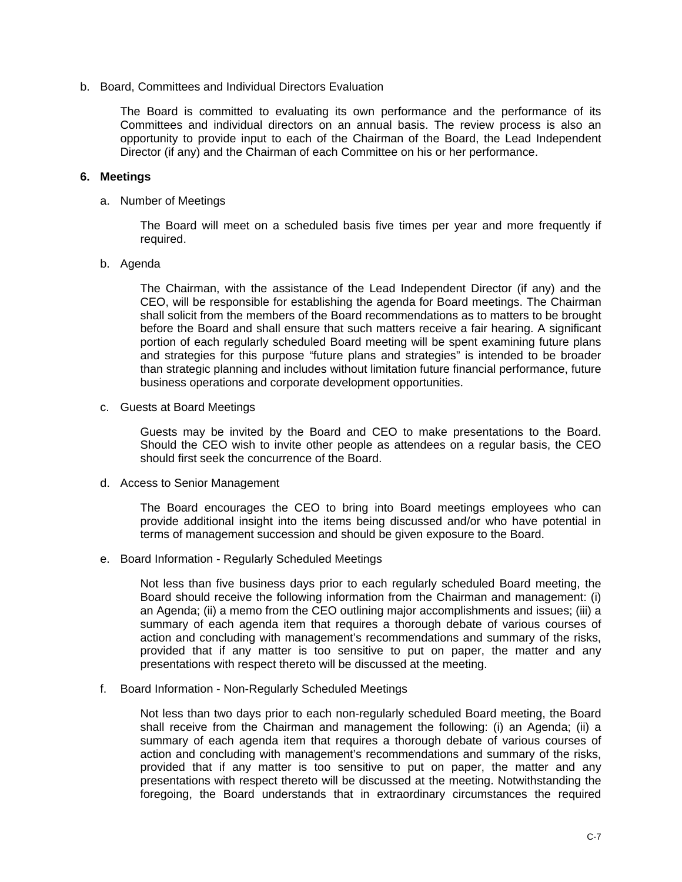b. Board, Committees and Individual Directors Evaluation

The Board is committed to evaluating its own performance and the performance of its Committees and individual directors on an annual basis. The review process is also an opportunity to provide input to each of the Chairman of the Board, the Lead Independent Director (if any) and the Chairman of each Committee on his or her performance.

#### **6. Meetings**

a. Number of Meetings

The Board will meet on a scheduled basis five times per year and more frequently if required.

#### b. Agenda

The Chairman, with the assistance of the Lead Independent Director (if any) and the CEO, will be responsible for establishing the agenda for Board meetings. The Chairman shall solicit from the members of the Board recommendations as to matters to be brought before the Board and shall ensure that such matters receive a fair hearing. A significant portion of each regularly scheduled Board meeting will be spent examining future plans and strategies for this purpose "future plans and strategies" is intended to be broader than strategic planning and includes without limitation future financial performance, future business operations and corporate development opportunities.

c. Guests at Board Meetings

Guests may be invited by the Board and CEO to make presentations to the Board. Should the CEO wish to invite other people as attendees on a regular basis, the CEO should first seek the concurrence of the Board.

d. Access to Senior Management

The Board encourages the CEO to bring into Board meetings employees who can provide additional insight into the items being discussed and/or who have potential in terms of management succession and should be given exposure to the Board.

e. Board Information - Regularly Scheduled Meetings

Not less than five business days prior to each regularly scheduled Board meeting, the Board should receive the following information from the Chairman and management: (i) an Agenda; (ii) a memo from the CEO outlining major accomplishments and issues; (iii) a summary of each agenda item that requires a thorough debate of various courses of action and concluding with management's recommendations and summary of the risks, provided that if any matter is too sensitive to put on paper, the matter and any presentations with respect thereto will be discussed at the meeting.

f. Board Information - Non-Regularly Scheduled Meetings

Not less than two days prior to each non-regularly scheduled Board meeting, the Board shall receive from the Chairman and management the following: (i) an Agenda; (ii) a summary of each agenda item that requires a thorough debate of various courses of action and concluding with management's recommendations and summary of the risks, provided that if any matter is too sensitive to put on paper, the matter and any presentations with respect thereto will be discussed at the meeting. Notwithstanding the foregoing, the Board understands that in extraordinary circumstances the required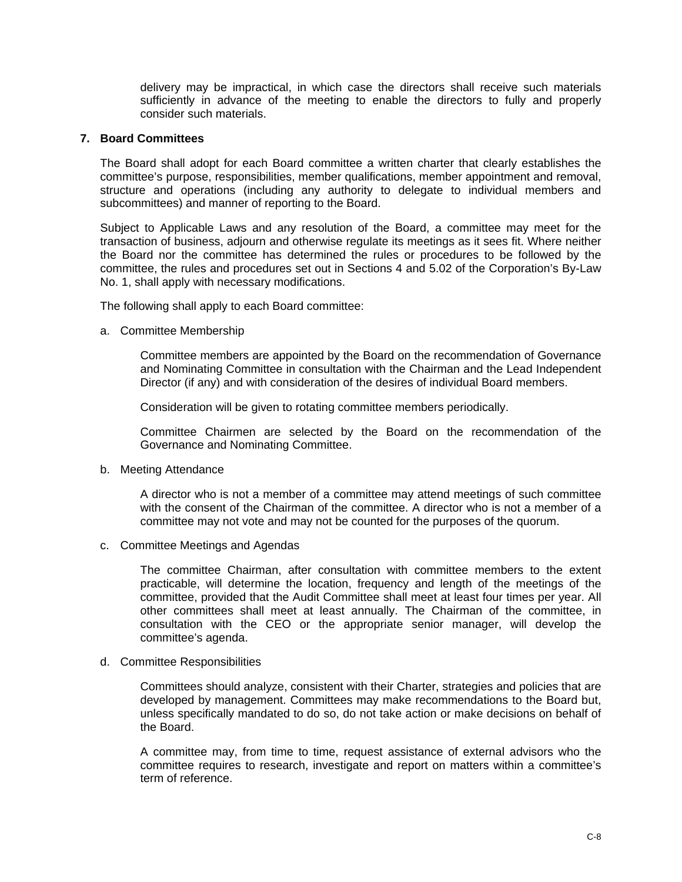delivery may be impractical, in which case the directors shall receive such materials sufficiently in advance of the meeting to enable the directors to fully and properly consider such materials.

#### **7. Board Committees**

The Board shall adopt for each Board committee a written charter that clearly establishes the committee's purpose, responsibilities, member qualifications, member appointment and removal, structure and operations (including any authority to delegate to individual members and subcommittees) and manner of reporting to the Board.

Subject to Applicable Laws and any resolution of the Board, a committee may meet for the transaction of business, adjourn and otherwise regulate its meetings as it sees fit. Where neither the Board nor the committee has determined the rules or procedures to be followed by the committee, the rules and procedures set out in Sections 4 and 5.02 of the Corporation's By-Law No. 1, shall apply with necessary modifications.

The following shall apply to each Board committee:

a. Committee Membership

Committee members are appointed by the Board on the recommendation of Governance and Nominating Committee in consultation with the Chairman and the Lead Independent Director (if any) and with consideration of the desires of individual Board members.

Consideration will be given to rotating committee members periodically.

Committee Chairmen are selected by the Board on the recommendation of the Governance and Nominating Committee.

#### b. Meeting Attendance

A director who is not a member of a committee may attend meetings of such committee with the consent of the Chairman of the committee. A director who is not a member of a committee may not vote and may not be counted for the purposes of the quorum.

c. Committee Meetings and Agendas

The committee Chairman, after consultation with committee members to the extent practicable, will determine the location, frequency and length of the meetings of the committee, provided that the Audit Committee shall meet at least four times per year. All other committees shall meet at least annually. The Chairman of the committee, in consultation with the CEO or the appropriate senior manager, will develop the committee's agenda.

d. Committee Responsibilities

Committees should analyze, consistent with their Charter, strategies and policies that are developed by management. Committees may make recommendations to the Board but, unless specifically mandated to do so, do not take action or make decisions on behalf of the Board.

A committee may, from time to time, request assistance of external advisors who the committee requires to research, investigate and report on matters within a committee's term of reference.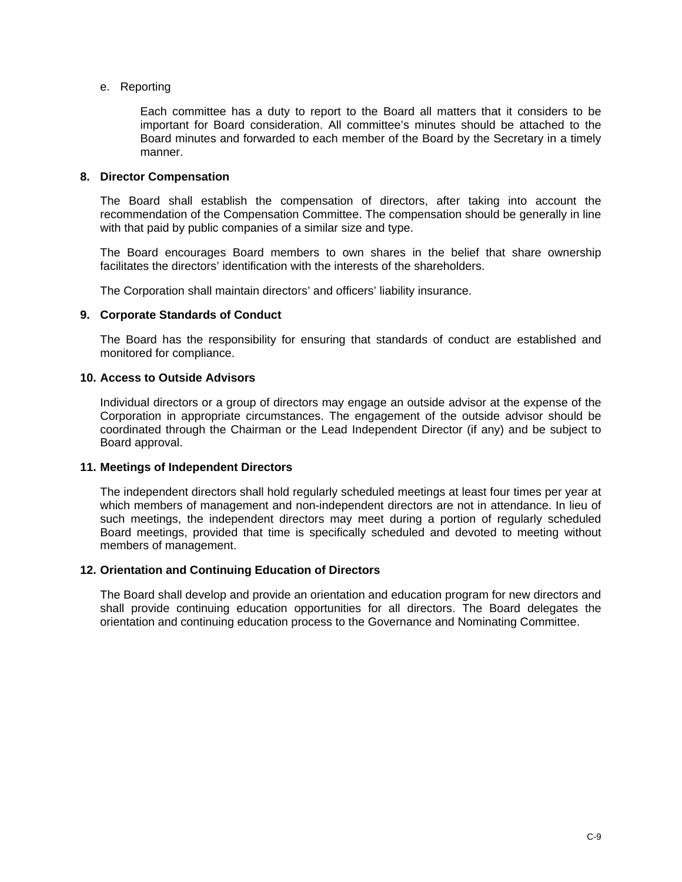#### e. Reporting

Each committee has a duty to report to the Board all matters that it considers to be important for Board consideration. All committee's minutes should be attached to the Board minutes and forwarded to each member of the Board by the Secretary in a timely manner.

#### **8. Director Compensation**

The Board shall establish the compensation of directors, after taking into account the recommendation of the Compensation Committee. The compensation should be generally in line with that paid by public companies of a similar size and type.

The Board encourages Board members to own shares in the belief that share ownership facilitates the directors' identification with the interests of the shareholders.

The Corporation shall maintain directors' and officers' liability insurance.

#### **9. Corporate Standards of Conduct**

The Board has the responsibility for ensuring that standards of conduct are established and monitored for compliance.

#### **10. Access to Outside Advisors**

Individual directors or a group of directors may engage an outside advisor at the expense of the Corporation in appropriate circumstances. The engagement of the outside advisor should be coordinated through the Chairman or the Lead Independent Director (if any) and be subject to Board approval.

#### **11. Meetings of Independent Directors**

The independent directors shall hold regularly scheduled meetings at least four times per year at which members of management and non-independent directors are not in attendance. In lieu of such meetings, the independent directors may meet during a portion of regularly scheduled Board meetings, provided that time is specifically scheduled and devoted to meeting without members of management.

# **12. Orientation and Continuing Education of Directors**

The Board shall develop and provide an orientation and education program for new directors and shall provide continuing education opportunities for all directors. The Board delegates the orientation and continuing education process to the Governance and Nominating Committee.